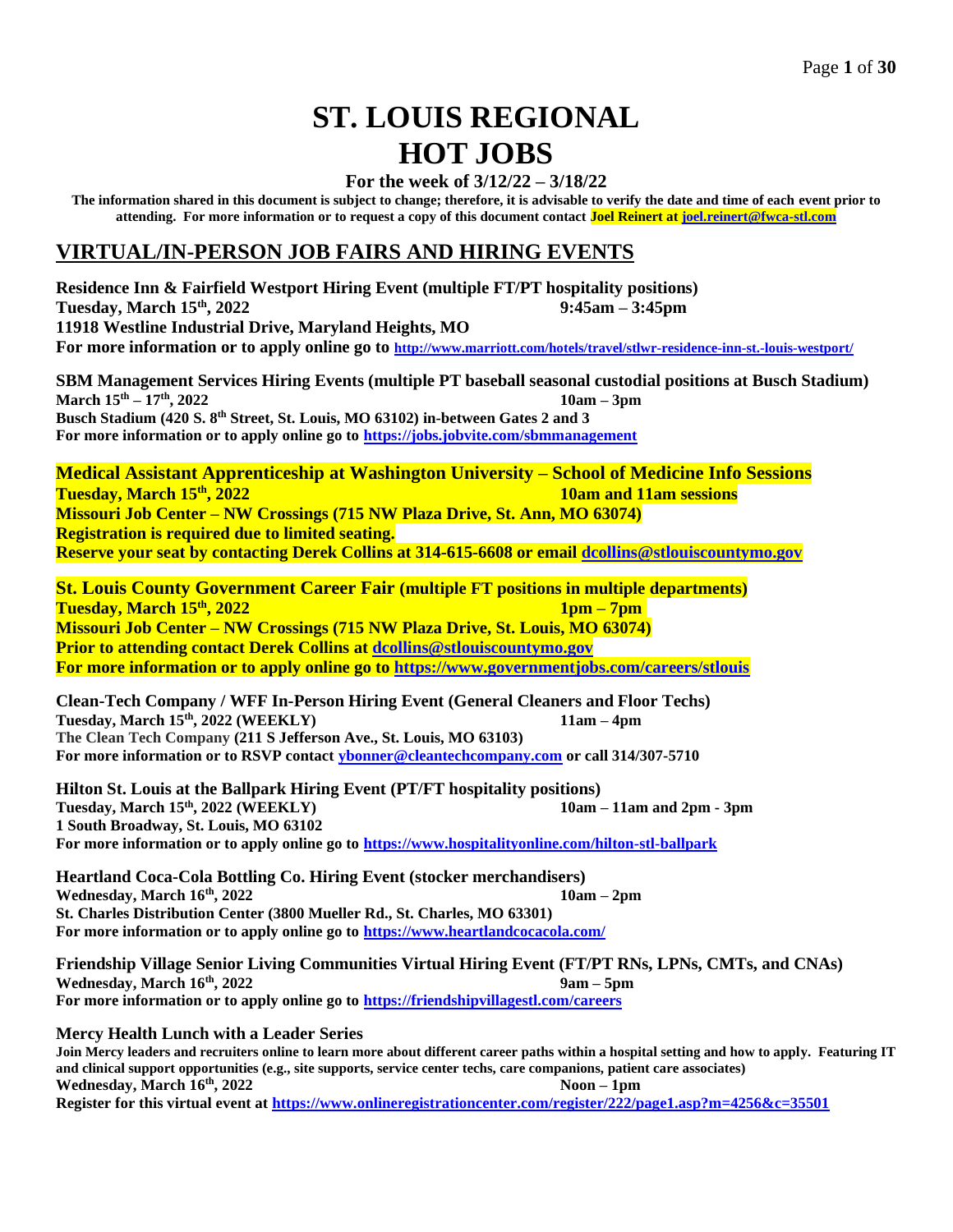# **ST. LOUIS REGIONAL HOT JOBS**

# **For the week of 3/12/22 – 3/18/22**

**The information shared in this document is subject to change; therefore, it is advisable to verify the date and time of each event prior to attending. For more information or to request a copy of this document contact Joel Reinert at [joel.reinert@fwca-stl.com](mailto:joel.reinert@fwca-stl.com)**

# **VIRTUAL/IN-PERSON JOB FAIRS AND HIRING EVENTS**

**Residence Inn & Fairfield Westport Hiring Event (multiple FT/PT hospitality positions) Tuesday, March 15th, 2022 9:45am – 3:45pm 11918 Westline Industrial Drive, Maryland Heights, MO For more information or to apply online go to [http://www.marriott.com/hotels/travel/stlwr-residence-inn-st.-louis-westport/](https://l.facebook.com/l.php?u=http%3A%2F%2Fwww.marriott.com%2Fhotels%2Ftravel%2Fstlwr-residence-inn-st.-louis-westport%2F%3Ffbclid%3DIwAR3OhMQXxoypJr6_UztIRE4i3CA5OG4eQb4zc0uj6p8niRkbuxtz1UN4TUU&h=AT38OTN3FZMZo366tu7_gZmW5VhLCc9GfpoDbMVnYHiEr_3-vskTeJX5uBLY2E-8oV8cLSYM3cpc3wxxG2GQoIvlHZkP9pGkfFT72KTUm-bAmn02utKGMe1uFa_IPW5HYfOW) SBM Management Services Hiring Events (multiple PT baseball seasonal custodial positions at Busch Stadium) March 15 th – 17th, 2022 10am – 3pm Busch Stadium (420 S. 8 th Street, St. Louis, MO 63102) in-between Gates 2 and 3 For more information or to apply online go to <https://jobs.jobvite.com/sbmmanagement> Medical Assistant Apprenticeship at Washington University – School of Medicine Info Sessions Tuesday, March 15th, 2022 10am and 11am sessions Missouri Job Center – NW Crossings (715 NW Plaza Drive, St. Ann, MO 63074) Registration is required due to limited seating. Reserve your seat by contacting Derek Collins at 314-615-6608 or email [dcollins@stlouiscountymo.gov](mailto:dcollins@stlouiscountymo.gov) St. Louis County Government Career Fair (multiple FT positions in multiple departments) Tuesday, March 15th , 2022 1pm – 7pm Missouri Job Center – NW Crossings (715 NW Plaza Drive, St. Louis, MO 63074) Prior to attending contact Derek Collins at [dcollins@stlouiscountymo.gov](mailto:dcollins@stlouiscountymo.gov) For more information or to apply online go to <https://www.governmentjobs.com/careers/stlouis> Clean-Tech Company / WFF In-Person Hiring Event (General Cleaners and Floor Techs) Tuesday, March 15th, 2022 (WEEKLY) 11am – 4pm The Clean Tech Company (211 S Jefferson Ave., St. Louis, MO 63103) For more information or to RSVP contact [ybonner@cleantechcompany.com](mailto:ybonner@cleantechcompany.com) or call 314/307-5710 Hilton St. Louis at the Ballpark Hiring Event (PT/FT hospitality positions) Tuesday, March 15 th, 2022 (WEEKLY) 10am – 11am and 2pm - 3pm 1 South Broadway, St. Louis, MO 63102 For more information or to apply online go to <https://www.hospitalityonline.com/hilton-stl-ballpark> Heartland Coca-Cola Bottling Co. Hiring Event (stocker merchandisers) Wednesday, March 16th, 2022 10am – 2pm St. Charles Distribution Center (3800 Mueller Rd., St. Charles, MO 63301) For more information or to apply online go to<https://www.heartlandcocacola.com/> Friendship Village Senior Living Communities Virtual Hiring Event (FT/PT RNs, LPNs, CMTs, and CNAs) Wednesday, March 16th , 2022 9am – 5pm For more information or to apply online go to <https://friendshipvillagestl.com/careers> Mercy Health Lunch with a Leader Series Join Mercy leaders and recruiters online to learn more about different career paths within a hospital setting and how to apply. Featuring IT and clinical support opportunities (e.g., site supports, service center techs, care companions, patient care associates) Wednesday, March 16 Noon** – **1pm** 

**Register for this virtual event at<https://www.onlineregistrationcenter.com/register/222/page1.asp?m=4256&c=35501>**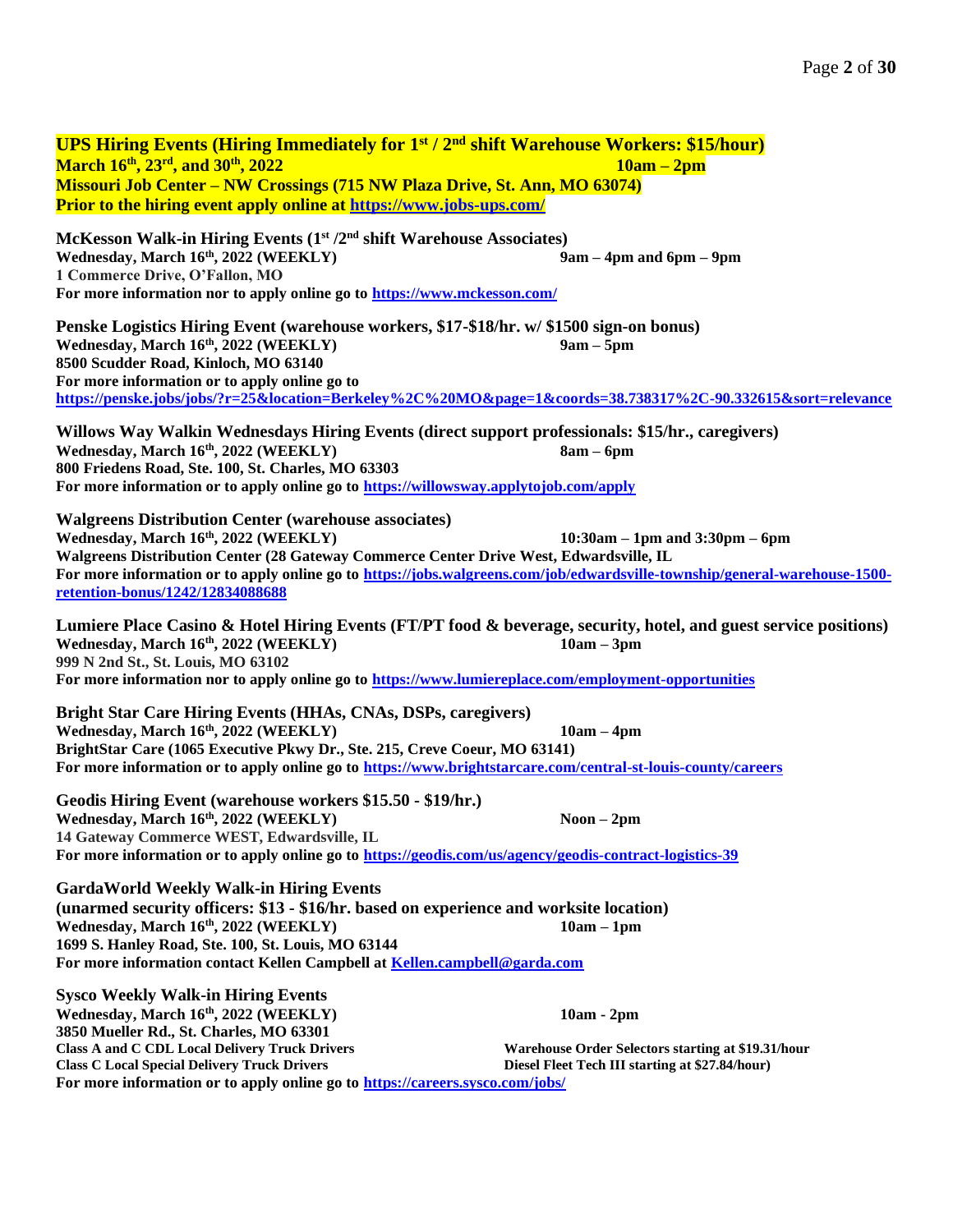**UPS Hiring Events (Hiring Immediately for 1st / 2nd shift Warehouse Workers: \$15/hour) March 16 th , 23rd, and 30th , 2022 10am – 2pm Missouri Job Center – NW Crossings (715 NW Plaza Drive, St. Ann, MO 63074) Prior to the hiring event apply online at<https://www.jobs-ups.com/> McKesson Walk-in Hiring Events (1st /2nd shift Warehouse Associates) Wednesday, March 16th, 2022 (WEEKLY) 9am – 4pm and 6pm – 9pm 1 Commerce Drive, O'Fallon, MO For more information nor to apply online go to<https://www.mckesson.com/> Penske Logistics Hiring Event (warehouse workers, \$17-\$18/hr. w/ \$1500 sign-on bonus) Wednesday, March 16th, 2022 (WEEKLY) 9am – 5pm 8500 Scudder Road, Kinloch, MO 63140 For more information or to apply online go to <https://penske.jobs/jobs/?r=25&location=Berkeley%2C%20MO&page=1&coords=38.738317%2C-90.332615&sort=relevance> Willows Way Walkin Wednesdays Hiring Events (direct support professionals: \$15/hr., caregivers) Wednesday, March 16th, 2022 (WEEKLY) 8am – 6pm 800 Friedens Road, Ste. 100, St. Charles, MO 63303 For more information or to apply online go to <https://willowsway.applytojob.com/apply> Walgreens Distribution Center (warehouse associates) Wednesday, March 16th, 2022 (WEEKLY) 10:30am – 1pm and 3:30pm – 6pm Walgreens Distribution Center (28 Gateway Commerce Center Drive West, Edwardsville, IL For more information or to apply online go to [https://jobs.walgreens.com/job/edwardsville-township/general-warehouse-1500](https://jobs.walgreens.com/job/edwardsville-township/general-warehouse-1500-retention-bonus/1242/12834088688) [retention-bonus/1242/12834088688](https://jobs.walgreens.com/job/edwardsville-township/general-warehouse-1500-retention-bonus/1242/12834088688) Lumiere Place Casino & Hotel Hiring Events (FT/PT food & beverage, security, hotel, and guest service positions) Wednesday, March 16th, 2022 (WEEKLY) 10am – 3pm 999 N 2nd St., St. Louis, MO 63102 For more information nor to apply online go to<https://www.lumiereplace.com/employment-opportunities> Bright Star Care Hiring Events (HHAs, CNAs, DSPs, caregivers) Wednesday, March 16th, 2022 (WEEKLY) 10am – 4pm BrightStar Care (1065 Executive Pkwy Dr., Ste. 215, Creve Coeur, MO 63141) For more information or to apply online go to<https://www.brightstarcare.com/central-st-louis-county/careers> Geodis Hiring Event (warehouse workers \$15.50 - \$19/hr.) Wednesday, March 16th, 2022 (WEEKLY) Noon – 2pm 14 Gateway Commerce WEST, Edwardsville, IL For more information or to apply online go to<https://geodis.com/us/agency/geodis-contract-logistics-39> GardaWorld Weekly Walk-in Hiring Events (unarmed security officers: \$13 - \$16/hr. based on experience and worksite location) Wednesday, March 16th, 2022 (WEEKLY) 10am – 1pm 1699 S. Hanley Road, Ste. 100, St. Louis, MO 63144 For more information contact Kellen Campbell at [Kellen.campbell@garda.com](mailto:Kellen.campbell@garda.com) Sysco Weekly Walk-in Hiring Events Wednesday, March 16th, 2022 (WEEKLY) 10am - 2pm 3850 Mueller Rd., St. Charles, MO 63301 Class A and C CDL Local Delivery Truck Drivers Class C Local Special Delivery Truck Drivers Warehouse Order Selectors starting at \$19.31/hour Diesel Fleet Tech III starting at \$27.84/hour)**

**For more information or to apply online go to<https://careers.sysco.com/jobs/>**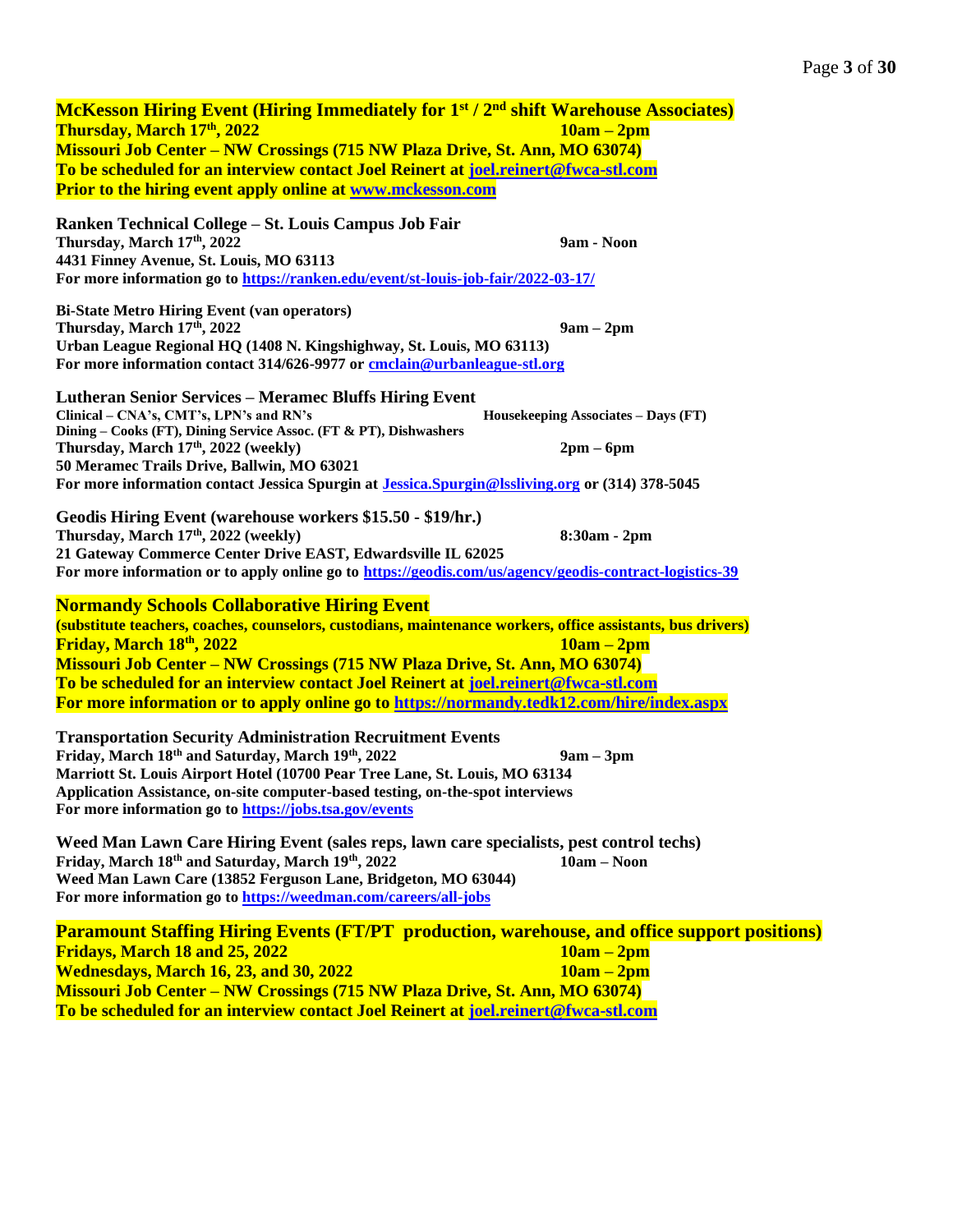**McKesson Hiring Event (Hiring Immediately for 1st / 2nd shift Warehouse Associates) Thursday, March 17th, 2022 10am – 2pm Missouri Job Center – NW Crossings (715 NW Plaza Drive, St. Ann, MO 63074) To be scheduled for an interview contact Joel Reinert at [joel.reinert@fwca-stl.com](mailto:joel.reinert@fwca-stl.com) Prior to the hiring event apply online at [www.mckesson.com](http://www.mckesson.com/) Ranken Technical College – St. Louis Campus Job Fair Thursday, March 17th, 2022 9am - Noon 4431 Finney Avenue, St. Louis, MO 63113 For more information go t[o https://ranken.edu/event/st-louis-job-fair/2022-03-17/](https://ranken.edu/event/st-louis-job-fair/2022-03-17/) Bi-State Metro Hiring Event (van operators) Thursday, March 17th, 2022 9am – 2pm Urban League Regional HQ (1408 N. Kingshighway, St. Louis, MO 63113) For more information contact 314/626-9977 o[r cmclain@urbanleague-stl.org](mailto:cmclain@urbanleague-stl.org) Lutheran Senior Services – Meramec Bluffs Hiring Event Clinical – CNA's, CMT's, LPN's and RN's Dining – Cooks (FT), Dining Service Assoc. (FT & PT), Dishwashers Housekeeping Associates – Days (FT) Thursday, March 17th , 2022 (weekly) 2pm – 6pm 50 Meramec Trails Drive, Ballwin, MO 63021 For more information contact Jessica Spurgin at [Jessica.Spurgin@lssliving.org](mailto:Jessica.Spurgin@lssliving.org) or (314) 378-5045 Geodis Hiring Event (warehouse workers \$15.50 - \$19/hr.) Thursday, March 17th , 2022 (weekly) 8:30am - 2pm 21 Gateway Commerce Center Drive EAST, Edwardsville IL 62025 For more information or to apply online go to<https://geodis.com/us/agency/geodis-contract-logistics-39> Normandy Schools Collaborative Hiring Event (substitute teachers, coaches, counselors, custodians, maintenance workers, office assistants, bus drivers) Friday, March 18th, 2022 10am – 2pm Missouri Job Center – NW Crossings (715 NW Plaza Drive, St. Ann, MO 63074) To be scheduled for an interview contact Joel Reinert at [joel.reinert@fwca-stl.com](mailto:joel.reinert@fwca-stl.com) For more information or to apply online go to<https://normandy.tedk12.com/hire/index.aspx> Transportation Security Administration Recruitment Events Friday, March 18th and Saturday, March 19th, 2022 9am – 3pm Marriott St. Louis Airport Hotel (10700 Pear Tree Lane, St. Louis, MO 63134 Application Assistance, on-site computer-based testing, on-the-spot interviews For more information go t[o https://jobs.tsa.gov/events](https://jobs.tsa.gov/events) Weed Man Lawn Care Hiring Event (sales reps, lawn care specialists, pest control techs) Friday, March 18th and Saturday, March 19th, 2022 10am – Noon Weed Man Lawn Care (13852 Ferguson Lane, Bridgeton, MO 63044) For more information go to <https://weedman.com/careers/all-jobs> Paramount Staffing Hiring Events (FT/PT production, warehouse, and office support positions) Fridays, March 18 and 25, 2022 10am – 2pm Wednesdays, March 16, 23, and 30, 2022 10am – 2pm Missouri Job Center – NW Crossings (715 NW Plaza Drive, St. Ann, MO 63074)**

**To be scheduled for an interview contact Joel Reinert at [joel.reinert@fwca-stl.com](mailto:joel.reinert@fwca-stl.com)**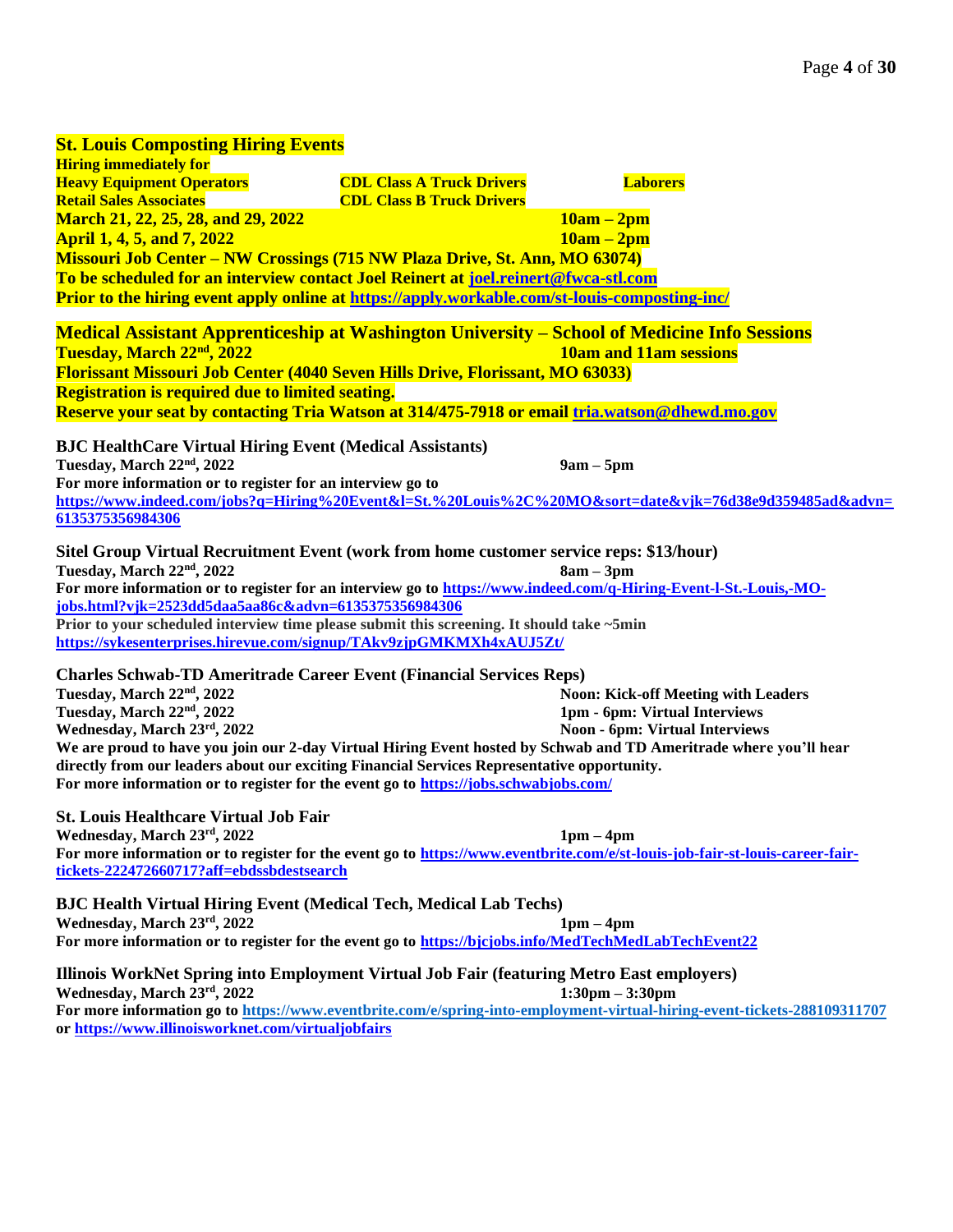# **St. Louis Composting Hiring Events Hiring immediately for Heavy Equipment Operators Retail Sales Associates CDL Class A Truck Drivers CDL Class B Truck Drivers Laborers March 21, 22, 25, 28, and 29, 2022 10am – 2pm April 1, 4, 5, and 7, 2022 10am – 2pm Missouri Job Center – NW Crossings (715 NW Plaza Drive, St. Ann, MO 63074) To be scheduled for an interview contact Joel Reinert at [joel.reinert@fwca-stl.com](mailto:joel.reinert@fwca-stl.com) Prior to the hiring event apply online at <https://apply.workable.com/st-louis-composting-inc/> Medical Assistant Apprenticeship at Washington University – School of Medicine Info Sessions Tuesday, March 22nd, 2022 10am and 11am sessions Florissant Missouri Job Center (4040 Seven Hills Drive, Florissant, MO 63033) Registration is required due to limited seating. Reserve your seat by contacting Tria Watson at 314/475-7918 or email [tria.watson@dhewd.mo.gov](mailto:tria.watson@dhewd.mo.gov) BJC HealthCare Virtual Hiring Event (Medical Assistants) Tuesday, March 22nd, 2022 9am – 5pm For more information or to register for an interview go to [https://www.indeed.com/jobs?q=Hiring%20Event&l=St.%20Louis%2C%20MO&sort=date&vjk=76d38e9d359485ad&advn=](https://www.indeed.com/jobs?q=Hiring%20Event&l=St.%20Louis%2C%20MO&sort=date&vjk=76d38e9d359485ad&advn=6135375356984306) [6135375356984306](https://www.indeed.com/jobs?q=Hiring%20Event&l=St.%20Louis%2C%20MO&sort=date&vjk=76d38e9d359485ad&advn=6135375356984306) Sitel Group Virtual Recruitment Event (work from home customer service reps: \$13/hour) Tuesday, March 22nd, 2022 8am – 3pm For more information or to register for an interview go to [https://www.indeed.com/q-Hiring-Event-l-St.-Louis,-MO](https://www.indeed.com/q-Hiring-Event-l-St.-Louis,-MO-jobs.html?vjk=2523dd5daa5aa86c&advn=6135375356984306)[jobs.html?vjk=2523dd5daa5aa86c&advn=6135375356984306](https://www.indeed.com/q-Hiring-Event-l-St.-Louis,-MO-jobs.html?vjk=2523dd5daa5aa86c&advn=6135375356984306) Prior to your scheduled interview time please submit this screening. It should take ~5min <https://sykesenterprises.hirevue.com/signup/TAkv9zjpGMKMXh4xAUJ5Zt/> Charles Schwab-TD Ameritrade Career Event (Financial Services Reps) Tuesday, March 22nd, 2022 Noon: Kick-off Meeting with Leaders Tuesday, March 22nd, 2022 1pm - 6pm: Virtual Interviews Wednesday, March 23rd, 2022 Noon - 6pm: Virtual Interviews We are proud to have you join our 2-day Virtual Hiring Event hosted by Schwab and TD Ameritrade where you'll hear directly from our leaders about our exciting Financial Services Representative opportunity. For more information or to register for the event go to<https://jobs.schwabjobs.com/> St. Louis Healthcare Virtual Job Fair Wednesday, March 23rd, 2022 1pm – 4pm For more information or to register for the event go to [https://www.eventbrite.com/e/st-louis-job-fair-st-louis-career-fair](https://www.eventbrite.com/e/st-louis-job-fair-st-louis-career-fair-tickets-222472660717?aff=ebdssbdestsearch)[tickets-222472660717?aff=ebdssbdestsearch](https://www.eventbrite.com/e/st-louis-job-fair-st-louis-career-fair-tickets-222472660717?aff=ebdssbdestsearch) BJC Health Virtual Hiring Event (Medical Tech, Medical Lab Techs) Wednesday, March 23rd, 2022 1pm – 4pm** For more information or to register for the event go to [https://bjcjobs.info/MedTechMedLabTechEvent22](https://l.facebook.com/l.php?u=https%3A%2F%2Fbjcjobs.info%2FMedTechMedLabTechEvent22%3Ffbclid%3DIwAR0rbvhkpehqzFtuAfWXvyAJrkpSHulmlOeAUo8f-iSWs6sNlBxN8PP9GTA&h=AT04D6rzZ70YDsb2_nYt2NtR5pHkWszFrineFYUMyYzFsgD8YT-9DfeDnfpITuB-Xsm28mWFxmd4P91Zj3UAlwJKXWJe6JbH6EXexMAPG9sOSZJL8OBOt41DO-jyG7e_sSU&__tn__=q&c%5b0%5d=AT1Pcfua2N9QjlPGXkmZmJ-dp5NMD3fCPI3TNd3OE_fTsMwyJ5mh1s74o_WR_XpXqOUrSZxVlsxGNUAjAEHpSef5fe5kG7CQqi_bFsRXKIHmYNY_-FzAZ1VeDd9ezoxMym50i34M2CWxQJwuhixzYJcl) **Illinois WorkNet Spring into Employment Virtual Job Fair (featuring Metro East employers) Wednesday, March 23rd, 2022 1:30pm – 3:30pm For more information go t[o https://www.eventbrite.com/e/spring-into-employment-virtual-hiring-event-tickets-288109311707](https://www.eventbrite.com/e/spring-into-employment-virtual-hiring-event-tickets-288109311707) or<https://www.illinoisworknet.com/virtualjobfairs>**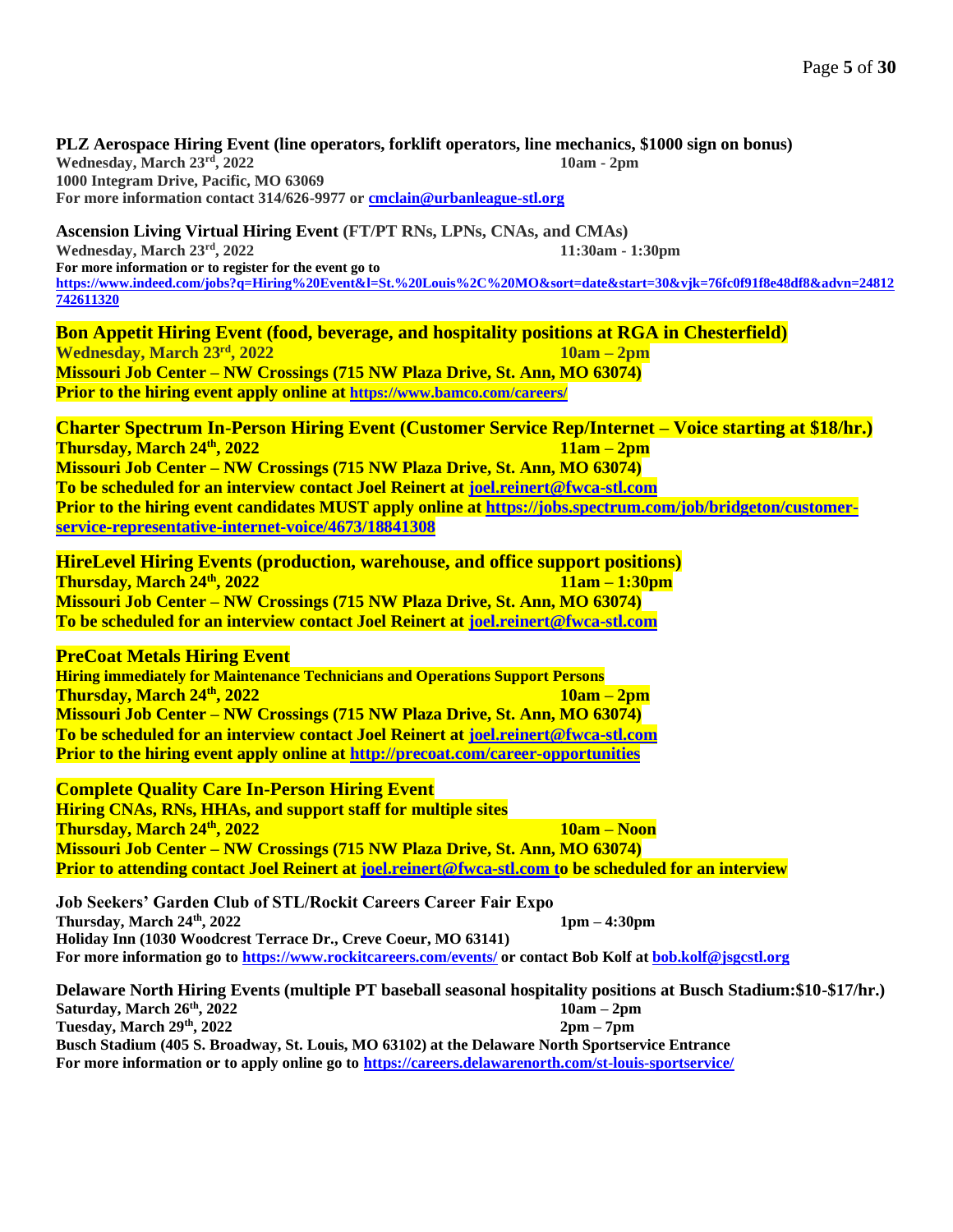**PLZ Aerospace Hiring Event (line operators, forklift operators, line mechanics, \$1000 sign on bonus) Wednesday, March 23rd, 2022 10am - 2pm 1000 Integram Drive, Pacific, MO 63069 For more information contact 314/626-9977 o[r cmclain@urbanleague-stl.org](mailto:cmclain@urbanleague-stl.org)**

**Ascension Living Virtual Hiring Event (FT/PT RNs, LPNs, CNAs, and CMAs) Wednesday, March 23rd, 2022 11:30am - 1:30pm For more information or to register for the event go to [https://www.indeed.com/jobs?q=Hiring%20Event&l=St.%20Louis%2C%20MO&sort=date&start=30&vjk=76fc0f91f8e48df8&advn=24812](https://www.indeed.com/jobs?q=Hiring%20Event&l=St.%20Louis%2C%20MO&sort=date&start=30&vjk=76fc0f91f8e48df8&advn=24812742611320) [742611320](https://www.indeed.com/jobs?q=Hiring%20Event&l=St.%20Louis%2C%20MO&sort=date&start=30&vjk=76fc0f91f8e48df8&advn=24812742611320)**

**Bon Appetit Hiring Event (food, beverage, and hospitality positions at RGA in Chesterfield) Wednesday, March 23rd, 2022 10am – 2pm**

**Missouri Job Center – NW Crossings (715 NW Plaza Drive, St. Ann, MO 63074) Prior to the hiring event apply online at <https://www.bamco.com/careers/>**

**Charter Spectrum In-Person Hiring Event (Customer Service Rep/Internet – Voice starting at \$18/hr.) Thursday, March 24th, 2022 11am – 2pm Missouri Job Center – NW Crossings (715 NW Plaza Drive, St. Ann, MO 63074) To be scheduled for an interview contact Joel Reinert at [joel.reinert@fwca-stl.com](mailto:joel.reinert@fwca-stl.com) Prior to the hiring event candidates MUST apply online at [https://jobs.spectrum.com/job/bridgeton/customer](https://jobs.spectrum.com/job/bridgeton/customer-service-representative-internet-voice/4673/18841308)[service-representative-internet-voice/4673/18841308](https://jobs.spectrum.com/job/bridgeton/customer-service-representative-internet-voice/4673/18841308)**

**HireLevel Hiring Events (production, warehouse, and office support positions) Thursday, March 24th , 2022 11am – 1:30pm Missouri Job Center – NW Crossings (715 NW Plaza Drive, St. Ann, MO 63074) To be scheduled for an interview contact Joel Reinert at [joel.reinert@fwca-stl.com](mailto:joel.reinert@fwca-stl.com)**

## **PreCoat Metals Hiring Event**

**Hiring immediately for Maintenance Technicians and Operations Support Persons Thursday, March 24th, 2022 10am – 2pm Missouri Job Center – NW Crossings (715 NW Plaza Drive, St. Ann, MO 63074) To be scheduled for an interview contact Joel Reinert at [joel.reinert@fwca-stl.com](mailto:joel.reinert@fwca-stl.com) Prior to the hiring event apply online at <http://precoat.com/career-opportunities>**

**Complete Quality Care In-Person Hiring Event Hiring CNAs, RNs, HHAs, and support staff for multiple sites Thursday, March 24th, 2022 10am – Noon Missouri Job Center – NW Crossings (715 NW Plaza Drive, St. Ann, MO 63074) Prior to attending contact Joel Reinert at [joel.reinert@fwca-stl.com](mailto:joel.reinert@fwca-stl.com) to be scheduled for an interview**

**Job Seekers' Garden Club of STL/Rockit Careers Career Fair Expo Thursday, March 24th, 2022 1pm – 4:30pm Holiday Inn (1030 Woodcrest Terrace Dr., Creve Coeur, MO 63141) For more information go to <https://www.rockitcareers.com/events/> or contact Bob Kolf at [bob.kolf@jsgcstl.org](mailto:bob.kolf@jsgcstl.org)**

**Delaware North Hiring Events (multiple PT baseball seasonal hospitality positions at Busch Stadium:\$10-\$17/hr.) Saturday, March 26th, 2022 10am – 2pm Tuesday, March 29th, 2022 2pm – 7pm Busch Stadium (405 S. Broadway, St. Louis, MO 63102) at the Delaware North Sportservice Entrance For more information or to apply online go to<https://careers.delawarenorth.com/st-louis-sportservice/>**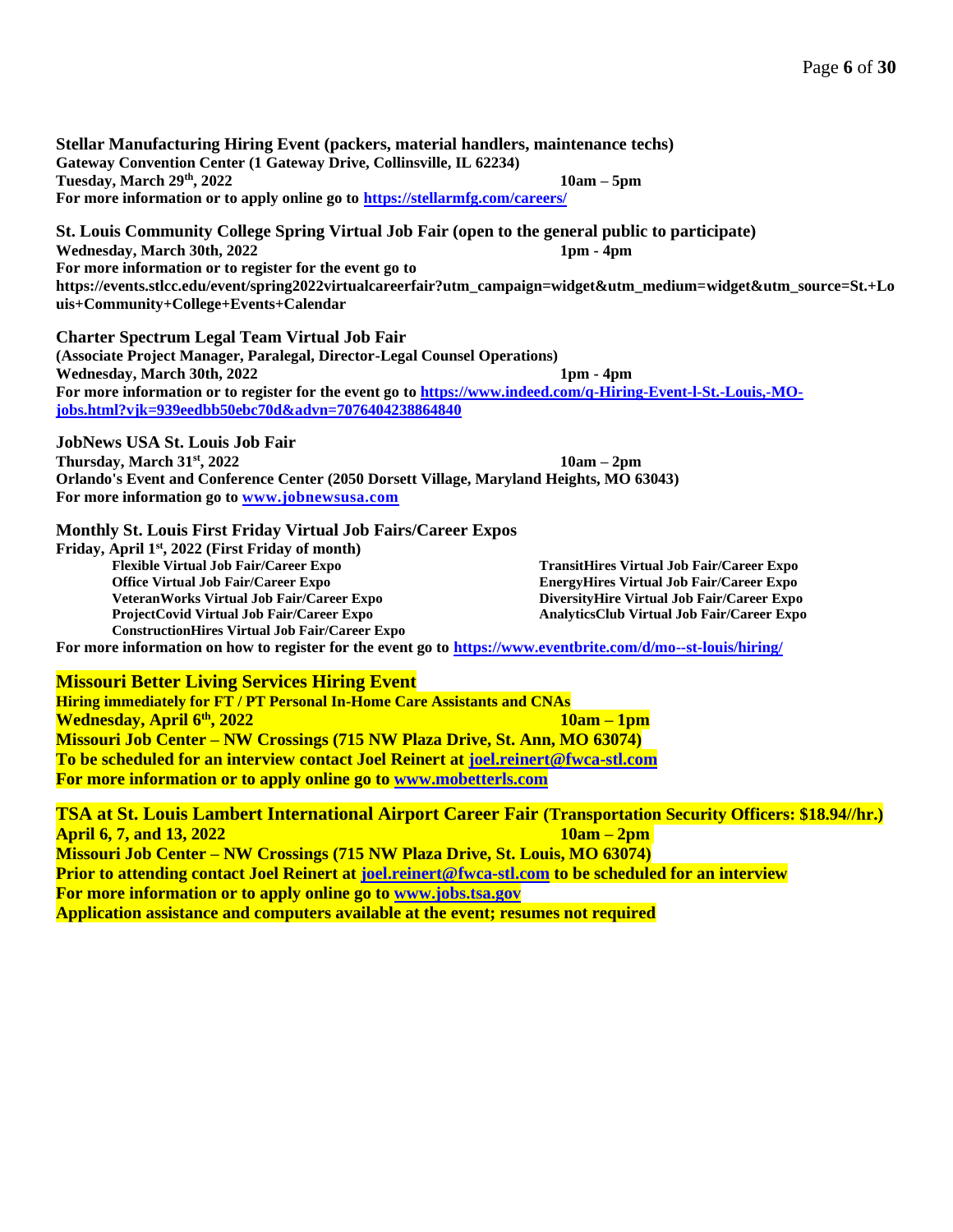**Stellar Manufacturing Hiring Event (packers, material handlers, maintenance techs) Gateway Convention Center (1 Gateway Drive, Collinsville, IL 62234) Tuesday, March 29th, 2022 10am – 5pm For more information or to apply online go to<https://stellarmfg.com/careers/>**

**St. Louis Community College Spring Virtual Job Fair (open to the general public to participate) Wednesday, March 30th, 2022 1pm - 4pm For more information or to register for the event go to [https://events.stlcc.edu/event/spring2022virtualcareerfair?utm\\_campaign=widget&utm\\_medium=widget&utm\\_source=St.+Lo](https://events.stlcc.edu/event/spring2022virtualcareerfair?utm_campaign=widget&utm_medium=widget&utm_source=St.+Louis+Community+College+Events+Calendar) [uis+Community+College+Events+Calendar](https://events.stlcc.edu/event/spring2022virtualcareerfair?utm_campaign=widget&utm_medium=widget&utm_source=St.+Louis+Community+College+Events+Calendar)**

**Charter Spectrum Legal Team Virtual Job Fair (Associate Project Manager, Paralegal, Director-Legal Counsel Operations) Wednesday, March 30th, 2022 1pm - 4pm For more information or to register for the event go to [https://www.indeed.com/q-Hiring-Event-l-St.-Louis,-MO](https://www.indeed.com/q-Hiring-Event-l-St.-Louis,-MO-jobs.html?vjk=939eedbb50ebc70d&advn=7076404238864840)[jobs.html?vjk=939eedbb50ebc70d&advn=7076404238864840](https://www.indeed.com/q-Hiring-Event-l-St.-Louis,-MO-jobs.html?vjk=939eedbb50ebc70d&advn=7076404238864840)**

**JobNews USA St. Louis Job Fair Thursday, March 31st, 2022 10am – 2pm Orlando's Event and Conference Center (2050 Dorsett Village, Maryland Heights, MO 63043) For more information go to [www.jobnewsusa.com](http://www.jobnewsusa.com/)**

**Monthly St. Louis First Friday Virtual Job Fairs/Career Expos**

**Friday, April 1st, 2022 (First Friday of month) Flexible Virtual Job Fair/Career Expo Office Virtual Job Fair/Career Expo VeteranWorks Virtual Job Fair/Career Expo ProjectCovid Virtual Job Fair/Career Expo ConstructionHires Virtual Job Fair/Career Expo**

**TransitHires Virtual Job Fair/Career Expo EnergyHires Virtual Job Fair/Career Expo DiversityHire Virtual Job Fair/Career Expo AnalyticsClub Virtual Job Fair/Career Expo**

**For more information on how to register for the event go to<https://www.eventbrite.com/d/mo--st-louis/hiring/>**

**Missouri Better Living Services Hiring Event** 

**Hiring immediately for FT / PT Personal In-Home Care Assistants and CNAs Wednesday, April 6th , 2022 10am – 1pm Missouri Job Center – NW Crossings (715 NW Plaza Drive, St. Ann, MO 63074) To be scheduled for an interview contact Joel Reinert at [joel.reinert@fwca-stl.com](mailto:joel.reinert@fwca-stl.com) For more information or to apply online go to [www.mobetterls.com](http://www.mobetterls.com/)**

**TSA at St. Louis Lambert International Airport Career Fair (Transportation Security Officers: \$18.94//hr.) April 6, 7, and 13, 2022 10am – 2pm Missouri Job Center – NW Crossings (715 NW Plaza Drive, St. Louis, MO 63074) Prior to attending contact Joel Reinert at [joel.reinert@fwca-stl.com](mailto:joel.reinert@fwca-stl.com) to be scheduled for an interview For more information or to apply online go to [www.jobs.tsa.gov](http://www.jobs.tsa.gov/) Application assistance and computers available at the event; resumes not required**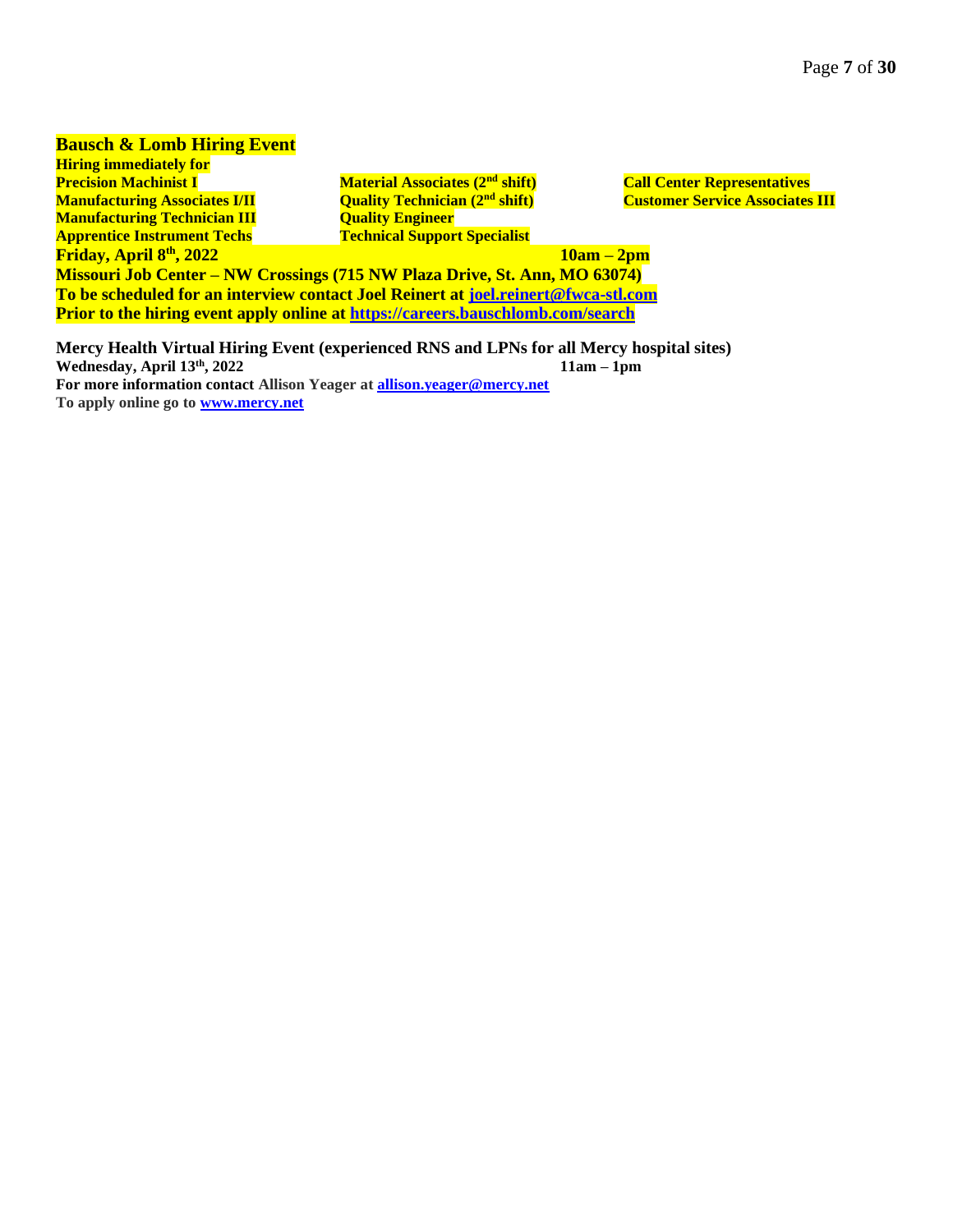# **Bausch & Lomb Hiring Event**

**Hiring immediately for Precision Machinist I Manufacturing Associates I/II Manufacturing Technician III Apprentice Instrument Techs Friday, April 8th**

**Material Associates (2nd shift) Quality Technician (2nd shift) Quality Engineer Technical Support Specialist**

**Call Center Representatives Customer Service Associates III**

**, 2022 10am – 2pm Missouri Job Center – NW Crossings (715 NW Plaza Drive, St. Ann, MO 63074) To be scheduled for an interview contact Joel Reinert at [joel.reinert@fwca-stl.com](mailto:joel.reinert@fwca-stl.com) Prior to the hiring event apply online at <https://careers.bauschlomb.com/search>**

**Mercy Health Virtual Hiring Event (experienced RNS and LPNs for all Mercy hospital sites) Wednesday, April 13th, 2022 11am – 1pm For more information contact Allison Yeager at [allison.yeager@mercy.net](mailto:allison.yeager@mercy.net) To apply online go to [www.mercy.net](http://www.mercy.net/)**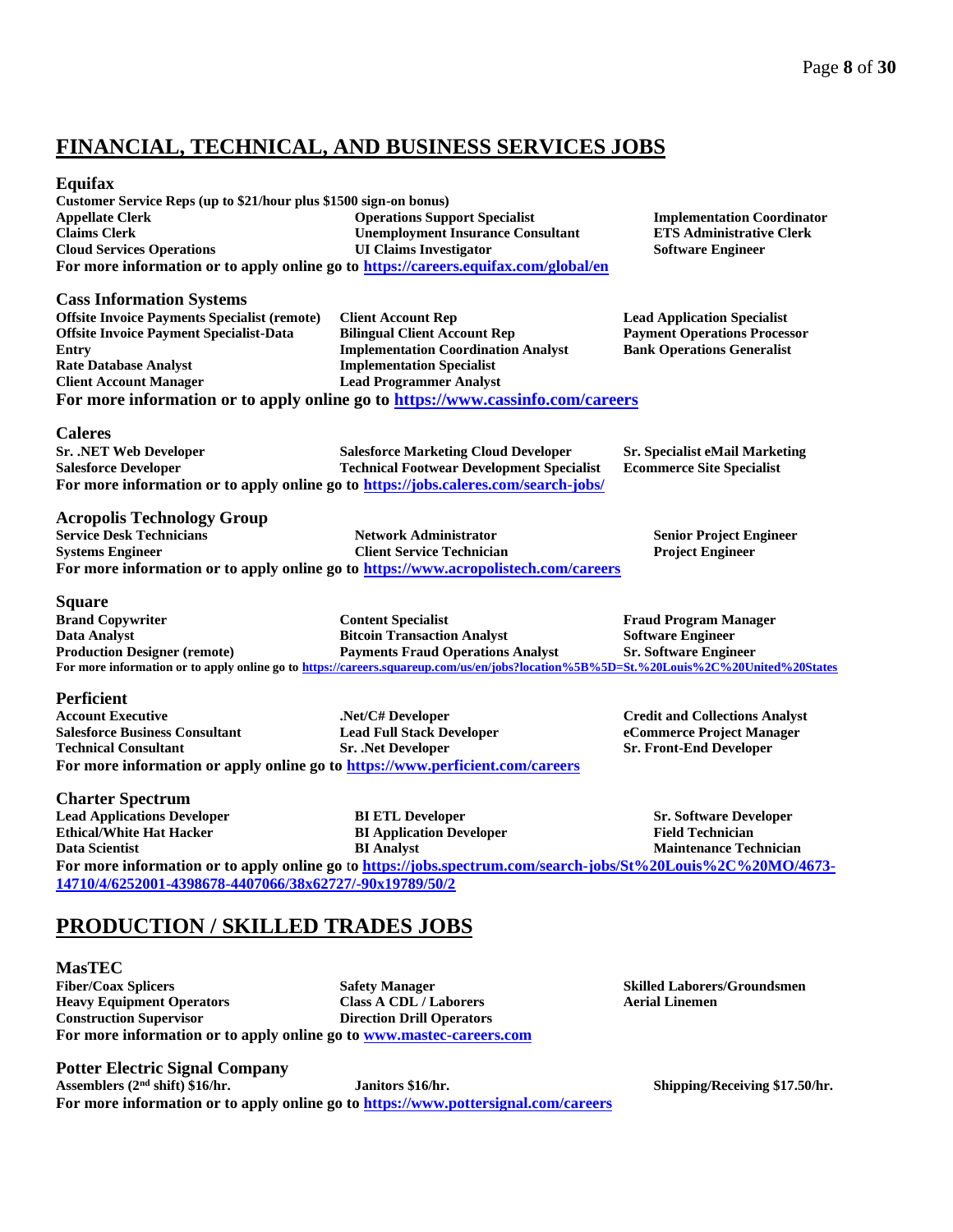# **FINANCIAL, TECHNICAL, AND BUSINESS SERVICES JOBS**

### **Equifax**

**Customer Service Reps (up to \$21/hour plus \$1500 sign-on bonus) Appellate Clerk Claims Clerk Cloud Services Operations Operations Support Specialist Unemployment Insurance Consultant UI Claims Investigator For more information or to apply online go to<https://careers.equifax.com/global/en>**

**Client Account Rep**

**Bilingual Client Account Rep**

**Implementation Specialist Lead Programmer Analyst**

**Implementation Coordination Analyst**

**Implementation Coordinator ETS Administrative Clerk Software Engineer**

**Lead Application Specialist Payment Operations Processor Bank Operations Generalist**

**Caleres**

**Entry**

**Sr. .NET Web Developer Salesforce Developer Salesforce Marketing Cloud Developer Technical Footwear Development Specialist Sr. Specialist eMail Marketing Ecommerce Site Specialist For more information or to apply online go to <https://jobs.caleres.com/search-jobs/>**

**For more information or to apply online go to<https://www.cassinfo.com/careers>**

**Acropolis Technology Group**

**Cass Information Systems**

**Rate Database Analyst Client Account Manager**

**Offsite Invoice Payments Specialist (remote) Offsite Invoice Payment Specialist-Data** 

**Service Desk Technicians Systems Engineer Network Administrator Client Service Technician For more information or to apply online go to<https://www.acropolistech.com/careers>**

### **Square**

**Brand Copywriter Data Analyst Production Designer (remote) Content Specialist Bitcoin Transaction Analyst Payments Fraud Operations Analyst Fraud Program Manager Software Engineer Sr. Software Engineer For more information or to apply online go to<https://careers.squareup.com/us/en/jobs?location%5B%5D=St.%20Louis%2C%20United%20States>**

### **Perficient**

**Account Executive Salesforce Business Consultant Technical Consultant .Net/C# Developer Lead Full Stack Developer Sr. .Net Developer For more information or apply online go to <https://www.perficient.com/careers>**

### **Charter Spectrum**

**Lead Applications Developer Ethical/White Hat Hacker Data Scientist BI ETL Developer BI Application Developer BI Analyst Sr. Software Developer Field Technician Maintenance Technician For more information or to apply online go** t**o [https://jobs.spectrum.com/search-jobs/St%20Louis%2C%20MO/4673-](https://jobs.spectrum.com/search-jobs/St%20Louis%2C%20MO/4673-14710/4/6252001-4398678-4407066/38x62727/-90x19789/50/2) [14710/4/6252001-4398678-4407066/38x62727/-90x19789/50/2](https://jobs.spectrum.com/search-jobs/St%20Louis%2C%20MO/4673-14710/4/6252001-4398678-4407066/38x62727/-90x19789/50/2)**

# **PRODUCTION / SKILLED TRADES JOBS**

**MasTEC Fiber/Coax Splicers Heavy Equipment Operators Construction Supervisor Safety Manager Class A CDL / Laborers Direction Drill Operators For more information or to apply online go to [www.mastec-careers.com](http://www.mastec-careers.com/)**

**Potter Electric Signal Company**

**Assemblers (2nd shift) \$16/hr. Janitors \$16/hr. Shipping/Receiving \$17.50/hr. For more information or to apply online go to <https://www.pottersignal.com/careers>**

**Skilled Laborers/Groundsmen Aerial Linemen**

**Senior Project Engineer Project Engineer**

**Credit and Collections Analyst eCommerce Project Manager Sr. Front-End Developer**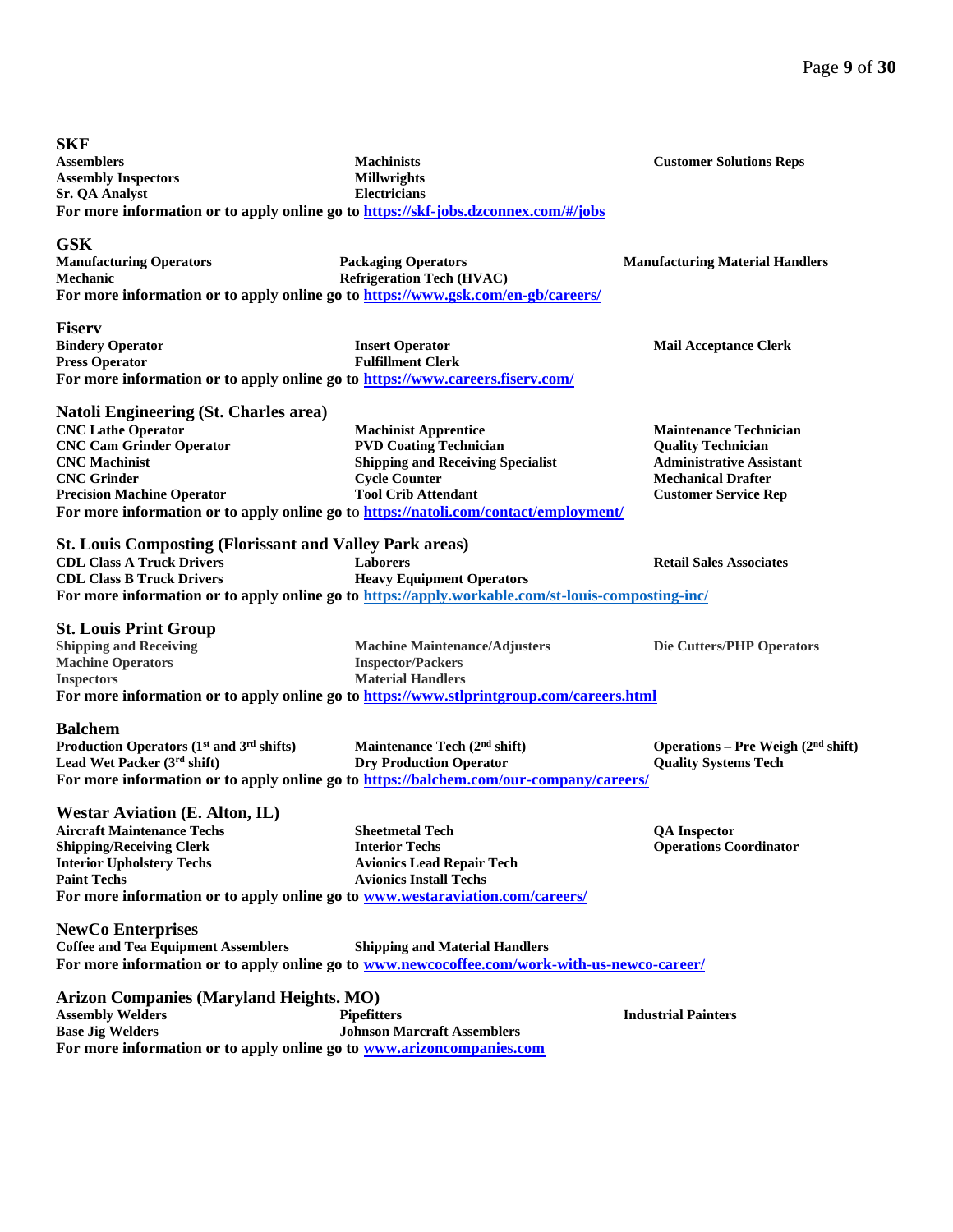| <b>SKF</b>                                                                                         |                                                                                                   |                                        |
|----------------------------------------------------------------------------------------------------|---------------------------------------------------------------------------------------------------|----------------------------------------|
| <b>Assemblers</b>                                                                                  | <b>Machinists</b>                                                                                 | <b>Customer Solutions Reps</b>         |
| <b>Assembly Inspectors</b>                                                                         | <b>Millwrights</b>                                                                                |                                        |
| <b>Sr. QA Analyst</b>                                                                              | <b>Electricians</b>                                                                               |                                        |
| For more information or to apply online go to https://skf-jobs.dzconnex.com/#/jobs                 |                                                                                                   |                                        |
| <b>GSK</b>                                                                                         |                                                                                                   |                                        |
| <b>Manufacturing Operators</b>                                                                     | <b>Packaging Operators</b>                                                                        | <b>Manufacturing Material Handlers</b> |
| Mechanic                                                                                           | <b>Refrigeration Tech (HVAC)</b>                                                                  |                                        |
| For more information or to apply online go to https://www.gsk.com/en-gb/careers/                   |                                                                                                   |                                        |
|                                                                                                    |                                                                                                   |                                        |
| <b>Fiserv</b>                                                                                      |                                                                                                   |                                        |
| <b>Bindery Operator</b>                                                                            | <b>Insert Operator</b>                                                                            | <b>Mail Acceptance Clerk</b>           |
| <b>Press Operator</b>                                                                              | <b>Fulfillment Clerk</b>                                                                          |                                        |
| For more information or to apply online go to https://www.careers.fiserv.com/                      |                                                                                                   |                                        |
| Natoli Engineering (St. Charles area)                                                              |                                                                                                   |                                        |
| <b>CNC Lathe Operator</b>                                                                          | <b>Machinist Apprentice</b>                                                                       | <b>Maintenance Technician</b>          |
| <b>CNC Cam Grinder Operator</b>                                                                    | <b>PVD Coating Technician</b>                                                                     | <b>Quality Technician</b>              |
| <b>CNC</b> Machinist                                                                               | <b>Shipping and Receiving Specialist</b>                                                          | <b>Administrative Assistant</b>        |
| <b>CNC</b> Grinder                                                                                 | <b>Cycle Counter</b>                                                                              | <b>Mechanical Drafter</b>              |
| <b>Precision Machine Operator</b>                                                                  | <b>Tool Crib Attendant</b>                                                                        | <b>Customer Service Rep</b>            |
|                                                                                                    | For more information or to apply online go to https://natoli.com/contact/employment/              |                                        |
|                                                                                                    |                                                                                                   |                                        |
| <b>St. Louis Composting (Florissant and Valley Park areas)</b><br><b>CDL Class A Truck Drivers</b> |                                                                                                   |                                        |
| <b>CDL Class B Truck Drivers</b>                                                                   | <b>Laborers</b><br><b>Heavy Equipment Operators</b>                                               | <b>Retail Sales Associates</b>         |
|                                                                                                    |                                                                                                   |                                        |
|                                                                                                    | For more information or to apply online go to https://apply.workable.com/st-louis-composting-inc/ |                                        |
| <b>St. Louis Print Group</b>                                                                       |                                                                                                   |                                        |
| <b>Shipping and Receiving</b>                                                                      | <b>Machine Maintenance/Adjusters</b>                                                              | Die Cutters/PHP Operators              |
| <b>Machine Operators</b>                                                                           | <b>Inspector/Packers</b>                                                                          |                                        |
| <b>Inspectors</b>                                                                                  | <b>Material Handlers</b>                                                                          |                                        |
| For more information or to apply online go to https://www.stlprintgroup.com/careers.html           |                                                                                                   |                                        |
| <b>Balchem</b>                                                                                     |                                                                                                   |                                        |
| Production Operators $(1st$ and $3rd$ shifts)                                                      | Maintenance Tech (2 <sup>nd</sup> shift)                                                          | Operations – Pre Weigh $(2nd shift)$   |
| Lead Wet Packer (3rd shift)                                                                        | <b>Dry Production Operator</b>                                                                    | <b>Quality Systems Tech</b>            |
| For more information or to apply online go to https://balchem.com/our-company/careers/             |                                                                                                   |                                        |
|                                                                                                    |                                                                                                   |                                        |
| <b>Westar Aviation (E. Alton, IL)</b>                                                              |                                                                                                   |                                        |
| <b>Aircraft Maintenance Techs</b>                                                                  | <b>Sheetmetal Tech</b>                                                                            | <b>QA</b> Inspector                    |
| <b>Shipping/Receiving Clerk</b>                                                                    | <b>Interior Techs</b>                                                                             | <b>Operations Coordinator</b>          |
| <b>Interior Upholstery Techs</b><br><b>Paint Techs</b>                                             | <b>Avionics Lead Repair Tech</b>                                                                  |                                        |
|                                                                                                    | <b>Avionics Install Techs</b>                                                                     |                                        |
| For more information or to apply online go to www.westaraviation.com/careers/                      |                                                                                                   |                                        |
| <b>NewCo Enterprises</b>                                                                           |                                                                                                   |                                        |
| <b>Coffee and Tea Equipment Assemblers</b>                                                         | <b>Shipping and Material Handlers</b>                                                             |                                        |
| For more information or to apply online go to www.newcocoffee.com/work-with-us-newco-career/       |                                                                                                   |                                        |
| <b>Arizon Companies (Maryland Heights. MO)</b>                                                     |                                                                                                   |                                        |
|                                                                                                    |                                                                                                   | <b>Industrial Painters</b>             |
| <b>Assembly Welders</b><br><b>Base Jig Welders</b>                                                 | <b>Pipefitters</b><br><b>Johnson Marcraft Assemblers</b>                                          |                                        |
| For more information or to apply online go to www.arizoncompanies.com                              |                                                                                                   |                                        |
|                                                                                                    |                                                                                                   |                                        |
|                                                                                                    |                                                                                                   |                                        |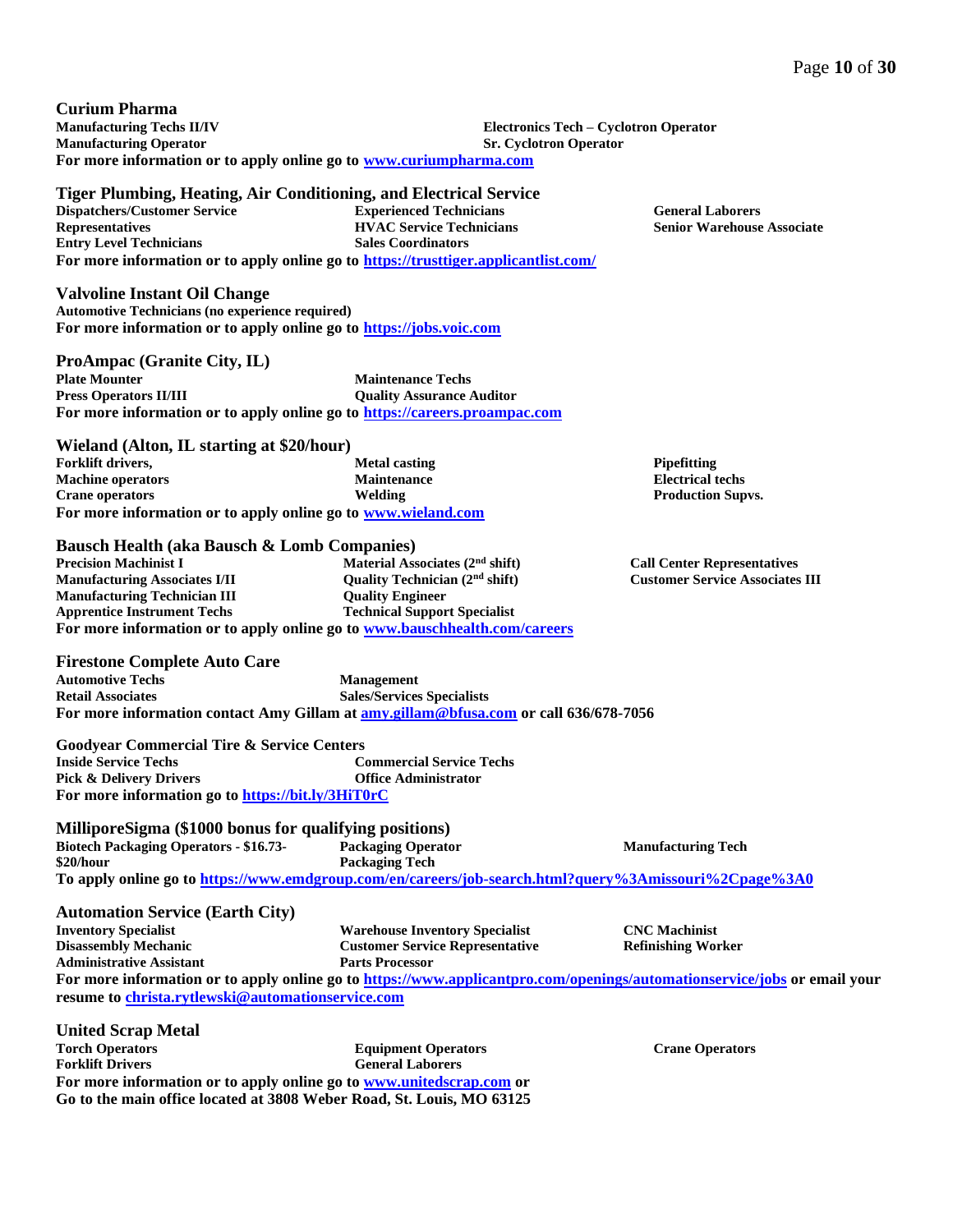**Curium Pharma Manufacturing Techs II/IV Manufacturing Operator Electronics Tech – Cyclotron Operator Sr. Cyclotron Operator For more information or to apply online go to [www.curiumpharma.com](http://www.curiumpharma.com/)**

### **Tiger Plumbing, Heating, Air Conditioning, and Electrical Service**

**Dispatchers/Customer Service Representatives Entry Level Technicians Experienced Technicians HVAC Service Technicians Sales Coordinators For more information or to apply online go to<https://trusttiger.applicantlist.com/>**

### **Valvoline Instant Oil Change**

**Automotive Technicians (no experience required) For more information or to apply online go to [https://jobs.voic.com](https://jobs.voic.com/)**

**ProAmpac (Granite City, IL) Plate Mounter Press Operators II/III Maintenance Techs Quality Assurance Auditor For more information or to apply online go to [https://careers.proampac.com](https://careers.proampac.com/)**

**Wieland (Alton, IL starting at \$20/hour) Forklift drivers, Machine operators Crane operators Metal casting Maintenance Welding For more information or to apply online go to [www.wieland.com](http://www.wieland.com/)**

#### **Bausch Health (aka Bausch & Lomb Companies)**

**Precision Machinist I Manufacturing Associates I/II Manufacturing Technician III Apprentice Instrument Techs Material Associates (2nd shift) Quality Technician (2nd shift) Quality Engineer Technical Support Specialist For more information or to apply online go to [www.bauschhealth.com/careers](http://www.bauschhealth.com/careers)**

### **Firestone Complete Auto Care**

**Automotive Techs Retail Associates Management Sales/Services Specialists For more information contact Amy Gillam at [amy.gillam@bfusa.com](mailto:amy.gillam@bfusa.com) or call 636/678-7056**

**Goodyear Commercial Tire & Service Centers Inside Service Techs Pick & Delivery Drivers Commercial Service Techs Office Administrator For more information go to <https://bit.ly/3HiT0rC>**

### **MilliporeSigma (\$1000 bonus for qualifying positions)**

| <b>Biotech Packaging Operators - \$16.73-</b> | <b>Packaging Operator</b> | <b>Manufacturing Tech</b>                                                                             |
|-----------------------------------------------|---------------------------|-------------------------------------------------------------------------------------------------------|
| \$20/hour                                     | <b>Packaging Tech</b>     |                                                                                                       |
|                                               |                           | To apply online go to https://www.emdgroup.com/en/careers/job-search.html?query%3Amissouri%2Cpage%3A0 |

### **Automation Service (Earth City)**

|        | <b>Inventory Specialist</b>     |  |  | <b>Warehouse Inventory Specialist</b>  |  |  |  | <b>CNC</b> Machinist      |  |  |
|--------|---------------------------------|--|--|----------------------------------------|--|--|--|---------------------------|--|--|
|        | Disassembly Mechanic            |  |  | <b>Customer Service Representative</b> |  |  |  | <b>Refinishing Worker</b> |  |  |
|        | <b>Administrative Assistant</b> |  |  | <b>Parts Processor</b>                 |  |  |  |                           |  |  |
| $\sim$ |                                 |  |  |                                        |  |  |  |                           |  |  |

**For more information or to apply online go to <https://www.applicantpro.com/openings/automationservice/jobs> or email your resume to [christa.rytlewski@automationservice.com](mailto:christa.rytlewski@automationservice.com)**

| <b>United Scrap Metal</b> |                                                                       |
|---------------------------|-----------------------------------------------------------------------|
| <b>Torch Operators</b>    | <b>Equipment Operators</b>                                            |
| <b>Forklift Drivers</b>   | <b>General Laborers</b>                                               |
|                           | For more information or to apply online go to www.unitedscrap.com or  |
|                           | Go to the main office located at 3808 Weber Road, St. Louis, MO 63125 |

**Crane Operators**

**Senior Warehouse Associate**

**General Laborers**

**Pipefitting Electrical techs Production Supvs.**

**Call Center Representatives Customer Service Associates III**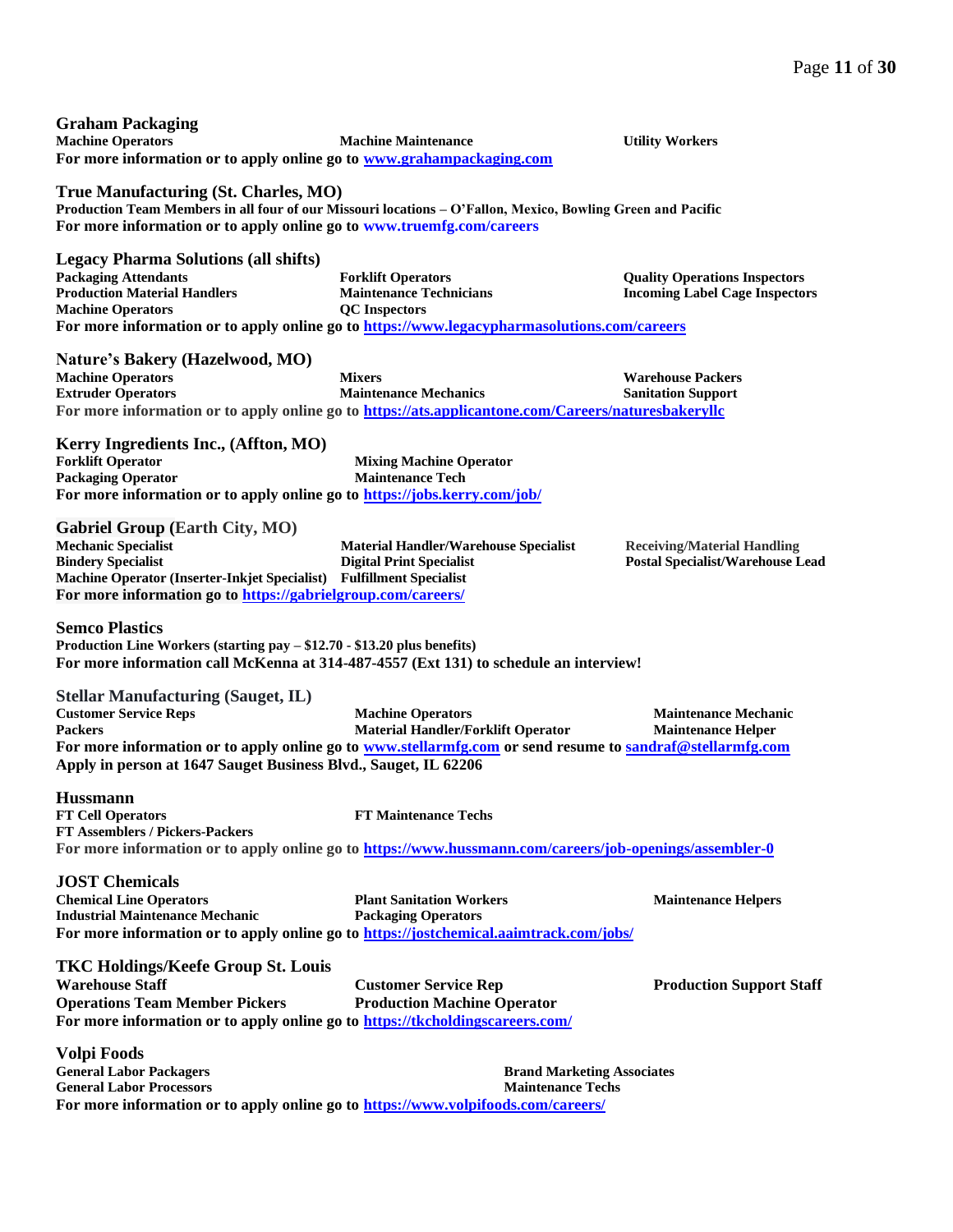**Inspectors** 

| <b>Graham Packaging</b>  |                                                                       |
|--------------------------|-----------------------------------------------------------------------|
| <b>Machine Operators</b> | <b>Machine Maintenance</b>                                            |
|                          | For more information or to apply online go to www.grahampackaging.com |

**True Manufacturing (St. Charles, MO) Production Team Members in all four of our Missouri locations – O'Fallon, Mexico, Bowling Green and Pacific For more information or to apply online go to [www.truemfg.com/careers](http://www.truemfg.com/careers?fbclid=IwAR3L-Iuvh7tikLAHL7sAhrHqU6aeLrgN9CuxcI9B7qlNARDvuTKUvIsMcj8)**

**Legacy Pharma Solutions (all shifts)**

| <b>Packaging Attendants</b>         | <b>Forklift Operators</b>                                                                   | <b>Ouality Operations Inspectors</b> |
|-------------------------------------|---------------------------------------------------------------------------------------------|--------------------------------------|
| <b>Production Material Handlers</b> | <b>Maintenance Technicians</b>                                                              | <b>Incoming Label Cage Inspector</b> |
| <b>Machine Operators</b>            | <b>OC</b> Inspectors                                                                        |                                      |
|                                     | For more information or to apply online go to https://www.legacypharmasolutions.com/careers |                                      |

**Nature's Bakery (Hazelwood, MO)**

**Machine Operators Extruder Operators Mixers Maintenance Mechanics Warehouse Packers Sanitation Support For more information or to apply online go to <https://ats.applicantone.com/Careers/naturesbakeryllc>**

**Kerry Ingredients Inc., (Affton, MO) Forklift Operator Packaging Operator Mixing Machine Operator Maintenance Tech For more information or to apply online go to<https://jobs.kerry.com/job/>**

**Gabriel Group (Earth City, MO)**

**Mechanic Specialist Bindery Specialist Machine Operator (Inserter-Inkjet Specialist) Material Handler/Warehouse Specialist Digital Print Specialist Fulfillment Specialist For more information go to <https://gabrielgroup.com/careers/>**

**Receiving/Material Handling Postal Specialist/Warehouse Lead** 

*Utility Workers* 

**Semco Plastics Production Line Workers (starting pay – \$12.70 - \$13.20 plus benefits)**

**For more information call McKenna at 314-487-4557 (Ext 131) to schedule an interview!**

**Stellar Manufacturing (Sauget, IL)**

**FT Assemblers / Pickers-Packers**

**Customer Service Reps Packers Machine Operators Material Handler/Forklift Operator Maintenance Mechanic Maintenance Helper For more information or to apply online go to [www.stellarmfg.com](http://www.stellarmfg.com/) or send resume to [sandraf@stellarmfg.com](mailto:sandraf@stellarmfg.com) Apply in person at 1647 Sauget Business Blvd., Sauget, IL 62206**

**Hussmann**

**FT Cell Operators FT Maintenance Techs**

**For more information or to apply online go to<https://www.hussmann.com/careers/job-openings/assembler-0>**

**JOST Chemicals Chemical Line Operators Industrial Maintenance Mechanic Plant Sanitation Workers Packaging Operators Maintenance Helpers For more information or to apply online go to<https://jostchemical.aaimtrack.com/jobs/>**

| <b>TKC Holdings/Keefe Group St. Louis</b>                                     |                                    |
|-------------------------------------------------------------------------------|------------------------------------|
| <b>Warehouse Staff</b>                                                        | <b>Customer Service Rep</b>        |
| <b>Operations Team Member Pickers</b>                                         | <b>Production Machine Operator</b> |
| For more information or to apply online go to https://tkcholdingscareers.com/ |                                    |

**Production Support Staff**

**Volpi Foods General Labor Packagers General Labor Processors Brand Marketing Associates Maintenance Techs For more information or to apply online go to<https://www.volpifoods.com/careers/>**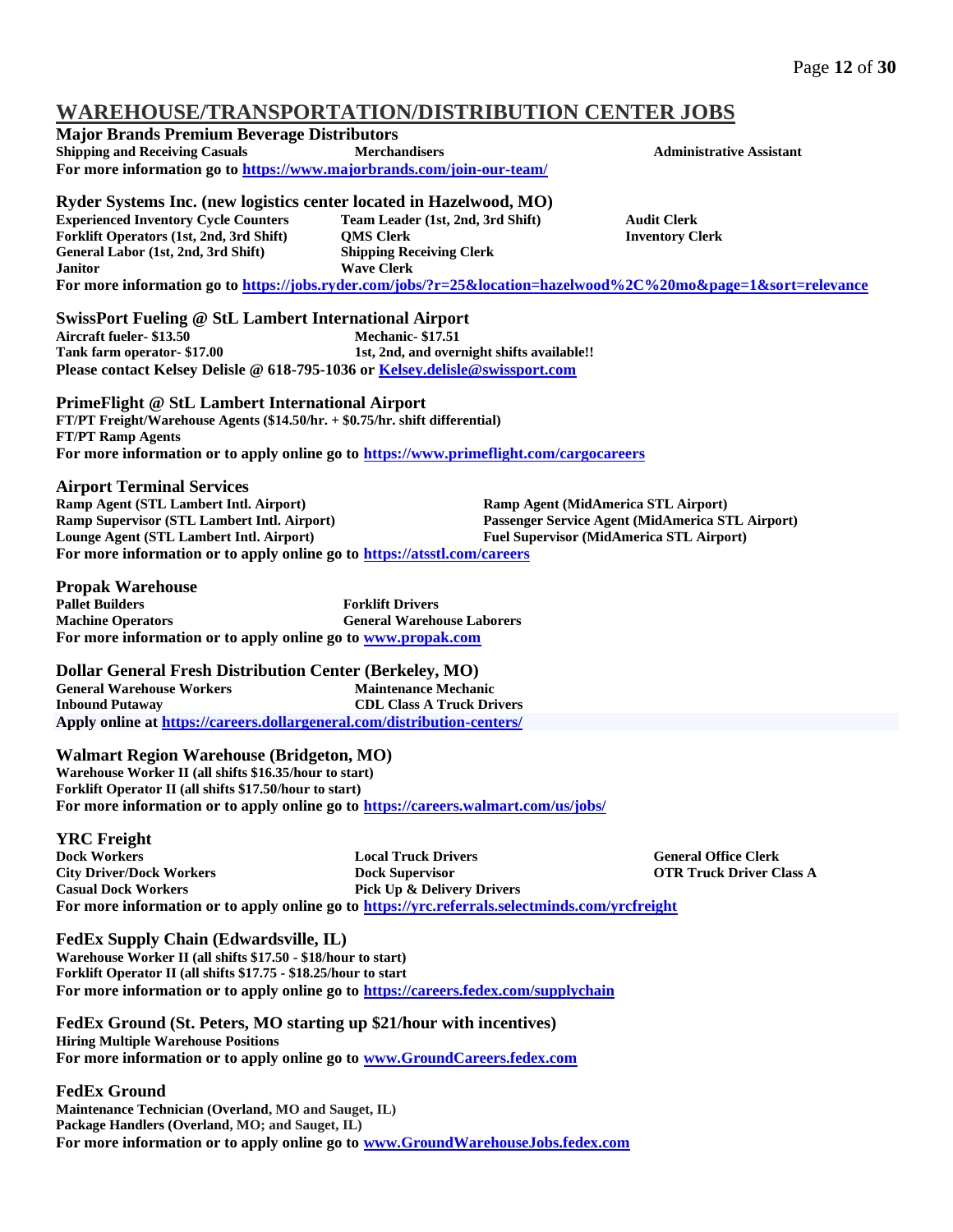# **WAREHOUSE/TRANSPORTATION/DISTRIBUTION CENTER JOBS**

| WANEIIOUSE/ I NAI\SI UN I A HUI\/DISTNIBU HUI\ CENTEN JUDS                                                    |                                            |                                                 |                                                  |  |  |  |
|---------------------------------------------------------------------------------------------------------------|--------------------------------------------|-------------------------------------------------|--------------------------------------------------|--|--|--|
| <b>Major Brands Premium Beverage Distributors</b>                                                             |                                            |                                                 |                                                  |  |  |  |
| <b>Shipping and Receiving Casuals</b>                                                                         | <b>Merchandisers</b>                       |                                                 | <b>Administrative Assistant</b>                  |  |  |  |
| For more information go to https://www.majorbrands.com/join-our-team/                                         |                                            |                                                 |                                                  |  |  |  |
|                                                                                                               |                                            |                                                 |                                                  |  |  |  |
| Ryder Systems Inc. (new logistics center located in Hazelwood, MO)                                            |                                            |                                                 |                                                  |  |  |  |
| <b>Experienced Inventory Cycle Counters</b>                                                                   | Team Leader (1st, 2nd, 3rd Shift)          |                                                 | <b>Audit Clerk</b>                               |  |  |  |
| Forklift Operators (1st, 2nd, 3rd Shift)                                                                      | <b>QMS Clerk</b>                           |                                                 | <b>Inventory Clerk</b>                           |  |  |  |
| General Labor (1st, 2nd, 3rd Shift)                                                                           | <b>Shipping Receiving Clerk</b>            |                                                 |                                                  |  |  |  |
| <b>Janitor</b>                                                                                                | <b>Wave Clerk</b>                          |                                                 |                                                  |  |  |  |
| For more information go to https://jobs.ryder.com/jobs/?r=25&location=hazelwood%2C%20mo&page=1&sort=relevance |                                            |                                                 |                                                  |  |  |  |
|                                                                                                               |                                            |                                                 |                                                  |  |  |  |
| <b>SwissPort Fueling @ StL Lambert International Airport</b>                                                  |                                            |                                                 |                                                  |  |  |  |
| Aircraft fueler- \$13.50                                                                                      | Mechanic-\$17.51                           |                                                 |                                                  |  |  |  |
| Tank farm operator-\$17.00                                                                                    | 1st, 2nd, and overnight shifts available!! |                                                 |                                                  |  |  |  |
| Please contact Kelsey Delisle @ 618-795-1036 or Kelsey.delisle@swissport.com                                  |                                            |                                                 |                                                  |  |  |  |
|                                                                                                               |                                            |                                                 |                                                  |  |  |  |
| PrimeFlight @ StL Lambert International Airport                                                               |                                            |                                                 |                                                  |  |  |  |
| FT/PT Freight/Warehouse Agents (\$14.50/hr. + \$0.75/hr. shift differential)                                  |                                            |                                                 |                                                  |  |  |  |
| <b>FT/PT Ramp Agents</b>                                                                                      |                                            |                                                 |                                                  |  |  |  |
| For more information or to apply online go to https://www.primeflight.com/cargocareers                        |                                            |                                                 |                                                  |  |  |  |
|                                                                                                               |                                            |                                                 |                                                  |  |  |  |
| <b>Airport Terminal Services</b>                                                                              |                                            |                                                 |                                                  |  |  |  |
| Ramp Agent (STL Lambert Intl. Airport)                                                                        |                                            | Ramp Agent (MidAmerica STL Airport)             |                                                  |  |  |  |
| Ramp Supervisor (STL Lambert Intl. Airport)<br>Lounge Agent (STL Lambert Intl. Airport)                       |                                            | <b>Fuel Supervisor (MidAmerica STL Airport)</b> | Passenger Service Agent (MidAmerica STL Airport) |  |  |  |
| For more information or to apply online go to https://atsstl.com/careers                                      |                                            |                                                 |                                                  |  |  |  |
|                                                                                                               |                                            |                                                 |                                                  |  |  |  |
| <b>Propak Warehouse</b>                                                                                       |                                            |                                                 |                                                  |  |  |  |
| <b>Pallet Builders</b>                                                                                        | <b>Forklift Drivers</b>                    |                                                 |                                                  |  |  |  |
| <b>Machine Operators</b>                                                                                      | <b>General Warehouse Laborers</b>          |                                                 |                                                  |  |  |  |
| For more information or to apply online go to www.propak.com                                                  |                                            |                                                 |                                                  |  |  |  |
|                                                                                                               |                                            |                                                 |                                                  |  |  |  |
| <b>Dollar General Fresh Distribution Center (Berkeley, MO)</b>                                                |                                            |                                                 |                                                  |  |  |  |
| <b>General Warehouse Workers</b>                                                                              | <b>Maintenance Mechanic</b>                |                                                 |                                                  |  |  |  |
| <b>Inbound Putaway</b>                                                                                        | <b>CDL Class A Truck Drivers</b>           |                                                 |                                                  |  |  |  |
| Apply online at https://careers.dollargeneral.com/distribution-centers/                                       |                                            |                                                 |                                                  |  |  |  |
|                                                                                                               |                                            |                                                 |                                                  |  |  |  |
| <b>Walmart Region Warehouse (Bridgeton, MO)</b>                                                               |                                            |                                                 |                                                  |  |  |  |
| Warehouse Worker II (all shifts \$16.35/hour to start)                                                        |                                            |                                                 |                                                  |  |  |  |
| Forklift Operator II (all shifts \$17.50/hour to start)                                                       |                                            |                                                 |                                                  |  |  |  |
| For more information or to apply online go to https://careers.walmart.com/us/jobs/                            |                                            |                                                 |                                                  |  |  |  |
|                                                                                                               |                                            |                                                 |                                                  |  |  |  |
| <b>YRC</b> Freight                                                                                            |                                            |                                                 |                                                  |  |  |  |
| <b>Dock Workers</b>                                                                                           | <b>Local Truck Drivers</b>                 |                                                 | <b>General Office Clerk</b>                      |  |  |  |
| <b>City Driver/Dock Workers</b>                                                                               | <b>Dock Supervisor</b>                     |                                                 | <b>OTR Truck Driver Class A</b>                  |  |  |  |
| <b>Casual Dock Workers</b>                                                                                    | <b>Pick Up &amp; Delivery Drivers</b>      |                                                 |                                                  |  |  |  |
| For more information or to apply online go to https://yrc.referrals.selectminds.com/yrcfreight                |                                            |                                                 |                                                  |  |  |  |
|                                                                                                               |                                            |                                                 |                                                  |  |  |  |
| <b>FedEx Supply Chain (Edwardsville, IL)</b>                                                                  |                                            |                                                 |                                                  |  |  |  |
| Warehouse Worker II (all shifts \$17.50 - \$18/hour to start)                                                 |                                            |                                                 |                                                  |  |  |  |
| Forklift Operator II (all shifts \$17.75 - \$18.25/hour to start                                              |                                            |                                                 |                                                  |  |  |  |
| For more information or to apply online go to https://careers.fedex.com/supplychain                           |                                            |                                                 |                                                  |  |  |  |
|                                                                                                               |                                            |                                                 |                                                  |  |  |  |
| FedEx Ground (St. Peters, MO starting up \$21/hour with incentives)                                           |                                            |                                                 |                                                  |  |  |  |
| <b>Hiring Multiple Warehouse Positions</b>                                                                    |                                            |                                                 |                                                  |  |  |  |
| For more information or to apply online go to www.GroundCareers.fedex.com                                     |                                            |                                                 |                                                  |  |  |  |
|                                                                                                               |                                            |                                                 |                                                  |  |  |  |
| <b>FedEx Ground</b>                                                                                           |                                            |                                                 |                                                  |  |  |  |
| Maintenance Technician (Overland, MO and Sauget, IL)                                                          |                                            |                                                 |                                                  |  |  |  |
| Package Handlers (Overland, MO; and Sauget, IL)                                                               |                                            |                                                 |                                                  |  |  |  |

**For more information or to apply online go to [www.GroundWarehouseJobs.fedex.com](http://www.groundwarehousejobs.fedex.com/)**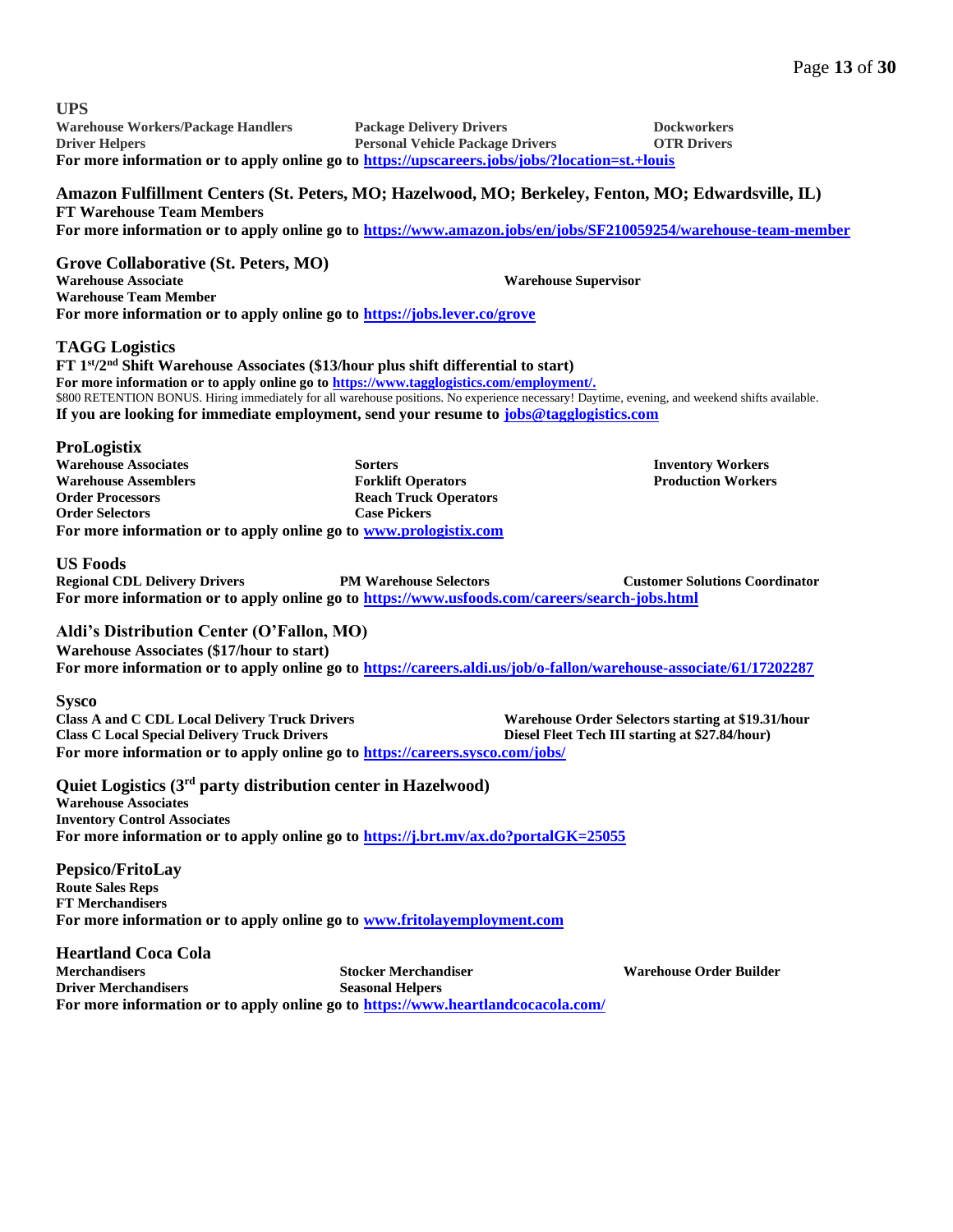| <b>UPS</b><br><b>Warehouse Workers/Package Handlers</b>                                                                                                                                                                                                                                                                                                                                                                                                           | <b>Package Delivery Drivers</b>                                                                    |                                                 | <b>Dockworkers</b>                                    |
|-------------------------------------------------------------------------------------------------------------------------------------------------------------------------------------------------------------------------------------------------------------------------------------------------------------------------------------------------------------------------------------------------------------------------------------------------------------------|----------------------------------------------------------------------------------------------------|-------------------------------------------------|-------------------------------------------------------|
| <b>Driver Helpers</b><br>For more information or to apply online go to https://upscareers.jobs/jobs/?location=st.+louis                                                                                                                                                                                                                                                                                                                                           | <b>Personal Vehicle Package Drivers</b>                                                            |                                                 | <b>OTR Drivers</b>                                    |
| Amazon Fulfillment Centers (St. Peters, MO; Hazelwood, MO; Berkeley, Fenton, MO; Edwardsville, IL)<br><b>FT Warehouse Team Members</b><br>For more information or to apply online go to https://www.amazon.jobs/en/jobs/SF210059254/warehouse-team-member                                                                                                                                                                                                         |                                                                                                    |                                                 |                                                       |
| Grove Collaborative (St. Peters, MO)<br><b>Warehouse Associate</b><br><b>Warehouse Team Member</b><br>For more information or to apply online go to https://jobs.lever.co/grove                                                                                                                                                                                                                                                                                   |                                                                                                    | <b>Warehouse Supervisor</b>                     |                                                       |
| <b>TAGG</b> Logistics<br>FT 1st/2 <sup>nd</sup> Shift Warehouse Associates (\$13/hour plus shift differential to start)<br>For more information or to apply online go to https://www.tagglogistics.com/employment/.<br>\$800 RETENTION BONUS. Hiring immediately for all warehouse positions. No experience necessary! Daytime, evening, and weekend shifts available.<br>If you are looking for immediate employment, send your resume to jobs@tagglogistics.com |                                                                                                    |                                                 |                                                       |
| <b>ProLogistix</b><br><b>Warehouse Associates</b><br><b>Warehouse Assemblers</b><br><b>Order Processors</b><br><b>Order Selectors</b><br>For more information or to apply online go to www.prologistix.com                                                                                                                                                                                                                                                        | <b>Sorters</b><br><b>Forklift Operators</b><br><b>Reach Truck Operators</b><br><b>Case Pickers</b> |                                                 | <b>Inventory Workers</b><br><b>Production Workers</b> |
| <b>US Foods</b><br><b>Regional CDL Delivery Drivers</b><br>For more information or to apply online go to https://www.usfoods.com/careers/search-jobs.html                                                                                                                                                                                                                                                                                                         | <b>PM Warehouse Selectors</b>                                                                      |                                                 | <b>Customer Solutions Coordinator</b>                 |
| Aldi's Distribution Center (O'Fallon, MO)<br><b>Warehouse Associates (\$17/hour to start)</b><br>For more information or to apply online go to https://careers.aldi.us/job/o-fallon/warehouse-associate/61/17202287                                                                                                                                                                                                                                               |                                                                                                    |                                                 |                                                       |
| <b>Sysco</b><br><b>Class A and C CDL Local Delivery Truck Drivers</b><br><b>Class C Local Special Delivery Truck Drivers</b><br>For more information or to apply online go to https://careers.sysco.com/jobs/                                                                                                                                                                                                                                                     |                                                                                                    | Diesel Fleet Tech III starting at \$27.84/hour) | Warehouse Order Selectors starting at \$19.31/hour    |
| Quiet Logistics (3 <sup>rd</sup> party distribution center in Hazelwood)<br><b>Warehouse Associates</b><br><b>Inventory Control Associates</b><br>For more information or to apply online go to https://j.brt.mv/ax.do?portalGK=25055                                                                                                                                                                                                                             |                                                                                                    |                                                 |                                                       |
| Pepsico/FritoLay<br><b>Route Sales Reps</b><br><b>FT Merchandisers</b><br>For more information or to apply online go to www.fritolayemployment.com                                                                                                                                                                                                                                                                                                                |                                                                                                    |                                                 |                                                       |
| <b>Heartland Coca Cola</b><br><b>Merchandisers</b><br><b>Driver Merchandisers</b><br>For more information or to apply online go to https://www.heartlandcocacola.com/                                                                                                                                                                                                                                                                                             | <b>Stocker Merchandiser</b><br><b>Seasonal Helpers</b>                                             |                                                 | <b>Warehouse Order Builder</b>                        |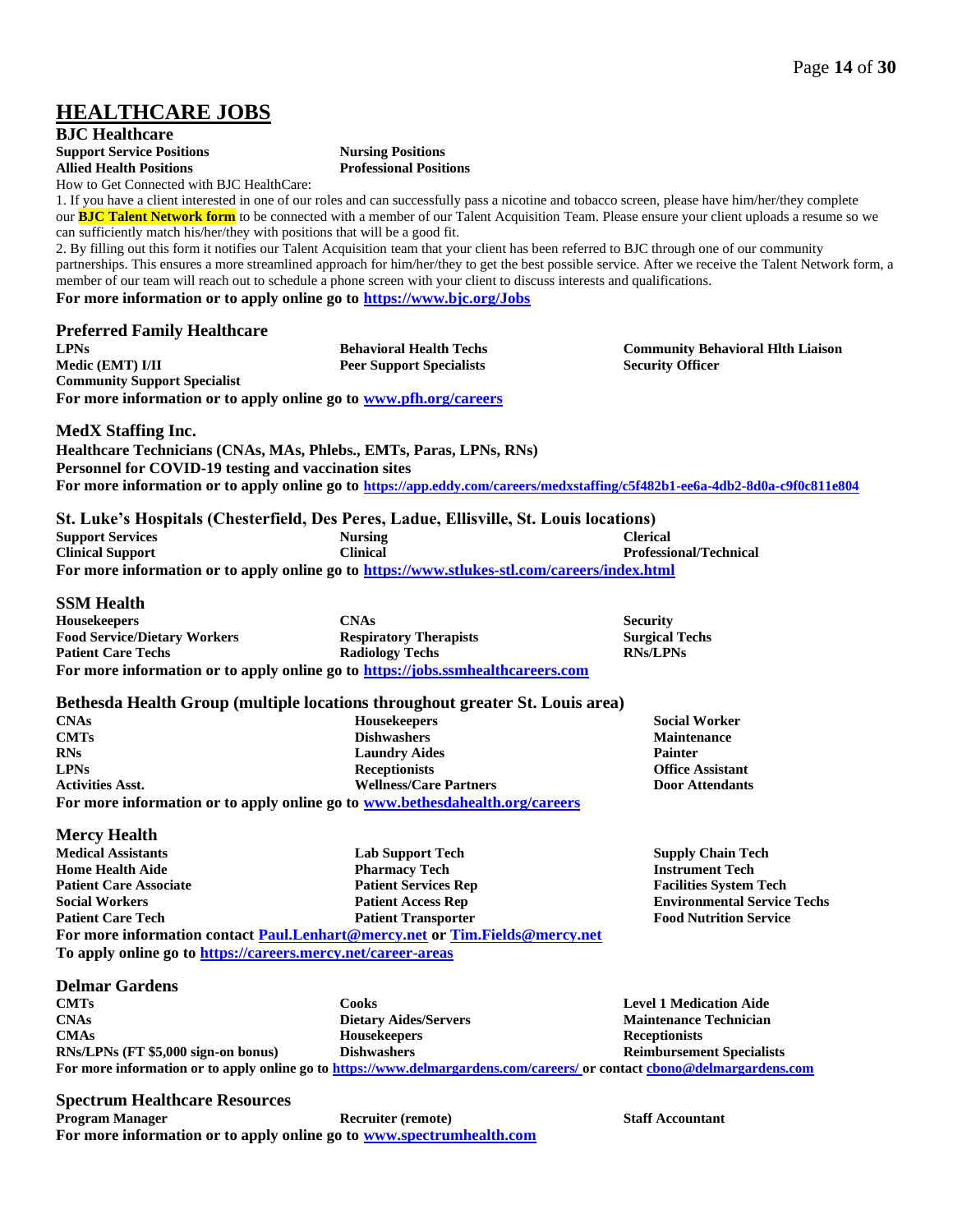# **HEALTHCARE JOBS**

**BJC Healthcare Support Service Positions Allied Health Positions** How to Get Connected with BJC HealthCare:

**Nursing Positions Professional Positions**

1. If you have a client interested in one of our roles and can successfully pass a nicotine and tobacco screen, please have him/her/they complete our **[BJC Talent Network form](https://apply.talemetry.com/init-apply/776e9c8b-5f2c-41a1-9882-e2dd7b23c65f/tn)** to be connected with a member of our Talent Acquisition Team. Please ensure your client uploads a resume so we can sufficiently match his/her/they with positions that will be a good fit.

2. By filling out this form it notifies our Talent Acquisition team that your client has been referred to BJC through one of our community partnerships. This ensures a more streamlined approach for him/her/they to get the best possible service. After we receive the Talent Network form, a member of our team will reach out to schedule a phone screen with your client to discuss interests and qualifications. **For more information or to apply online go to<https://www.bjc.org/Jobs>**

### **Preferred Family Healthcare**

**LPNs Medic (EMT) I/II Behavioral Health Techs Peer Support Specialists Community Support Specialist For more information or to apply online go to [www.pfh.org/careers](http://www.pfh.org/careers)** **Community Behavioral Hlth Liaison Security Officer**

### **MedX Staffing Inc.**

**Healthcare Technicians (CNAs, MAs, Phlebs., EMTs, Paras, LPNs, RNs) Personnel for COVID-19 testing and vaccination sites For more information or to apply online go to <https://app.eddy.com/careers/medxstaffing/c5f482b1-ee6a-4db2-8d0a-c9f0c811e804>**

| St. Luke's Hospitals (Chesterfield, Des Peres, Ladue, Ellisville, St. Louis locations)       |                |                               |  |  |  |  |
|----------------------------------------------------------------------------------------------|----------------|-------------------------------|--|--|--|--|
| <b>Support Services</b>                                                                      | <b>Nursing</b> | <b>Clerical</b>               |  |  |  |  |
| <b>Clinical Support</b>                                                                      | Clinical       | <b>Professional/Technical</b> |  |  |  |  |
| For more information or to apply online go to https://www.stlukes-stl.com/careers/index.html |                |                               |  |  |  |  |

### **SSM Health**

**Housekeepers Food Service/Dietary Workers Patient Care Techs CNAs Respiratory Therapists Radiology Techs Security Surgical Techs RNs/LPNs For more information or to apply online go to [https://jobs.ssmhealthcareers.com](https://jobs.ssmhealthcareers.com/)** 

### **Bethesda Health Group (multiple locations throughout greater St. Louis area)**

| <b>CNAs</b>             | <b>Housekeepers</b>                                                          | <b>Social Worker</b>    |
|-------------------------|------------------------------------------------------------------------------|-------------------------|
| <b>CMTs</b>             | <b>Dishwashers</b>                                                           | <b>Maintenance</b>      |
| <b>RNs</b>              | <b>Laundry Aides</b>                                                         | <b>Painter</b>          |
| <b>LPNs</b>             | <b>Receptionists</b>                                                         | <b>Office Assistant</b> |
| <b>Activities Asst.</b> | <b>Wellness/Care Partners</b>                                                | <b>Door Attendants</b>  |
|                         | For more information or to apply online go to www.bethesdahealth.org/careers |                         |

### **Mercy Health**

**Medical Assistants Home Health Aide Patient Care Associate Social Workers Patient Care Tech Lab Support Tech Pharmacy Tech Patient Services Rep Patient Access Rep Patient Transporter For more information contact [Paul.Lenhart@mercy.net](mailto:Paul.Lenhart@mercy.net) or [Tim.Fields@mercy.net](mailto:Tim.Fields@mercy.net) To apply online go to<https://careers.mercy.net/career-areas>**

### **Delmar Gardens**

| <b>CMTs</b>                                                                                                             | Cooks                        | <b>Level 1 Medication Aide</b>   |  |  |  |
|-------------------------------------------------------------------------------------------------------------------------|------------------------------|----------------------------------|--|--|--|
| <b>CNAs</b>                                                                                                             | <b>Dietary Aides/Servers</b> | <b>Maintenance Technician</b>    |  |  |  |
| <b>CMAs</b>                                                                                                             | <b>Housekeepers</b>          | <b>Receptionists</b>             |  |  |  |
| RNs/LPNs (FT \$5,000 sign-on bonus)                                                                                     | <b>Dishwashers</b>           | <b>Reimbursement Specialists</b> |  |  |  |
| For more information or to apply online go to https://www.delmargardens.com/careers/ or contact chono@delmargardens.com |                              |                                  |  |  |  |

### **Spectrum Healthcare Resources**

**Program Manager Recruiter (remote) Recruiter (remote) Staff Accountant For more information or to apply online go to [www.spectrumhealth.com](http://www.spectrumhealth.com/)**

**Supply Chain Tech Instrument Tech Facilities System Tech Environmental Service Techs Food Nutrition Service**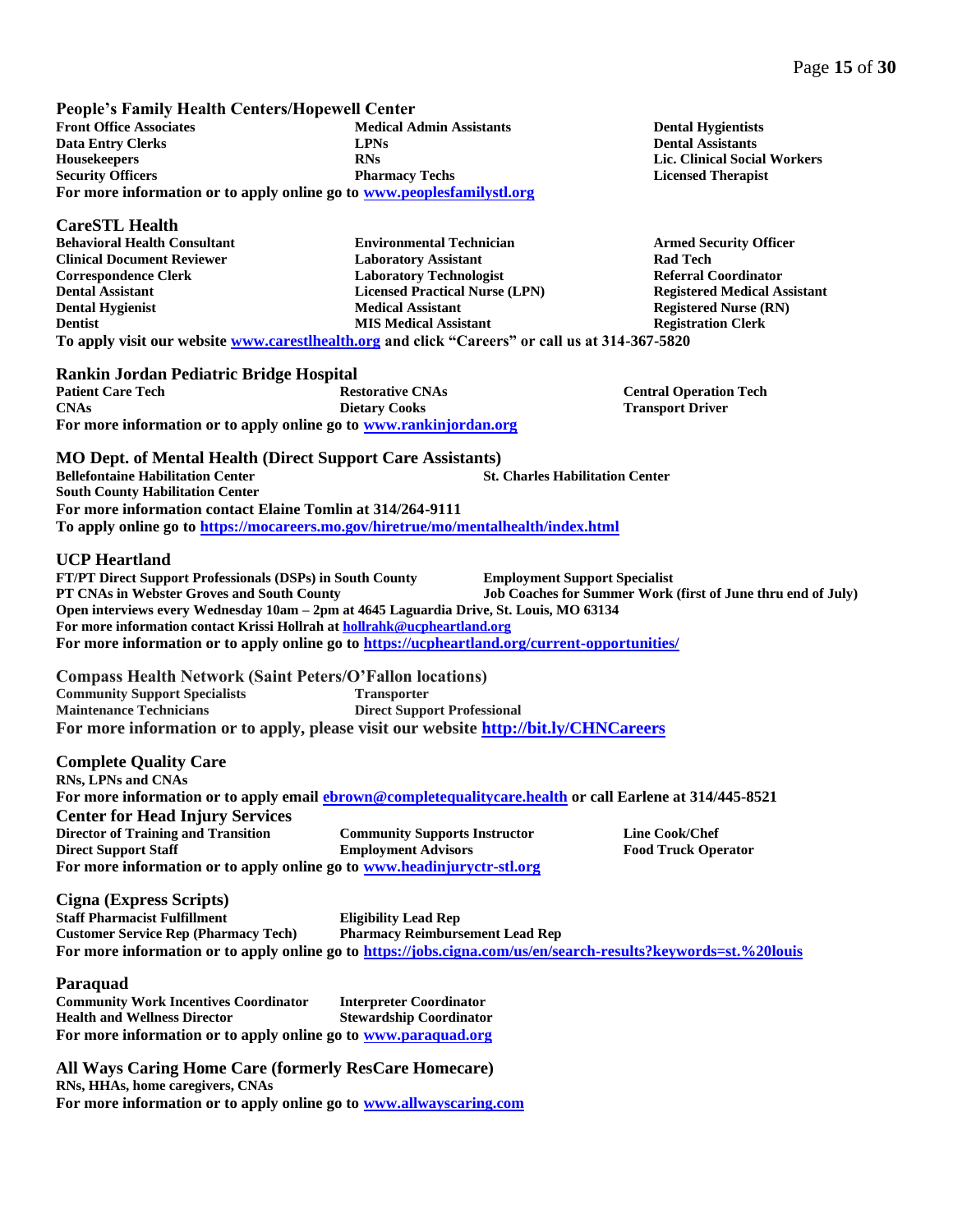**People's Family Health Centers/Hopewell Center Front Office Associates Data Entry Clerks Housekeepers Security Officers Medical Admin Assistants LPNs RNs Pharmacy Techs For more information or to apply online go to [www.peoplesfamilystl.org](http://www.peoplesfamilystl.org/)**

### **CareSTL Health**

**Behavioral Health Consultant Clinical Document Reviewer Correspondence Clerk Dental Assistant Dental Hygienist Dentist**

**Environmental Technician Laboratory Assistant Laboratory Technologist Licensed Practical Nurse (LPN) Medical Assistant MIS Medical Assistant**

**Dental Hygientists Dental Assistants Lic. Clinical Social Workers Licensed Therapist**

**Armed Security Officer Rad Tech Referral Coordinator Registered Medical Assistant Registered Nurse (RN) Registration Clerk**

**To apply visit our website [www.carestlhealth.org](http://www.carestlhealth.org/) and click "Careers" or call us at 314-367-5820**

### **Rankin Jordan Pediatric Bridge Hospital**

**Patient Care Tech CNAs Restorative CNAs Dietary Cooks Central Operation Tech Transport Driver For more information or to apply online go to [www.rankinjordan.org](http://www.rankinjordan.org/)**

**MO Dept. of Mental Health (Direct Support Care Assistants) Bellefontaine Habilitation Center South County Habilitation Center St. Charles Habilitation Center For more information contact Elaine Tomlin at 314/264-9111 To apply online go to<https://mocareers.mo.gov/hiretrue/mo/mentalhealth/index.html>**

### **UCP Heartland**

**FT/PT Direct Support Professionals (DSPs) in South County PT CNAs in Webster Groves and South County Employment Support Specialist Job Coaches for Summer Work (first of June thru end of July) Open interviews every Wednesday 10am – 2pm at 4645 Laguardia Drive, St. Louis, MO 63134 For more information contact Krissi Hollrah a[t hollrahk@ucpheartland.org](mailto:hollrahk@ucpheartland.org) For more information or to apply online go t[o https://ucpheartland.org/current-opportunities/](https://ucpheartland.org/current-opportunities/)**

**Compass Health Network (Saint Peters/O'Fallon locations) Community Support Specialists Maintenance Technicians Transporter Direct Support Professional For more information or to apply, please visit our website <http://bit.ly/CHNCareers>**

### **Complete Quality Care**

**RNs, LPNs and CNAs For more information or to apply email [ebrown@completequalitycare.health](mailto:ebrown@completequalitycare.health) or call Earlene at 314/445-8521 Center for Head Injury Services Director of Training and Transition Direct Support Staff Community Supports Instructor Employment Advisors Line Cook/Chef Food Truck Operator For more information or to apply online go to [www.headinjuryctr-stl.org](http://www.headinjuryctr-stl.org/)**

**Cigna (Express Scripts) Staff Pharmacist Fulfillment Customer Service Rep (Pharmacy Tech) Eligibility Lead Rep Pharmacy Reimbursement Lead Rep For more information or to apply online go to<https://jobs.cigna.com/us/en/search-results?keywords=st.%20louis>**

#### **Paraquad**

**Community Work Incentives Coordinator Health and Wellness Director Interpreter Coordinator Stewardship Coordinator For more information or to apply online go to [www.paraquad.org](http://www.paraquad.org/)**

**All Ways Caring Home Care (formerly ResCare Homecare) RNs, HHAs, home caregivers, CNAs For more information or to apply online go to [www.allwayscaring.com](http://www.allwayscaring.com/)**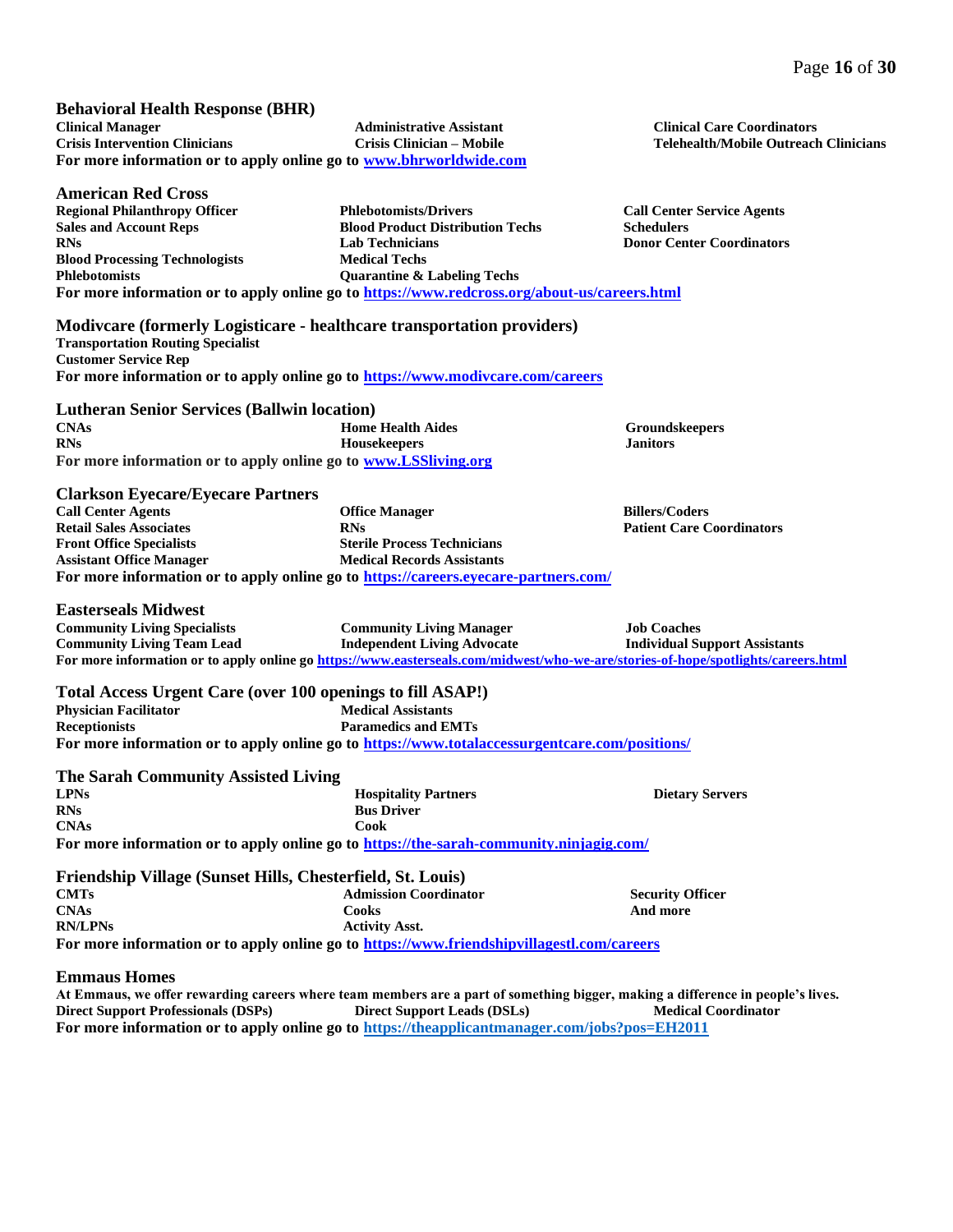#### **Behavioral Health Response (BHR) Clinical Manager Crisis Intervention Clinicians Administrative Assistant Crisis Clinician – Mobile For more information or to apply online go to [www.bhrworldwide.com](http://www.bhrworldwide.com/)**

**American Red Cross**

**Sales and Account Reps**

**RNs**

**Phlebotomists**

**Regional Philanthropy Officer Blood Processing Technologists Phlebotomists/Drivers Blood Product Distribution Techs Lab Technicians Medical Techs Quarantine & Labeling Techs For more information or to apply online go t[o https://www.redcross.org/about-us/careers.html](https://www.redcross.org/about-us/careers.html)** 

**Clinical Care Coordinators Telehealth/Mobile Outreach Clinicians**

**Call Center Service Agents Schedulers Donor Center Coordinators**

**Modivcare (formerly Logisticare - healthcare transportation providers) Transportation Routing Specialist**

**Customer Service Rep For more information or to apply online go to<https://www.modivcare.com/careers>**

#### **Lutheran Senior Services (Ballwin location) CNAs RNs Home Health Aides Housekeepers For more information or to apply online go to [www.LSSliving.org](http://www.lssliving.org/)**

# **Clarkson Eyecare/Eyecare Partners**

**Call Center Agents Retail Sales Associates Front Office Specialists Assistant Office Manager Office Manager RNs Sterile Process Technicians Medical Records Assistants Billers/Coders For more information or to apply online go to<https://careers.eyecare-partners.com/>**

**Groundskeepers Janitors**

**Patient Care Coordinators**

### **Easterseals Midwest**

| <b>Community Living Specialists</b> | <b>Community Living Manager</b>                                                                                                   | <b>Job Coaches</b>                   |
|-------------------------------------|-----------------------------------------------------------------------------------------------------------------------------------|--------------------------------------|
| <b>Community Living Team Lead</b>   | <b>Independent Living Advocate</b>                                                                                                | <b>Individual Support Assistants</b> |
|                                     | For more information or to apply online go https://www.easterseals.com/midwest/who-we-are/stories-of-hope/spotlights/careers.html |                                      |

**Total Access Urgent Care (over 100 openings to fill ASAP!) Physician Facilitator Receptionists Medical Assistants Paramedics and EMTs For more information or to apply online go to<https://www.totalaccessurgentcare.com/positions/>**

| The Sarah Community Assisted Living |                                                                                         |                        |
|-------------------------------------|-----------------------------------------------------------------------------------------|------------------------|
| <b>LPNs</b>                         | <b>Hospitality Partners</b>                                                             | <b>Dietary Servers</b> |
| <b>RNs</b>                          | <b>Bus Driver</b>                                                                       |                        |
| <b>CNAs</b>                         | Cook                                                                                    |                        |
|                                     | For more information or to apply online go to https://the-sarah-community.ninjagig.com/ |                        |

#### **Friendship Village (Sunset Hills, Chesterfield, St. Louis) CMTs CNAs RN/LPNs Admission Coordinator Cooks Activity Asst. Security Officer And more For more information or to apply online go to<https://www.friendshipvillagestl.com/careers>**

### **Emmaus Homes**

**At Emmaus, we offer rewarding careers where team members are a part of something bigger, making a difference in people's lives. Direct Support Professionals (DSPs) Direct Support Leads (DSLs) Medical Coordinator For more information or to apply online go to<https://theapplicantmanager.com/jobs?pos=EH2011>**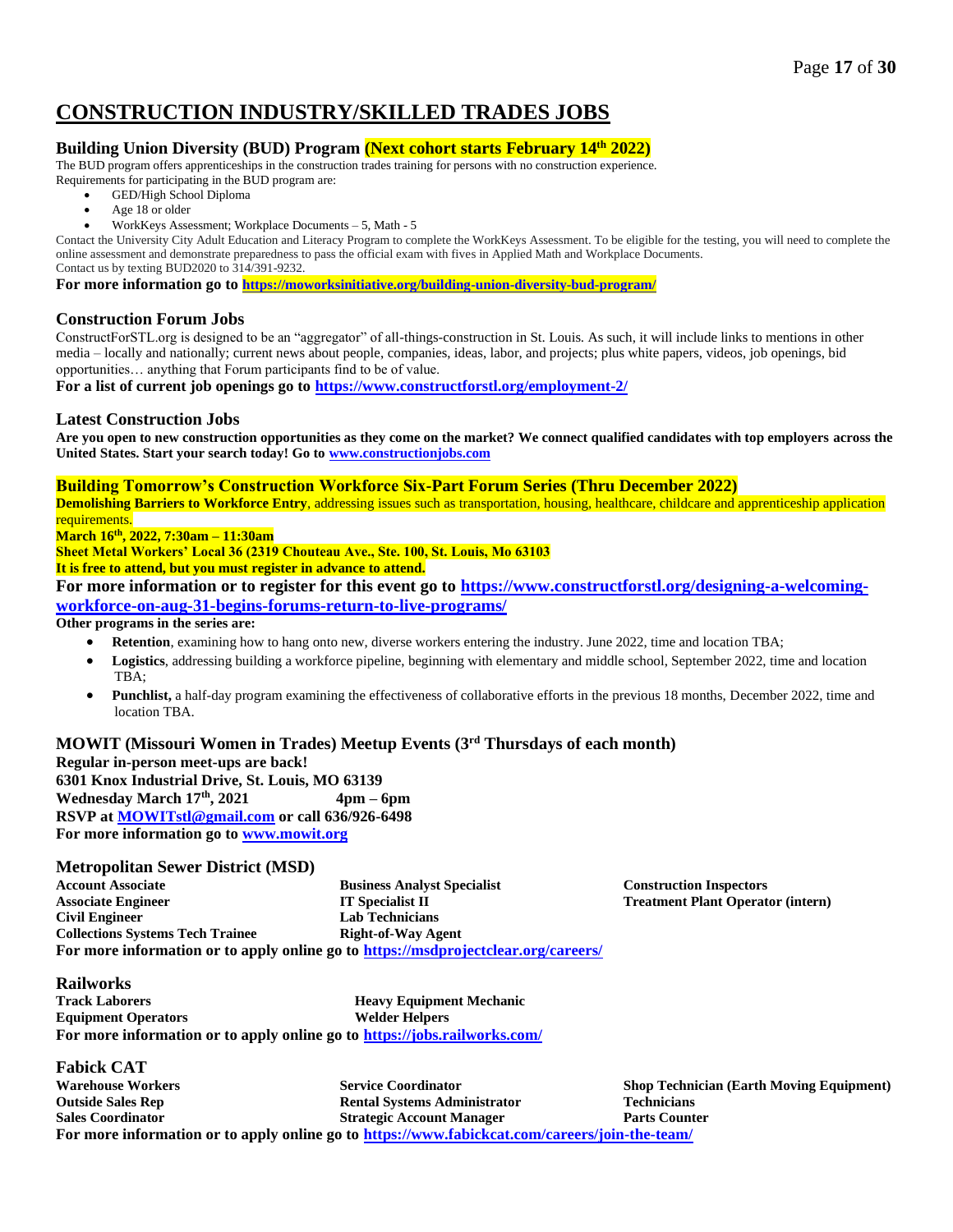# **CONSTRUCTION INDUSTRY/SKILLED TRADES JOBS**

# **Building Union Diversity (BUD) Program (Next cohort starts February 14th 2022)**

The BUD program offers apprenticeships in the construction trades training for persons with no construction experience. Requirements for participating in the BUD program are:

- GED/High School Diploma
	- Age 18 or older
- WorkKeys Assessment; Workplace Documents 5, Math 5

Contact the University City Adult Education and Literacy Program to complete the WorkKeys Assessment. To be eligible for the testing, you will need to complete the online assessment and demonstrate preparedness to pass the official exam with fives in Applied Math and Workplace Documents. Contact us by texting BUD2020 to 314/391-9232.

**For more information go to <https://moworksinitiative.org/building-union-diversity-bud-program/>**

### **Construction Forum Jobs**

ConstructForSTL.org is designed to be an "aggregator" of all-things-construction in St. Louis. As such, it will include links to mentions in other media – locally and nationally; current news about people, companies, ideas, labor, and projects; plus white papers, videos, job openings, bid opportunities… anything that Forum participants find to be of value.

**For a list of current job openings go to<https://www.constructforstl.org/employment-2/>**

### **Latest Construction Jobs**

**Are you open to new construction opportunities as they come on the market? We connect qualified candidates with top employers across the United States. Start your search today! Go to [www.constructionjobs.com](http://www.constructionjobs.com/)**

### **Building Tomorrow's Construction Workforce Six-Part Forum Series (Thru December 2022)**

**Demolishing Barriers to Workforce Entry**, addressing issues such as transportation, housing, healthcare, childcare and apprenticeship application requirements.

**March 16th , 2022, 7:30am – 11:30am**

**Sheet Metal Workers' Local 36 (2319 Chouteau Ave., Ste. 100, St. Louis, Mo 63103**

### **It is free to attend, but you must register in advance to attend.**

**For more information or to register for this event go to [https://www.constructforstl.org/designing-a-welcoming](https://www.constructforstl.org/designing-a-welcoming-workforce-on-aug-31-begins-forums-return-to-live-programs/)[workforce-on-aug-31-begins-forums-return-to-live-programs/](https://www.constructforstl.org/designing-a-welcoming-workforce-on-aug-31-begins-forums-return-to-live-programs/)**

### **Other programs in the series are:**

- **Retention**, examining how to hang onto new, diverse workers entering the industry. June 2022, time and location TBA;
- Logistics, addressing building a workforce pipeline, beginning with elementary and middle school, September 2022, time and location TBA;
- **Punchlist,** a half-day program examining the effectiveness of collaborative efforts in the previous 18 months, December 2022, time and location TBA.

### **MOWIT (Missouri Women in Trades) Meetup Events (3rd Thursdays of each month)**

**Regular in-person meet-ups are back! 6301 Knox Industrial Drive, St. Louis, MO 63139 Wednesday March 17th, 2021 4pm – 6pm RSVP at [MOWITstl@gmail.com](mailto:MOWITstl@gmail.com) or call 636/926-6498 For more information go t[o www.mowit.org](http://www.mowit.org/)**

### **Metropolitan Sewer District (MSD)**

| <b>Account Associate</b>                                                           | <b>Business Analyst Specialist</b> |  |
|------------------------------------------------------------------------------------|------------------------------------|--|
| <b>Associate Engineer</b>                                                          | <b>IT Specialist II</b>            |  |
| Civil Engineer                                                                     | <b>Lab Technicians</b>             |  |
| <b>Collections Systems Tech Trainee</b>                                            | Right-of-Way Agent                 |  |
| For more information or to apply online go to https://msdprojectclear.org/careers/ |                                    |  |

**Construction Inspectors Treatment Plant Operator (intern)**

**Railworks Track Laborers Equipment Operators Heavy Equipment Mechanic Welder Helpers For more information or to apply online go to<https://jobs.railworks.com/>**

**Fabick CAT**

**Warehouse Workers Outside Sales Rep Sales Coordinator Service Coordinator Rental Systems Administrator Strategic Account Manager Shop Technician (Earth Moving Equipment) Technicians Parts Counter For more information or to apply online go to<https://www.fabickcat.com/careers/join-the-team/>**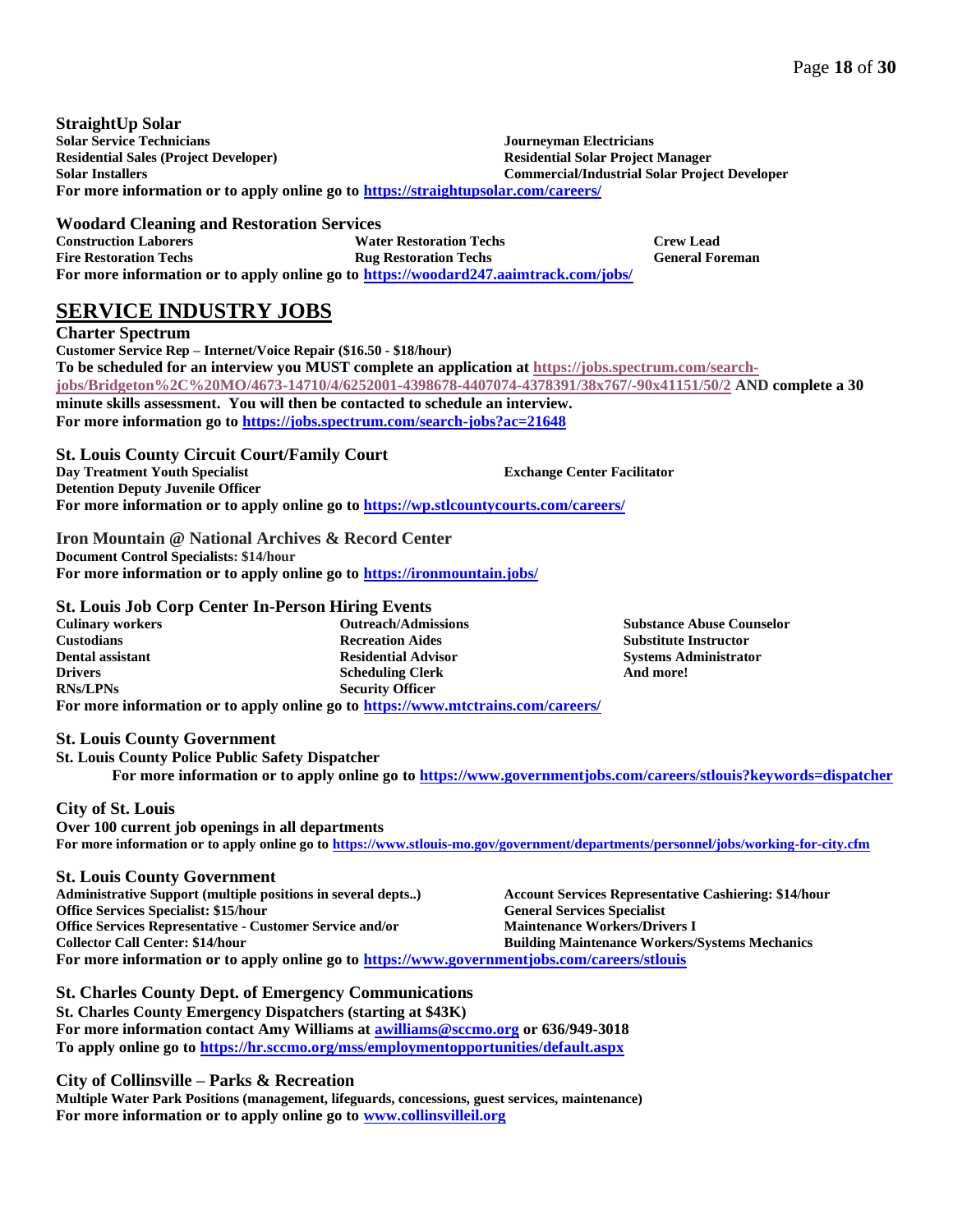**StraightUp Solar Solar Service Technicians Residential Sales (Project Developer) Solar Installers Journeyman Electricians Residential Solar Project Manager Commercial/Industrial Solar Project Developer For more information or to apply online go to<https://straightupsolar.com/careers/>**

**Woodard Cleaning and Restoration Services Construction Laborers Fire Restoration Techs Water Restoration Techs Rug Restoration Techs Crew Lead General Foreman For more information or to apply online go to<https://woodard247.aaimtrack.com/jobs/>**

# **SERVICE INDUSTRY JOBS**

**Charter Spectrum Customer Service Rep – Internet/Voice Repair (\$16.50 - \$18/hour) To be scheduled for an interview you MUST complete an application a[t https://jobs.spectrum.com/search](https://jobs.spectrum.com/search-jobs/Bridgeton%2C%20MO/4673-14710/4/6252001-4398678-4407074-4378391/38x767/-90x41151/50/2)[jobs/Bridgeton%2C%20MO/4673-14710/4/6252001-4398678-4407074-4378391/38x767/-90x41151/50/2](https://jobs.spectrum.com/search-jobs/Bridgeton%2C%20MO/4673-14710/4/6252001-4398678-4407074-4378391/38x767/-90x41151/50/2) AND complete a 30 minute skills assessment. You will then be contacted to schedule an interview. For more information go t[o https://jobs.spectrum.com/search-jobs?ac=21648](https://jobs.spectrum.com/search-jobs?ac=21648)**

#### **St. Louis County Circuit Court/Family Court Day Treatment Youth Specialist Detention Deputy Juvenile Officer Exchange Center Facilitator**

**For more information or to apply online go to <https://wp.stlcountycourts.com/careers/>**

**Iron Mountain @ National Archives & Record Center Document Control Specialists: \$14/hour For more information or to apply online go to<https://ironmountain.jobs/>**

# **St. Louis Job Corp Center In-Person Hiring Events**

**Culinary workers Custodians Dental assistant Drivers RNs/LPNs Outreach/Admissions Recreation Aides Residential Advisor Scheduling Clerk Security Officer For more information or to apply online go to<https://www.mtctrains.com/careers/>**

**St. Louis County Government**

**St. Louis County Police Public Safety Dispatcher**

**For more information or to apply online go to <https://www.governmentjobs.com/careers/stlouis?keywords=dispatcher>**

**Substance Abuse Counselor Substitute Instructor Systems Administrator**

**And more!** 

# **City of St. Louis**

**Over 100 current job openings in all departments For more information or to apply online go t[o https://www.stlouis-mo.gov/government/departments/personnel/jobs/working-for-city.cfm](https://www.stlouis-mo.gov/government/departments/personnel/jobs/working-for-city.cfm)**

### **St. Louis County Government**

**Administrative Support (multiple positions in several depts..) Office Services Specialist: \$15/hour Office Services Representative - Customer Service and/or Collector Call Center: \$14/hour Account Services Representative Cashiering: \$14/hour General Services Specialist Maintenance Workers/Drivers I Building Maintenance Workers/Systems Mechanics For more information or to apply online go to<https://www.governmentjobs.com/careers/stlouis>**

**St. Charles County Dept. of Emergency Communications St. Charles County Emergency Dispatchers (starting at \$43K) For more information contact Amy Williams a[t awilliams@sccmo.org](mailto:awilliams@sccmo.org) or 636/949-3018 To apply online go to<https://hr.sccmo.org/mss/employmentopportunities/default.aspx>**

**City of Collinsville – Parks & Recreation**

**Multiple Water Park Positions (management, lifeguards, concessions, guest services, maintenance) For more information or to apply online go to [www.collinsvilleil.org](http://www.collinsvilleil.org/)**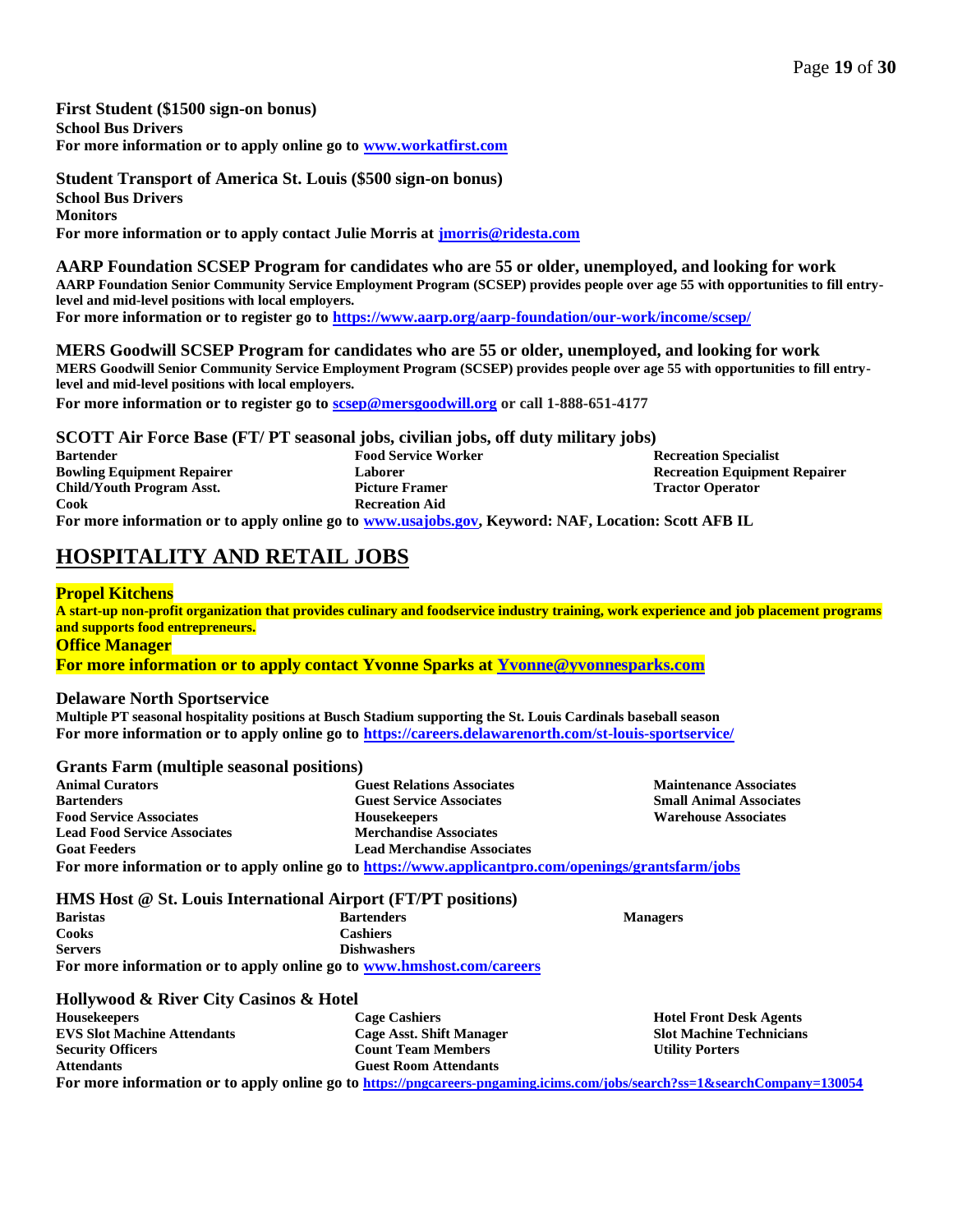**First Student (\$1500 sign-on bonus) School Bus Drivers For more information or to apply online go to [www.workatfirst.com](http://www.workatfirst.com/)**

**Student Transport of America St. Louis (\$500 sign-on bonus) School Bus Drivers Monitors For more information or to apply contact Julie Morris at [jmorris@ridesta.com](mailto:jmorris@ridesta.com)**

**AARP Foundation SCSEP Program for candidates who are 55 or older, unemployed, and looking for work AARP Foundation Senior Community Service Employment Program (SCSEP) provides people over age 55 with opportunities to fill entrylevel and mid-level positions with local employers. For more information or to register go t[o https://www.aarp.org/aarp-foundation/our-work/income/scsep/](https://www.aarp.org/aarp-foundation/our-work/income/scsep/)**

**MERS Goodwill SCSEP Program for candidates who are 55 or older, unemployed, and looking for work MERS Goodwill Senior Community Service Employment Program (SCSEP) provides people over age 55 with opportunities to fill entrylevel and mid-level positions with local employers.**

**For more information or to register go t[o scsep@mersgoodwill.org](mailto:scsep@mersgoodwill.org) or call 1-888-651-4177**

**SCOTT Air Force Base (FT/ PT seasonal jobs, civilian jobs, off duty military jobs) Bartender Bowling Equipment Repairer Child/Youth Program Asst. Cook Food Service Worker Laborer Picture Framer Recreation Aid Recreation Specialist Recreation Equipment Repairer Tractor Operator For more information or to apply online go to [www.usajobs.gov,](http://www.usajobs.gov/) Keyword: NAF, Location: Scott AFB IL**

# **HOSPITALITY AND RETAIL JOBS**

### **Propel Kitchens**

**A start-up non-profit organization that provides culinary and foodservice industry training, work experience and job placement programs and supports food entrepreneurs. Office Manager**

**For more information or to apply contact Yvonne Sparks at [Yvonne@yvonnesparks.com](mailto:Yvonne@yvonnesparks.com)**

### **Delaware North Sportservice**

**Multiple PT seasonal hospitality positions at Busch Stadium supporting the St. Louis Cardinals baseball season For more information or to apply online go to<https://careers.delawarenorth.com/st-louis-sportservice/>**

### **Grants Farm (multiple seasonal positions)**

**Animal Curators Bartenders Food Service Associates Lead Food Service Associates Goat Feeders Guest Relations Associates Guest Service Associates Housekeepers Merchandise Associates Lead Merchandise Associates Maintenance Associates Small Animal Associates Warehouse Associates For more information or to apply online go t[o https://www.applicantpro.com/openings/grantsfarm/jobs](https://www.applicantpro.com/openings/grantsfarm/jobs)**

**HMS Host @ St. Louis International Airport (FT/PT positions)**

**Baristas Cooks Servers Bartenders Cashiers Dishwashers For more information or to apply online go to [www.hmshost.com/careers](http://www.hmshost.com/careers)**

### **Hollywood & River City Casinos & Hotel**

| <b>Housekeepers</b>                | <b>Cage Cashiers</b>         | <b>Hotel Front Desk Agents</b>  |
|------------------------------------|------------------------------|---------------------------------|
| <b>EVS Slot Machine Attendants</b> | Cage Asst. Shift Manager     | <b>Slot Machine Technicians</b> |
| <b>Security Officers</b>           | <b>Count Team Members</b>    | <b>Utility Porters</b>          |
| <b>Attendants</b>                  | <b>Guest Room Attendants</b> |                                 |
| $\mathbf{r}$                       |                              |                                 |

**For more information or to apply online go to <https://pngcareers-pngaming.icims.com/jobs/search?ss=1&searchCompany=130054>**

**Managers**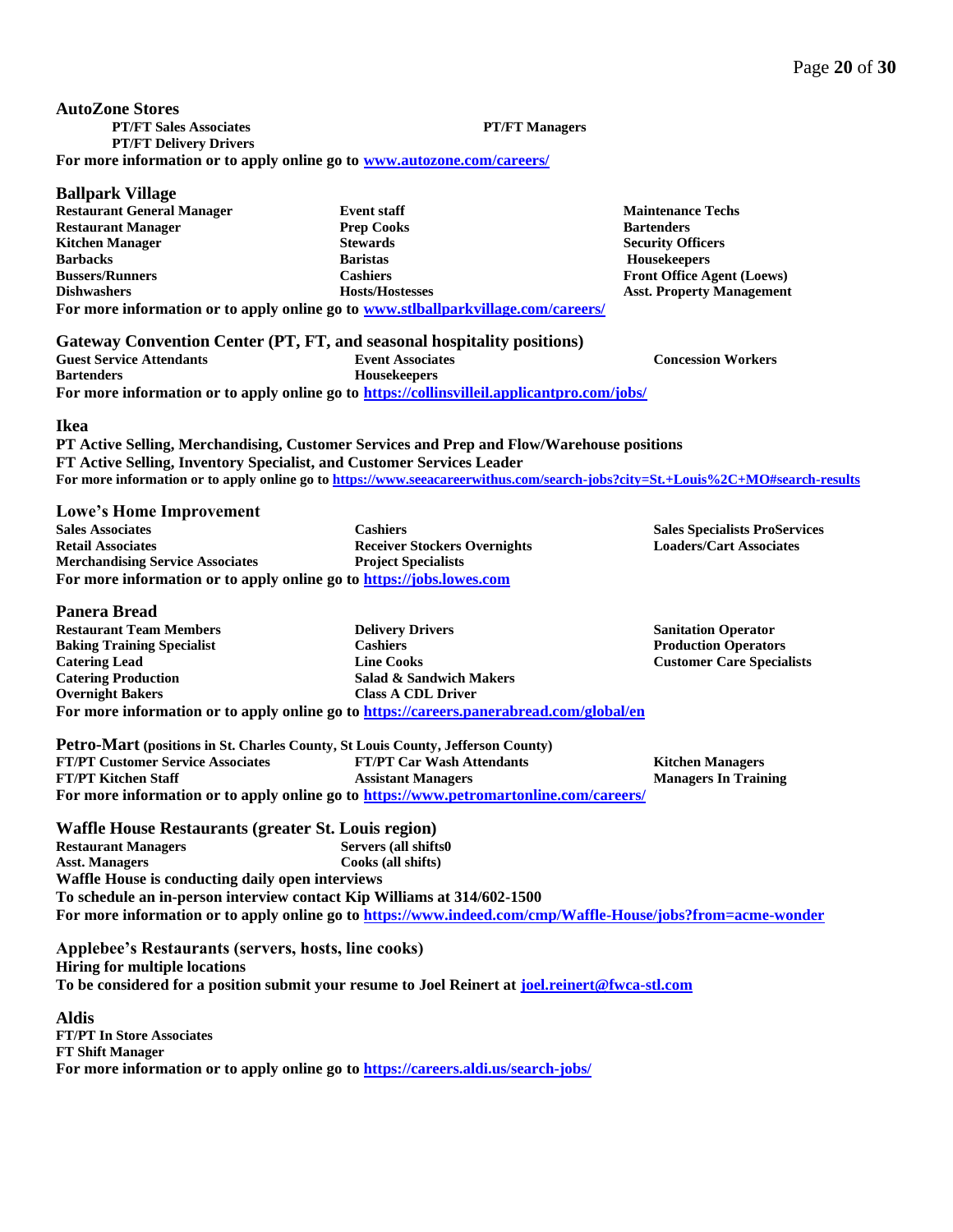| $P$ anpark $\lambda$ mac          |                                                                                   |                                   |
|-----------------------------------|-----------------------------------------------------------------------------------|-----------------------------------|
| <b>Restaurant General Manager</b> | <b>Event staff</b>                                                                | <b>Maintenance Techs</b>          |
| <b>Restaurant Manager</b>         | <b>Prep Cooks</b>                                                                 | <b>Bartenders</b>                 |
| <b>Kitchen Manager</b>            | <b>Stewards</b>                                                                   | <b>Security Officers</b>          |
| <b>Barbacks</b>                   | <b>Baristas</b>                                                                   | <b>Housekeepers</b>               |
| <b>Bussers/Runners</b>            | Cashiers :                                                                        | <b>Front Office Agent (Loews)</b> |
| <b>Dishwashers</b>                | <b>Hosts/Hostesses</b>                                                            | <b>Asst. Property Management</b>  |
|                                   | For more information or to apply online go to www.stlballparkvillage.com/careers/ |                                   |

| Gateway Convention Center (PT, FT, and seasonal hospitality positions) |                                                                                             |                           |
|------------------------------------------------------------------------|---------------------------------------------------------------------------------------------|---------------------------|
| <b>Guest Service Attendants</b>                                        | <b>Event Associates</b>                                                                     | <b>Concession Workers</b> |
| <b>Bartenders</b>                                                      | <b>Housekeepers</b>                                                                         |                           |
|                                                                        | For more information or to apply online go to https://collinsvilleil.applicantpro.com/jobs/ |                           |

### **Ikea**

**Ballpark Village**

**PT Active Selling, Merchandising, Customer Services and Prep and Flow/Warehouse positions FT Active Selling, Inventory Specialist, and Customer Services Leader** For more information or to apply online go t[o https://www.seeacareerwithus.com/search-jobs?city=St.+Louis%2C+MO#search-results](https://www.seeacareerwithus.com/search-jobs?city=St.+Louis%2C+MO#search-results)

### **Lowe's Home Improvement**

| <b>Sales Associates</b>                                              | <b>Cashiers</b>                     |
|----------------------------------------------------------------------|-------------------------------------|
| <b>Retail Associates</b>                                             | <b>Receiver Stockers Overnights</b> |
| <b>Merchandising Service Associates</b>                              | <b>Project Specialists</b>          |
| For more information or to apply online go to https://jobs.lowes.com |                                     |

### **Panera Bread**

**Restaurant Team Members Baking Training Specialist Catering Lead Catering Production Overnight Bakers Delivery Drivers Cashiers Line Cooks Salad & Sandwich Makers Class A CDL Driver For more information or to apply online go to <https://careers.panerabread.com/global/en>**

**Sanitation Operator Production Operators Customer Care Specialists**

**Sales Specialists ProServices Loaders/Cart Associates**

| Petro-Mart (positions in St. Charles County, St Louis County, Jefferson County) |                                                                                        |                             |
|---------------------------------------------------------------------------------|----------------------------------------------------------------------------------------|-----------------------------|
| <b>FT/PT Customer Service Associates</b>                                        | <b>FT/PT Car Wash Attendants</b>                                                       | <b>Kitchen Managers</b>     |
| <b>FT/PT Kitchen Staff</b>                                                      | <b>Assistant Managers</b>                                                              | <b>Managers In Training</b> |
|                                                                                 | For more information or to apply online go to https://www.petromartonline.com/careers/ |                             |

**Waffle House Restaurants (greater St. Louis region) Restaurant Managers Asst. Managers Servers (all shifts0 Cooks (all shifts) Waffle House is conducting daily open interviews To schedule an in-person interview contact Kip Williams at 314/602-1500 For more information or to apply online go to <https://www.indeed.com/cmp/Waffle-House/jobs?from=acme-wonder>**

**Applebee's Restaurants (servers, hosts, line cooks) Hiring for multiple locations To be considered for a position submit your resume to Joel Reinert at [joel.reinert@fwca-stl.com](mailto:joel.reinert@fwca-stl.com)**

**Aldis FT/PT In Store Associates FT Shift Manager For more information or to apply online go to <https://careers.aldi.us/search-jobs/>**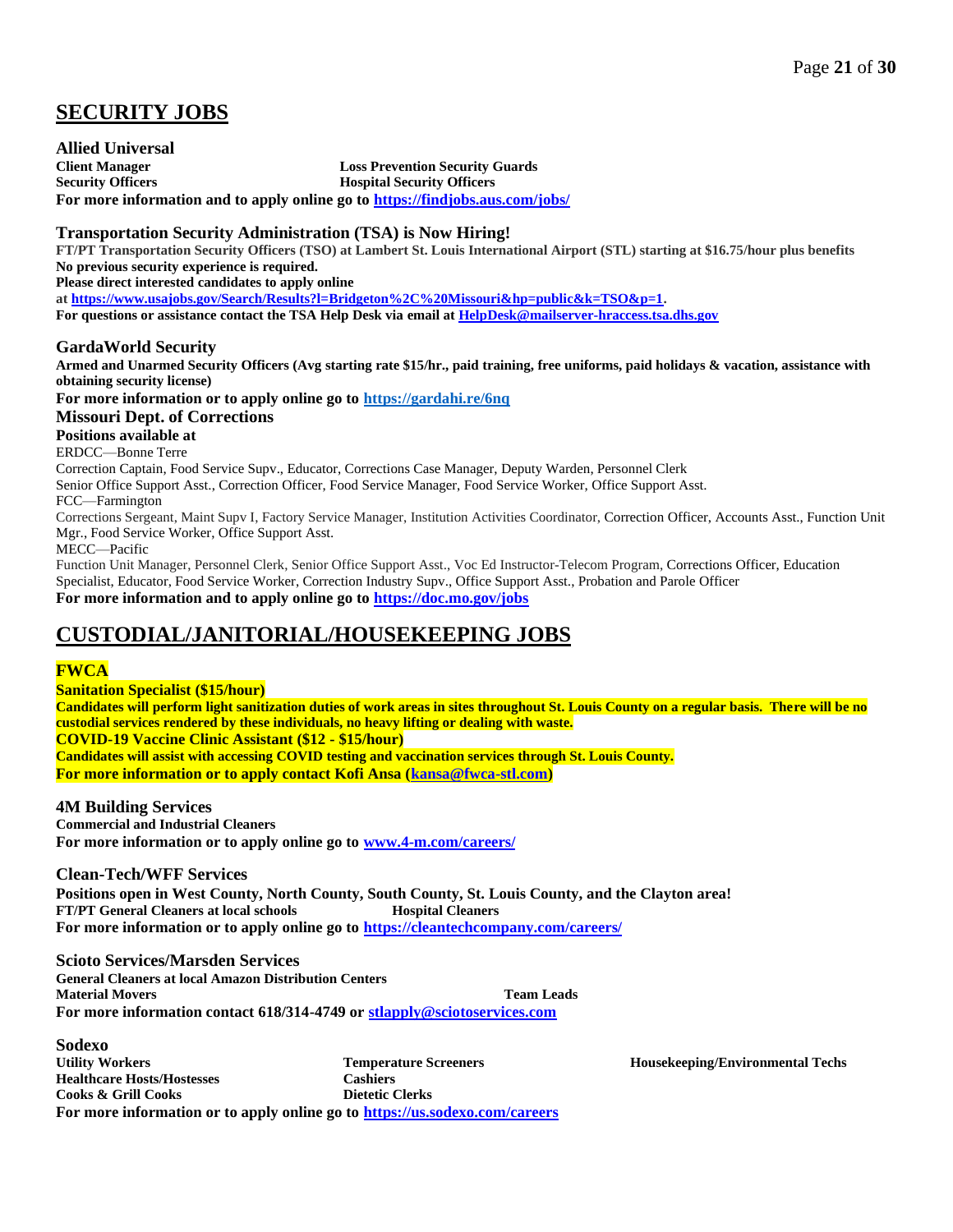# **SECURITY JOBS**

**Allied Universal Client Manager Security Officers Loss Prevention Security Guards Hospital Security Officers For more information and to apply online go to<https://findjobs.aus.com/jobs/>**

## **Transportation Security Administration (TSA) is Now Hiring!**

**FT/PT Transportation Security Officers (TSO) at Lambert St. Louis International Airport (STL) starting at \$16.75/hour plus benefits No previous security experience is required.**

**Please direct interested candidates to apply online**

**at [https://www.usajobs.gov/Search/Results?l=Bridgeton%2C%20Missouri&hp=public&k=TSO&p=1.](https://www.usajobs.gov/Search/Results?l=Bridgeton%2C%20Missouri&hp=public&k=TSO&p=1)** 

**For questions or assistance contact the TSA Help Desk via email a[t HelpDesk@mailserver-hraccess.tsa.dhs.gov](mailto:HelpDesk@mailserver-hraccess.tsa.dhs.gov)**

## **GardaWorld Security**

**Armed and Unarmed Security Officers (Avg starting rate \$15/hr., paid training, free uniforms, paid holidays & vacation, assistance with obtaining security license)**

**For more information or to apply online go to<https://gardahi.re/6nq>**

### **Missouri Dept. of Corrections**

**Positions available at** 

ERDCC—Bonne Terre

Correction Captain, Food Service Supv., Educator, Corrections Case Manager, Deputy Warden, Personnel Clerk

Senior Office Support Asst., Correction Officer, Food Service Manager, Food Service Worker, Office Support Asst.

FCC—Farmington

Corrections Sergeant, Maint Supv I, Factory Service Manager, Institution Activities Coordinator, Correction Officer, Accounts Asst., Function Unit Mgr., Food Service Worker, Office Support Asst.

MECC—Pacific

Function Unit Manager, Personnel Clerk, Senior Office Support Asst., Voc Ed Instructor-Telecom Program, Corrections Officer, Education Specialist, Educator, Food Service Worker, Correction Industry Supv., Office Support Asst., Probation and Parole Officer **For more information and to apply online go to<https://doc.mo.gov/jobs>**

# **CUSTODIAL/JANITORIAL/HOUSEKEEPING JOBS**

# **FWCA**

**Sanitation Specialist (\$15/hour)**

**Candidates will perform light sanitization duties of work areas in sites throughout St. Louis County on a regular basis. There will be no custodial services rendered by these individuals, no heavy lifting or dealing with waste. COVID-19 Vaccine Clinic Assistant (\$12 - \$15/hour) Candidates will assist with accessing COVID testing and vaccination services through St. Louis County. For more information or to apply contact Kofi Ansa [\(kansa@fwca-stl.com\)](mailto:kansa@fwca-stl.com)**

### **4M Building Services**

**Commercial and Industrial Cleaners For more information or to apply online go to [www.4-m.com/careers/](http://www.4-m.com/careers/)**

**Clean-Tech/WFF Services**

**Positions open in West County, North County, South County, St. Louis County, and the Clayton area! FT/PT General Cleaners at local schools Hospital Cleaners For more information or to apply online go to<https://cleantechcompany.com/careers/>**

**Scioto Services/Marsden Services**

**General Cleaners at local Amazon Distribution Centers Material Movers Team Leads**

**For more information contact 618/314-4749 o[r stlapply@sciotoservices.com](mailto:stlapply@sciotoservices.com)**

**Sodexo Utility Workers Healthcare Hosts/Hostesses Cooks & Grill Cooks Temperature Screeners Cashiers Dietetic Clerks For more information or to apply online go to<https://us.sodexo.com/careers>**

**Housekeeping/Environmental Techs**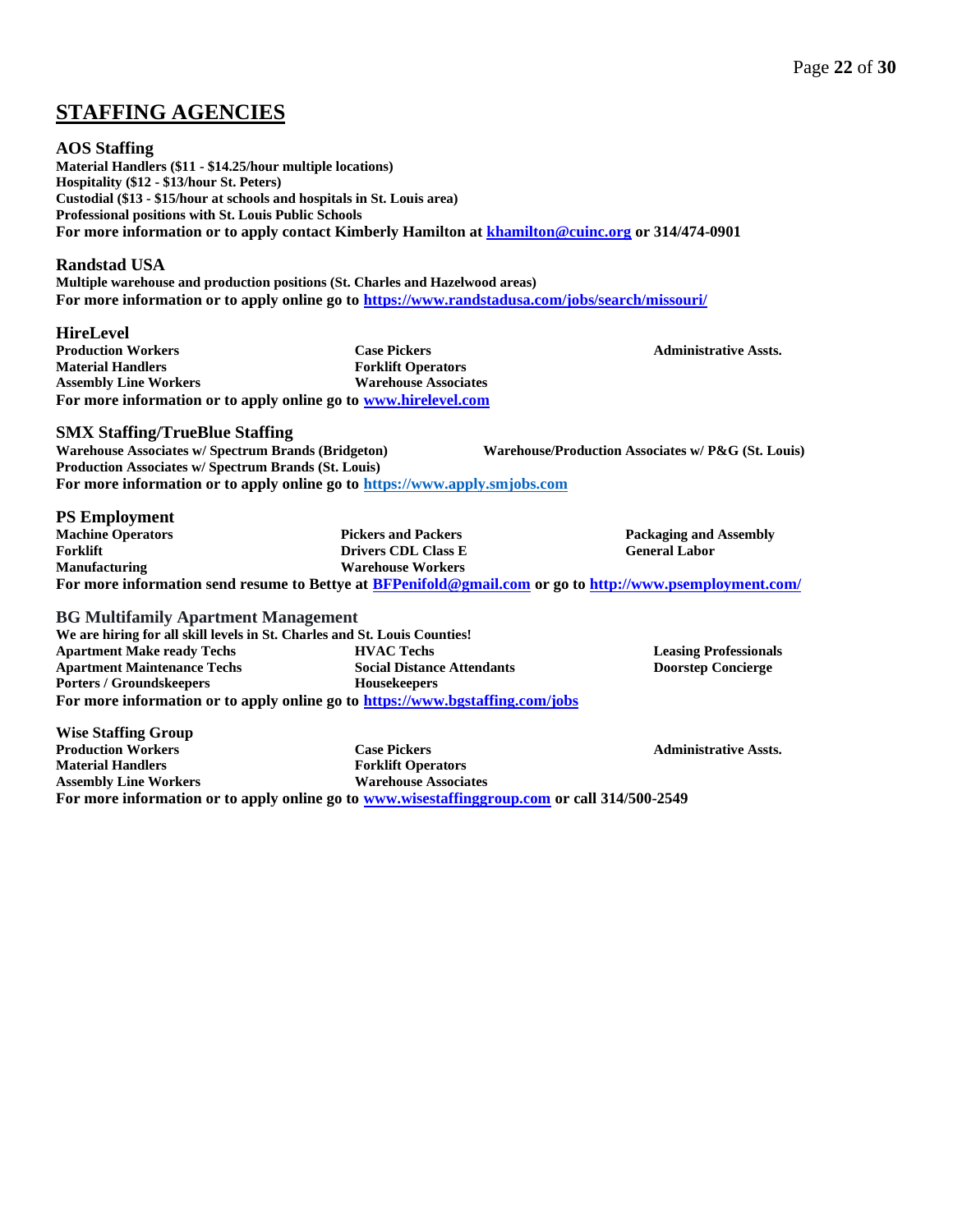# **STAFFING AGENCIES**

### **AOS Staffing**

**Material Handlers (\$11 - \$14.25/hour multiple locations) Hospitality (\$12 - \$13/hour St. Peters) Custodial (\$13 - \$15/hour at schools and hospitals in St. Louis area) Professional positions with St. Louis Public Schools For more information or to apply contact Kimberly Hamilton a[t khamilton@cuinc.org](mailto:khamilton@cuinc.org) or 314/474-0901**

### **Randstad USA**

**Multiple warehouse and production positions (St. Charles and Hazelwood areas) For more information or to apply online go to<https://www.randstadusa.com/jobs/search/missouri/>**

### **HireLevel**

**Production Workers Material Handlers Assembly Line Workers Case Pickers Forklift Operators Warehouse Associates For more information or to apply online go to [www.hirelevel.com](http://www.hirelevel.com/)**

**SMX Staffing/TrueBlue Staffing**

**Warehouse Associates w/ Spectrum Brands (Bridgeton) Production Associates w/ Spectrum Brands (St. Louis) Warehouse/Production Associates w/ P&G (St. Louis) For more information or to apply online go to [https://www.apply.smjobs.com](https://www.apply.smjobs.com/)**

### **PS Employment**

**Machine Operators Forklift Manufacturing Pickers and Packers Drivers CDL Class E Warehouse Workers Packaging and Assembly General Labor For more information send resume to Bettye at [BFPenifold@gmail.com](mailto:BFPenifold@gmail.com) or go to<http://www.psemployment.com/>**

### **BG Multifamily Apartment Management**

**We are hiring for all skill levels in St. Charles and St. Louis Counties! Apartment Make ready Techs Apartment Maintenance Techs Porters / Groundskeepers HVAC Techs Social Distance Attendants Housekeepers For more information or to apply online go to <https://www.bgstaffing.com/jobs>**

**Wise Staffing Group Production Workers Material Handlers Assembly Line Workers Case Pickers Forklift Operators Warehouse Associates For more information or to apply online go to [www.wisestaffinggroup.com](http://www.wisestaffinggroup.com/) or call 314/500-2549**

**Leasing Professionals Doorstep Concierge**

**Administrative Assts.**

**Administrative Assts.**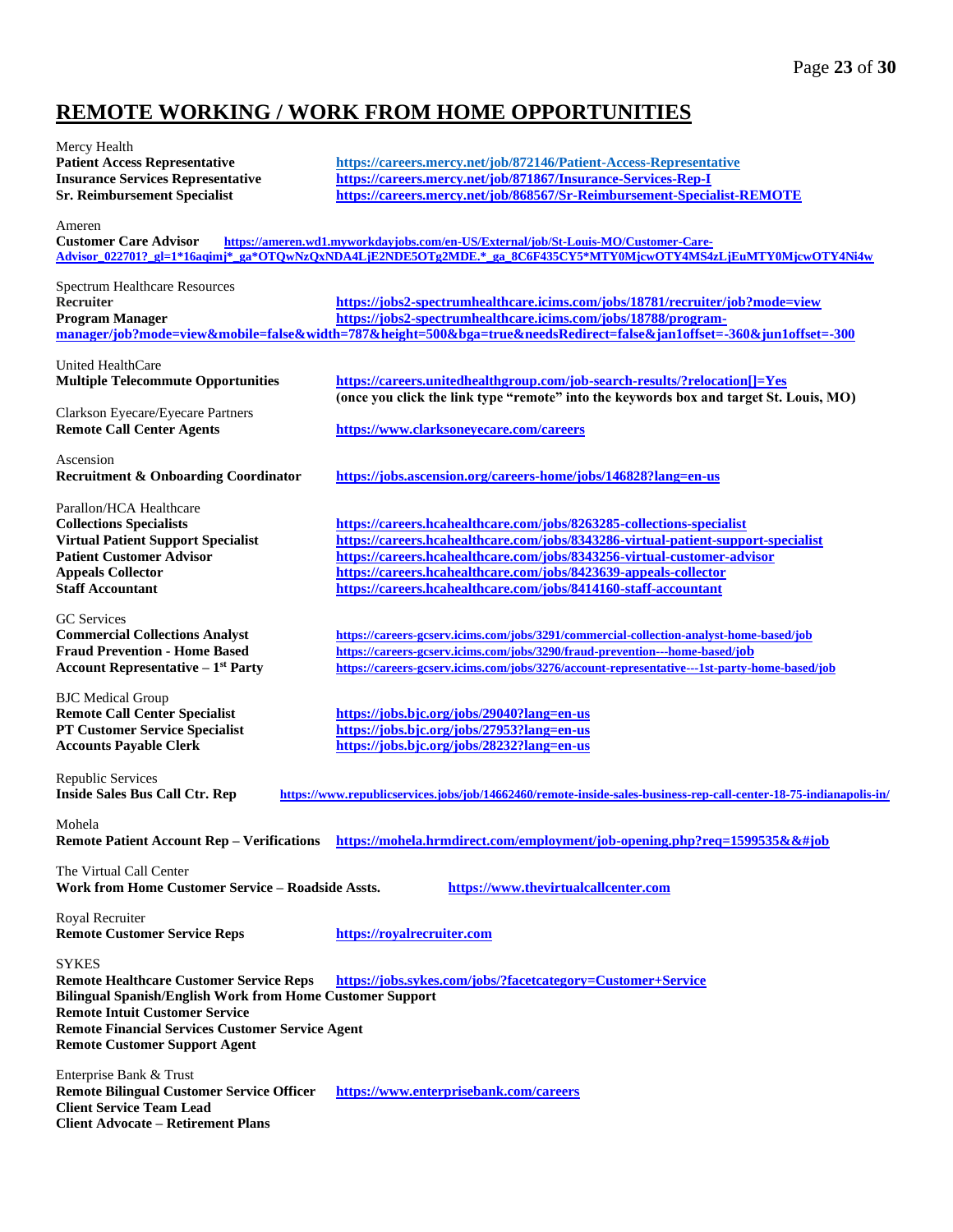# **REMOTE WORKING / WORK FROM HOME OPPORTUNITIES**

| Mercy Health                                                                |                                                                                                                                                                                                                                                                                                                                                                                                                                                                                                                                                                                                                                                                                                                                                                                                                                                                                                                                                                                                                                                                                                                                                                                                                                                                                                                                 |
|-----------------------------------------------------------------------------|---------------------------------------------------------------------------------------------------------------------------------------------------------------------------------------------------------------------------------------------------------------------------------------------------------------------------------------------------------------------------------------------------------------------------------------------------------------------------------------------------------------------------------------------------------------------------------------------------------------------------------------------------------------------------------------------------------------------------------------------------------------------------------------------------------------------------------------------------------------------------------------------------------------------------------------------------------------------------------------------------------------------------------------------------------------------------------------------------------------------------------------------------------------------------------------------------------------------------------------------------------------------------------------------------------------------------------|
| <b>Patient Access Representative</b>                                        | https://careers.mercy.net/job/872146/Patient-Access-Representative                                                                                                                                                                                                                                                                                                                                                                                                                                                                                                                                                                                                                                                                                                                                                                                                                                                                                                                                                                                                                                                                                                                                                                                                                                                              |
| <b>Insurance Services Representative</b>                                    | https://careers.mercy.net/job/871867/Insurance-Services-Rep-I                                                                                                                                                                                                                                                                                                                                                                                                                                                                                                                                                                                                                                                                                                                                                                                                                                                                                                                                                                                                                                                                                                                                                                                                                                                                   |
| <b>Sr. Reimbursement Specialist</b>                                         | https://careers.mercy.net/job/868567/Sr-Reimbursement-Specialist-REMOTE                                                                                                                                                                                                                                                                                                                                                                                                                                                                                                                                                                                                                                                                                                                                                                                                                                                                                                                                                                                                                                                                                                                                                                                                                                                         |
| Ameren                                                                      |                                                                                                                                                                                                                                                                                                                                                                                                                                                                                                                                                                                                                                                                                                                                                                                                                                                                                                                                                                                                                                                                                                                                                                                                                                                                                                                                 |
| <b>Customer Care Advisor</b>                                                | https://ameren.wd1.myworkdayjobs.com/en-US/External/job/St-Louis-MO/Customer-Care-                                                                                                                                                                                                                                                                                                                                                                                                                                                                                                                                                                                                                                                                                                                                                                                                                                                                                                                                                                                                                                                                                                                                                                                                                                              |
|                                                                             | Advisor_022701?_gl=1*16aqimj*_ga*OTQwNzQxNDA4LjE2NDE5OTg2MDE.*_ga_8C6F435CY5*MTY0MjcwOTY4MS4zLjEuMTY0MjcwOTY4Ni4w                                                                                                                                                                                                                                                                                                                                                                                                                                                                                                                                                                                                                                                                                                                                                                                                                                                                                                                                                                                                                                                                                                                                                                                                               |
|                                                                             |                                                                                                                                                                                                                                                                                                                                                                                                                                                                                                                                                                                                                                                                                                                                                                                                                                                                                                                                                                                                                                                                                                                                                                                                                                                                                                                                 |
| <b>Spectrum Healthcare Resources</b><br>Recruiter                           | https://jobs2-spectrumhealthcare.icims.com/jobs/18781/recruiter/job?mode=view                                                                                                                                                                                                                                                                                                                                                                                                                                                                                                                                                                                                                                                                                                                                                                                                                                                                                                                                                                                                                                                                                                                                                                                                                                                   |
| <b>Program Manager</b>                                                      | https://jobs2-spectrumhealthcare.icims.com/jobs/18788/program-                                                                                                                                                                                                                                                                                                                                                                                                                                                                                                                                                                                                                                                                                                                                                                                                                                                                                                                                                                                                                                                                                                                                                                                                                                                                  |
|                                                                             | manager/job?mode=view&mobile=false&width=787&height=500&bga=true&needsRedirect=false&jan1offset=-360&jun1offset=-300                                                                                                                                                                                                                                                                                                                                                                                                                                                                                                                                                                                                                                                                                                                                                                                                                                                                                                                                                                                                                                                                                                                                                                                                            |
|                                                                             |                                                                                                                                                                                                                                                                                                                                                                                                                                                                                                                                                                                                                                                                                                                                                                                                                                                                                                                                                                                                                                                                                                                                                                                                                                                                                                                                 |
| United HealthCare                                                           |                                                                                                                                                                                                                                                                                                                                                                                                                                                                                                                                                                                                                                                                                                                                                                                                                                                                                                                                                                                                                                                                                                                                                                                                                                                                                                                                 |
| <b>Multiple Telecommute Opportunities</b>                                   | https://careers.unitedhealthgroup.com/job-search-results/?relocation[]=Yes<br>(once you click the link type "remote" into the keywords box and target St. Louis, MO)                                                                                                                                                                                                                                                                                                                                                                                                                                                                                                                                                                                                                                                                                                                                                                                                                                                                                                                                                                                                                                                                                                                                                            |
| Clarkson Eyecare/Eyecare Partners                                           |                                                                                                                                                                                                                                                                                                                                                                                                                                                                                                                                                                                                                                                                                                                                                                                                                                                                                                                                                                                                                                                                                                                                                                                                                                                                                                                                 |
| <b>Remote Call Center Agents</b>                                            | https://www.clarksoneyecare.com/careers                                                                                                                                                                                                                                                                                                                                                                                                                                                                                                                                                                                                                                                                                                                                                                                                                                                                                                                                                                                                                                                                                                                                                                                                                                                                                         |
|                                                                             |                                                                                                                                                                                                                                                                                                                                                                                                                                                                                                                                                                                                                                                                                                                                                                                                                                                                                                                                                                                                                                                                                                                                                                                                                                                                                                                                 |
| Ascension                                                                   |                                                                                                                                                                                                                                                                                                                                                                                                                                                                                                                                                                                                                                                                                                                                                                                                                                                                                                                                                                                                                                                                                                                                                                                                                                                                                                                                 |
| <b>Recruitment &amp; Onboarding Coordinator</b>                             | https://jobs.ascension.org/careers-home/jobs/146828?lang=en-us                                                                                                                                                                                                                                                                                                                                                                                                                                                                                                                                                                                                                                                                                                                                                                                                                                                                                                                                                                                                                                                                                                                                                                                                                                                                  |
|                                                                             |                                                                                                                                                                                                                                                                                                                                                                                                                                                                                                                                                                                                                                                                                                                                                                                                                                                                                                                                                                                                                                                                                                                                                                                                                                                                                                                                 |
| Parallon/HCA Healthcare                                                     |                                                                                                                                                                                                                                                                                                                                                                                                                                                                                                                                                                                                                                                                                                                                                                                                                                                                                                                                                                                                                                                                                                                                                                                                                                                                                                                                 |
| <b>Collections Specialists</b><br><b>Virtual Patient Support Specialist</b> | https://careers.hcahealthcare.com/jobs/8263285-collections-specialist<br>https://careers.hcahealthcare.com/jobs/8343286-virtual-patient-support-specialist                                                                                                                                                                                                                                                                                                                                                                                                                                                                                                                                                                                                                                                                                                                                                                                                                                                                                                                                                                                                                                                                                                                                                                      |
| <b>Patient Customer Advisor</b>                                             | https://careers.hcahealthcare.com/jobs/8343256-virtual-customer-advisor                                                                                                                                                                                                                                                                                                                                                                                                                                                                                                                                                                                                                                                                                                                                                                                                                                                                                                                                                                                                                                                                                                                                                                                                                                                         |
| <b>Appeals Collector</b>                                                    | https://careers.hcahealthcare.com/jobs/8423639-appeals-collector                                                                                                                                                                                                                                                                                                                                                                                                                                                                                                                                                                                                                                                                                                                                                                                                                                                                                                                                                                                                                                                                                                                                                                                                                                                                |
| <b>Staff Accountant</b>                                                     | https://careers.hcahealthcare.com/jobs/8414160-staff-accountant                                                                                                                                                                                                                                                                                                                                                                                                                                                                                                                                                                                                                                                                                                                                                                                                                                                                                                                                                                                                                                                                                                                                                                                                                                                                 |
|                                                                             |                                                                                                                                                                                                                                                                                                                                                                                                                                                                                                                                                                                                                                                                                                                                                                                                                                                                                                                                                                                                                                                                                                                                                                                                                                                                                                                                 |
| <b>GC</b> Services                                                          |                                                                                                                                                                                                                                                                                                                                                                                                                                                                                                                                                                                                                                                                                                                                                                                                                                                                                                                                                                                                                                                                                                                                                                                                                                                                                                                                 |
| <b>Commercial Collections Analyst</b>                                       | https://careers-gcserv.icims.com/jobs/3291/commercial-collection-analyst-home-based/job                                                                                                                                                                                                                                                                                                                                                                                                                                                                                                                                                                                                                                                                                                                                                                                                                                                                                                                                                                                                                                                                                                                                                                                                                                         |
| <b>Fraud Prevention - Home Based</b>                                        | https://careers-gcserv.icims.com/jobs/3290/fraud-prevention---home-based/job                                                                                                                                                                                                                                                                                                                                                                                                                                                                                                                                                                                                                                                                                                                                                                                                                                                                                                                                                                                                                                                                                                                                                                                                                                                    |
| Account Representative $-1st$ Party                                         | https://careers-gcserv.icims.com/jobs/3276/account-representative---1st-party-home-based/job                                                                                                                                                                                                                                                                                                                                                                                                                                                                                                                                                                                                                                                                                                                                                                                                                                                                                                                                                                                                                                                                                                                                                                                                                                    |
| <b>BJC</b> Medical Group                                                    |                                                                                                                                                                                                                                                                                                                                                                                                                                                                                                                                                                                                                                                                                                                                                                                                                                                                                                                                                                                                                                                                                                                                                                                                                                                                                                                                 |
| <b>Remote Call Center Specialist</b>                                        | https://jobs.bjc.org/jobs/29040?lang=en-us                                                                                                                                                                                                                                                                                                                                                                                                                                                                                                                                                                                                                                                                                                                                                                                                                                                                                                                                                                                                                                                                                                                                                                                                                                                                                      |
| <b>PT Customer Service Specialist</b>                                       | https://jobs.bjc.org/jobs/27953?lang=en-us                                                                                                                                                                                                                                                                                                                                                                                                                                                                                                                                                                                                                                                                                                                                                                                                                                                                                                                                                                                                                                                                                                                                                                                                                                                                                      |
| <b>Accounts Payable Clerk</b>                                               | https://jobs.bjc.org/jobs/28232?lang=en-us                                                                                                                                                                                                                                                                                                                                                                                                                                                                                                                                                                                                                                                                                                                                                                                                                                                                                                                                                                                                                                                                                                                                                                                                                                                                                      |
|                                                                             |                                                                                                                                                                                                                                                                                                                                                                                                                                                                                                                                                                                                                                                                                                                                                                                                                                                                                                                                                                                                                                                                                                                                                                                                                                                                                                                                 |
| Republic Services<br><b>Inside Sales Bus Call Ctr. Rep</b>                  | https://www.republicservices.jobs/job/14662460/remote-inside-sales-business-rep-call-center-18-75-indianapolis-in/                                                                                                                                                                                                                                                                                                                                                                                                                                                                                                                                                                                                                                                                                                                                                                                                                                                                                                                                                                                                                                                                                                                                                                                                              |
|                                                                             |                                                                                                                                                                                                                                                                                                                                                                                                                                                                                                                                                                                                                                                                                                                                                                                                                                                                                                                                                                                                                                                                                                                                                                                                                                                                                                                                 |
| Mohela                                                                      |                                                                                                                                                                                                                                                                                                                                                                                                                                                                                                                                                                                                                                                                                                                                                                                                                                                                                                                                                                                                                                                                                                                                                                                                                                                                                                                                 |
|                                                                             | Remote Patient Account Rep - Verifications https://mohela.hrmdirect.com/employment/job-opening.php?req=1599535&&#job</td></tr><tr><th>The Virtual Call Center</th><td></td></tr><tr><th>Work from Home Customer Service - Roadside Assts.</th><td>https://www.thevirtualcallcenter.com</td></tr><tr><th></th><td></td></tr><tr><th>Royal Recruiter</th><td></td></tr><tr><th><b>Remote Customer Service Reps</b></th><td>https://royalrecruiter.com</td></tr><tr><th></th><td></td></tr><tr><th><b>SYKES</b></th><th></th></tr><tr><th><b>Remote Healthcare Customer Service Reps</b><br><b>Bilingual Spanish/English Work from Home Customer Support</b></th><td>https://jobs.sykes.com/jobs/?facetcategory=Customer+Service</td></tr><tr><th><b>Remote Intuit Customer Service</b></th><td></td></tr><tr><th><b>Remote Financial Services Customer Service Agent</b></th><td></td></tr><tr><th><b>Remote Customer Support Agent</b></th><td></td></tr><tr><th></th><td></td></tr><tr><th>Enterprise Bank & Trust</th><th></th></tr><tr><th><b>Remote Bilingual Customer Service Officer</b></th><td>https://www.enterprisebank.com/careers</td></tr><tr><th><b>Client Service Team Lead</b></th><td></td></tr><tr><th><b>Client Advocate - Retirement Plans</b></th><td></td></tr><tr><th></th><td></td></tr></tbody></table> |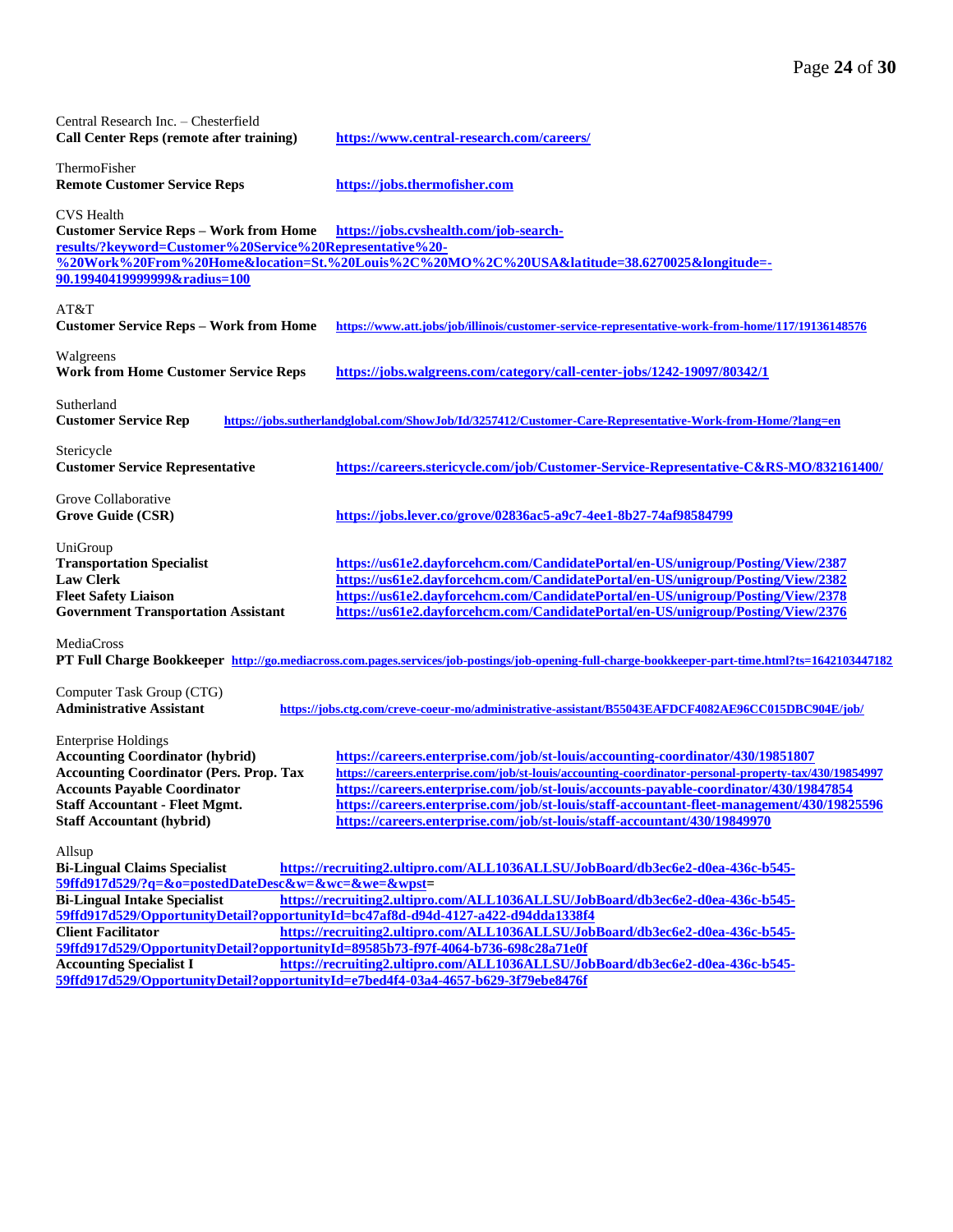| Central Research Inc. - Chesterfield<br><b>Call Center Reps (remote after training)</b>                                                                                                                                                    | https://www.central-research.com/careers/                                                                                                                                                                                                                                                                                                                                                                                                                    |
|--------------------------------------------------------------------------------------------------------------------------------------------------------------------------------------------------------------------------------------------|--------------------------------------------------------------------------------------------------------------------------------------------------------------------------------------------------------------------------------------------------------------------------------------------------------------------------------------------------------------------------------------------------------------------------------------------------------------|
| ThermoFisher<br><b>Remote Customer Service Reps</b>                                                                                                                                                                                        | https://jobs.thermofisher.com                                                                                                                                                                                                                                                                                                                                                                                                                                |
| <b>CVS</b> Health<br><b>Customer Service Reps - Work from Home</b><br>results/?keyword=Customer%20Service%20Representative%20-<br>90.19940419999999&radius=100                                                                             | https://jobs.cvshealth.com/job-search-<br>%20Work%20From%20Home&location=St.%20Louis%2C%20MO%2C%20USA&latitude=38.6270025&longitude=-                                                                                                                                                                                                                                                                                                                        |
| AT&T<br><b>Customer Service Reps - Work from Home</b>                                                                                                                                                                                      | https://www.att.jobs/job/illinois/customer-service-representative-work-from-home/117/19136148576                                                                                                                                                                                                                                                                                                                                                             |
| Walgreens<br><b>Work from Home Customer Service Reps</b>                                                                                                                                                                                   | https://jobs.walgreens.com/category/call-center-jobs/1242-19097/80342/1                                                                                                                                                                                                                                                                                                                                                                                      |
| Sutherland<br><b>Customer Service Rep</b>                                                                                                                                                                                                  | https://jobs.sutherlandglobal.com/ShowJob/Id/3257412/Customer-Care-Representative-Work-from-Home/?lang=en                                                                                                                                                                                                                                                                                                                                                    |
| Stericycle<br><b>Customer Service Representative</b>                                                                                                                                                                                       | https://careers.stericycle.com/job/Customer-Service-Representative-C&RS-MO/832161400/                                                                                                                                                                                                                                                                                                                                                                        |
| Grove Collaborative<br><b>Grove Guide (CSR)</b>                                                                                                                                                                                            | https://jobs.lever.co/grove/02836ac5-a9c7-4ee1-8b27-74af98584799                                                                                                                                                                                                                                                                                                                                                                                             |
| UniGroup<br><b>Transportation Specialist</b><br><b>Law Clerk</b><br><b>Fleet Safety Liaison</b><br><b>Government Transportation Assistant</b>                                                                                              | https://us61e2.dayforcehcm.com/CandidatePortal/en-US/unigroup/Posting/View/2387<br>https://us61e2.dayforcehcm.com/CandidatePortal/en-US/unigroup/Posting/View/2382<br>https://us61e2.dayforcehcm.com/CandidatePortal/en-US/unigroup/Posting/View/2378<br>https://us61e2.dayforcehcm.com/CandidatePortal/en-US/unigroup/Posting/View/2376                                                                                                                     |
| MediaCross                                                                                                                                                                                                                                 | PT Full Charge Bookkeeper http://go.mediacross.com.pages.services/job-postings/job-opening-full-charge-bookkeeper-part-time.html?ts=1642103447182                                                                                                                                                                                                                                                                                                            |
| Computer Task Group (CTG)<br><b>Administrative Assistant</b>                                                                                                                                                                               | https://jobs.ctg.com/creve-coeur-mo/administrative-assistant/B55043EAFDCF4082AE96CC015DBC904E/job/                                                                                                                                                                                                                                                                                                                                                           |
| <b>Enterprise Holdings</b><br><b>Accounting Coordinator (hybrid)</b><br><b>Accounting Coordinator (Pers. Prop. Tax</b><br><b>Accounts Payable Coordinator</b><br><b>Staff Accountant - Fleet Mgmt.</b><br><b>Staff Accountant (hybrid)</b> | https://careers.enterprise.com/job/st-louis/accounting-coordinator/430/19851807<br>https://careers.enterprise.com/job/st-louis/accounting-coordinator-personal-property-tax/430/19854997<br>https://careers.enterprise.com/job/st-louis/accounts-payable-coordinator/430/19847854<br>https://careers.enterprise.com/job/st-louis/staff-accountant-fleet-management/430/19825596<br>https://careers.enterprise.com/job/st-louis/staff-accountant/430/19849970 |
| Allsup<br><b>Bi-Lingual Claims Specialist</b><br>59ffd917d529/?q=&o=postedDateDesc&w=&wc=&we=&wpst=                                                                                                                                        | https://recruiting2.ultipro.com/ALL1036ALLSU/JobBoard/db3ec6e2-d0ea-436c-b545-                                                                                                                                                                                                                                                                                                                                                                               |
| <b>Bi-Lingual Intake Specialist</b>                                                                                                                                                                                                        | https://recruiting2.ultipro.com/ALL1036ALLSU/JobBoard/db3ec6e2-d0ea-436c-b545-                                                                                                                                                                                                                                                                                                                                                                               |
| 59ffd917d529/OpportunityDetail?opportunityId=bc47af8d-d94d-4127-a422-d94dda1338f4<br><b>Client Facilitator</b>                                                                                                                             | https://recruiting2.ultipro.com/ALL1036ALLSU/JobBoard/db3ec6e2-d0ea-436c-b545-                                                                                                                                                                                                                                                                                                                                                                               |
| 59ffd917d529/OpportunityDetail?opportunityId=89585b73-f97f-4064-b736-698c28a71e0f                                                                                                                                                          |                                                                                                                                                                                                                                                                                                                                                                                                                                                              |
| <b>Accounting Specialist I</b>                                                                                                                                                                                                             | https://recruiting2.ultipro.com/ALL1036ALLSU/JobBoard/db3ec6e2-d0ea-436c-b545-                                                                                                                                                                                                                                                                                                                                                                               |

**[59ffd917d529/OpportunityDetail?opportunityId=e7bed4f4-03a4-4657-b629-3f79ebe8476f](https://recruiting2.ultipro.com/ALL1036ALLSU/JobBoard/db3ec6e2-d0ea-436c-b545-59ffd917d529/OpportunityDetail?opportunityId=e7bed4f4-03a4-4657-b629-3f79ebe8476f)**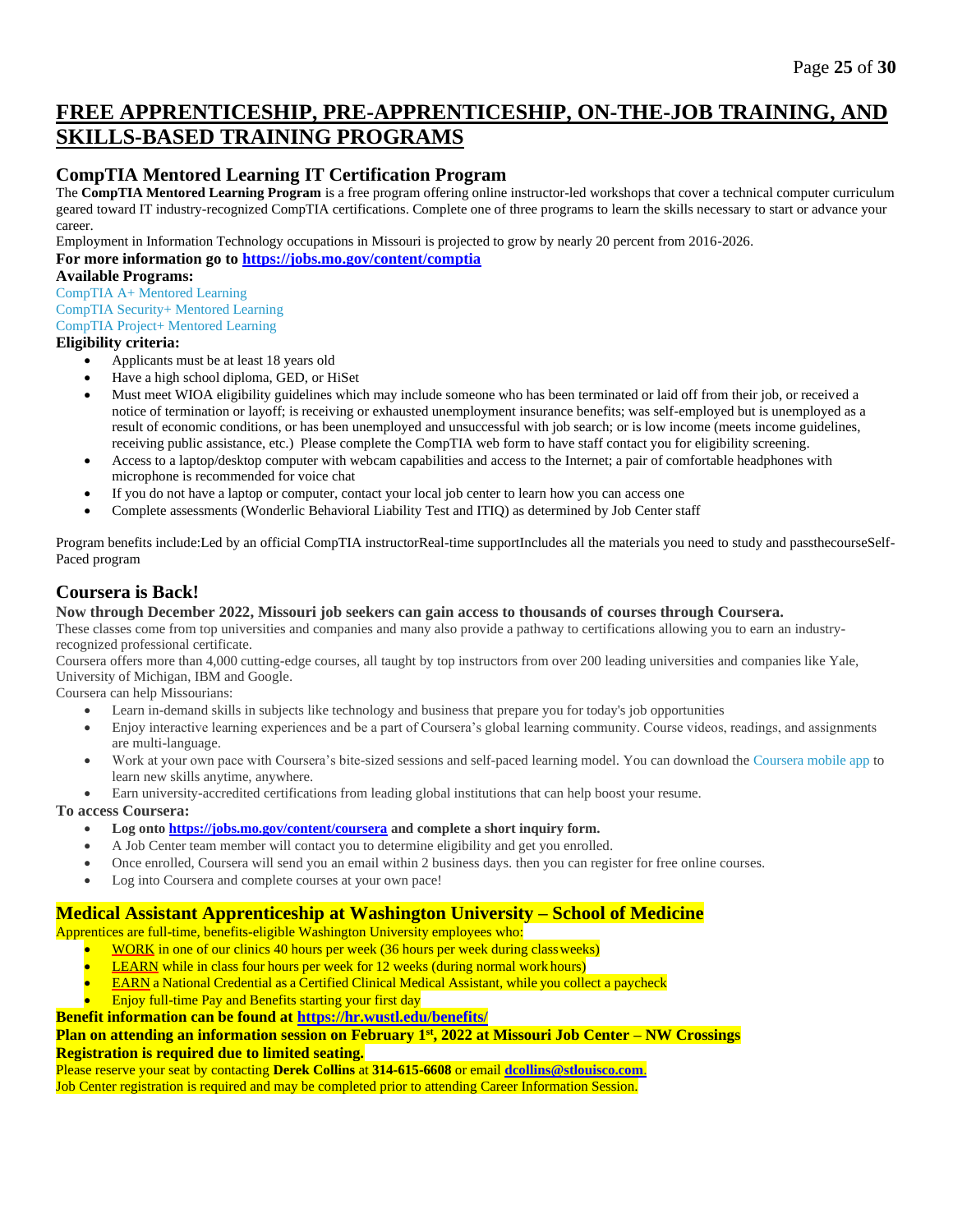# **FREE APPRENTICESHIP, PRE-APPRENTICESHIP, ON-THE-JOB TRAINING, AND SKILLS-BASED TRAINING PROGRAMS**

# **CompTIA Mentored Learning IT Certification Program**

The **CompTIA Mentored Learning Program** is a free program offering online instructor-led workshops that cover a technical computer curriculum geared toward IT industry-recognized CompTIA certifications. Complete one of three programs to learn the skills necessary to start or advance your career.

Employment in Information Technology occupations in Missouri is projected to grow by nearly 20 percent from 2016-2026.

**For more information go to <https://jobs.mo.gov/content/comptia>**

### **Available Programs:**

[CompTIA A+ Mentored Learning](https://jobs.mo.gov/sites/jobs/files/aplus_comptiabattlecard.pdf) [CompTIA Security+ Mentored Learning](https://jobs.mo.gov/sites/jobs/files/securityplus_comptiabattlecard.pdf) [CompTIA Project+ Mentored Learning](https://jobs.mo.gov/sites/jobs/files/projectplus_comptiabattlecard.pdf)

### **Eligibility criteria:**

- Applicants must be at least 18 years old
- Have a high school diploma, GED, or HiSet
- Must meet WIOA eligibility guidelines which may include someone who has been terminated or laid off from their job, or received a notice of termination or layoff; is receiving or exhausted unemployment insurance benefits; was self-employed but is unemployed as a result of economic conditions, or has been unemployed and unsuccessful with job search; or is low income (meets income guidelines, receiving public assistance, etc.) Please complete the CompTIA web form to have staff contact you for eligibility screening.
- Access to a laptop/desktop computer with webcam capabilities and access to the Internet; a pair of comfortable headphones with microphone is recommended for voice chat
- If you do not have a laptop or computer, contact your local job center to learn how you can access one
- Complete assessments (Wonderlic Behavioral Liability Test and ITIQ) as determined by Job Center staff

Program benefits include:Led by an official CompTIA instructorReal-time supportIncludes all the materials you need to study and passthecourseSelf-Paced program

# **Coursera is Back!**

### **Now through December 2022, Missouri job seekers can gain access to thousands of courses through Coursera.**

These classes come from top universities and companies and many also provide a pathway to certifications allowing you to earn an industryrecognized professional certificate.

Coursera offers more than 4,000 cutting-edge courses, all taught by top instructors from over 200 leading universities and companies like Yale, University of Michigan, IBM and Google.

Coursera can help Missourians:

- Learn in-demand skills in subjects like technology and business that prepare you for today's job opportunities
- Enjoy interactive learning experiences and be a part of Coursera's global learning community. Course videos, readings, and assignments are multi-language.
- Work at your own pace with Coursera's bite-sized sessions and self-paced learning model. You can download the [Coursera mobile app](https://www.coursera.org/about/mobile) to learn new skills anytime, anywhere.
- Earn university-accredited certifications from leading global institutions that can help boost your resume.

### **To access Coursera:**

- **Log ont[o https://jobs.mo.gov/content/coursera](https://jobs.mo.gov/content/coursera) and complete a short inquiry form.**
- A Job Center team member will contact you to determine eligibility and get you enrolled.
- Once enrolled, Coursera will send you an email within 2 business days. then you can register for free online courses.
- Log into Coursera and complete courses at your own pace!

## **Medical Assistant Apprenticeship at Washington University – School of Medicine**

Apprentices are full-time, benefits-eligible Washington University employees who:

- WORK in one of our clinics 40 hours per week (36 hours per week during classweeks)
- **LEARN** while in class four hours per week for 12 weeks (during normal work hours)
- EARN a National Credential as a Certified Clinical Medical Assistant, while you collect a paycheck
- Enjoy full-time Pay and Benefits starting your first day
- **Benefit information can be found at<https://hr.wustl.edu/benefits/>**

### **Plan on attending an information session on February 1st , 2022 at Missouri Job Center – NW Crossings Registration is required due to limited seating.**

Please reserve your seat by contacting **Derek Collins** at **314-615-6608** or email **[dcollins@stlouisco.com](mailto:dcollins@stlouisco.com.)**.

Job Center registration is required and may be completed prior to attending Career Information Session.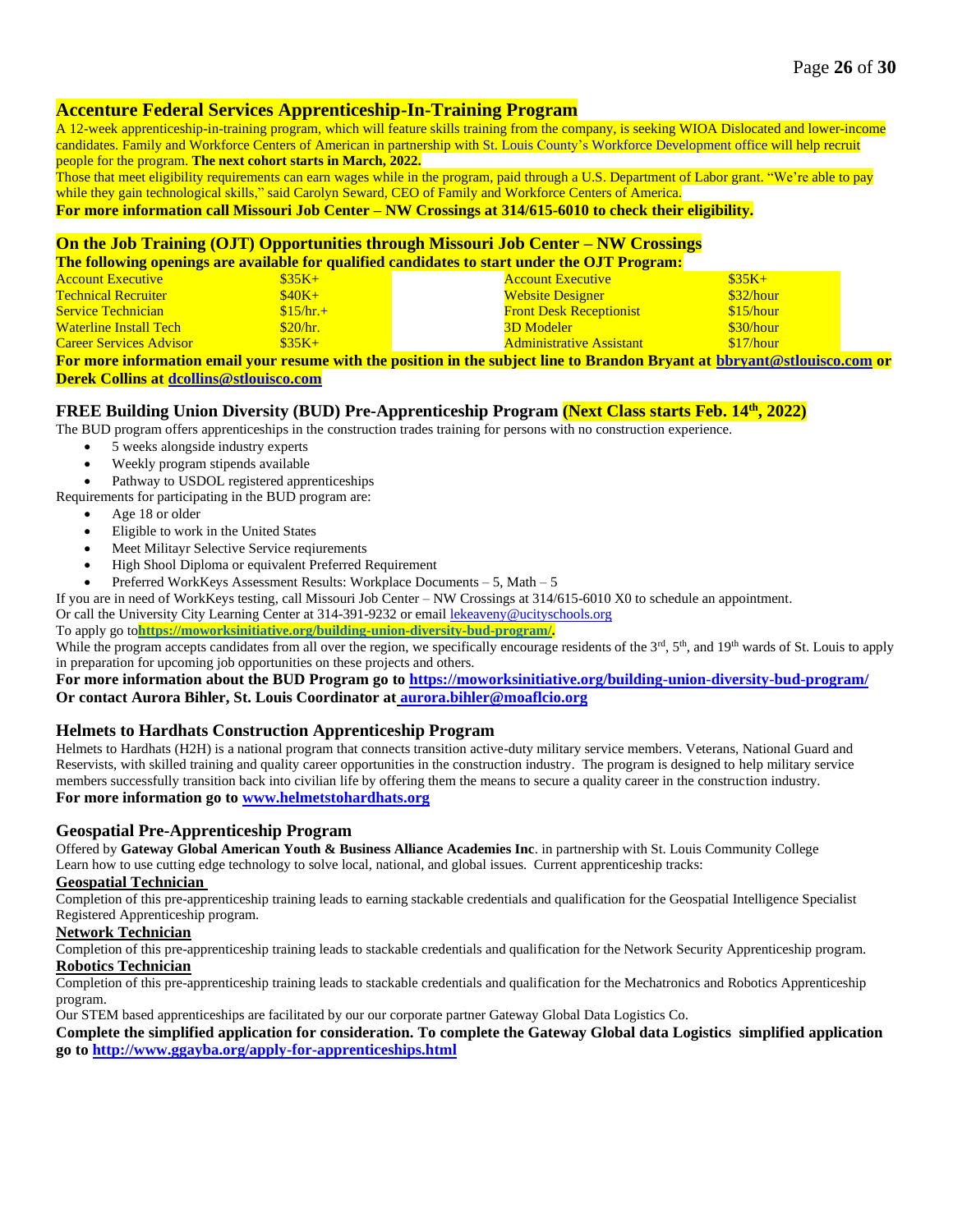## **Accenture Federal Services Apprenticeship-In-Training Program**

A 12-week apprenticeship-in-training program, which will feature skills training from the company, is seeking WIOA Dislocated and lower-income candidates. Family and Workforce Centers of American in partnership with St. Louis County's Workforce [Development](https://stlouiscountymo.gov/st-louis-county-departments/human-services/workforce-development) office will help recruit people for the program. **The next cohort starts in March, 2022.**

Those that meet eligibility requirements can earn wages while in the program, paid through a U.S. Department of Labor grant. "We're able to pay while they gain technological skills," said Carolyn Seward, CEO of Family and Workforce Centers of America.

**For more information call Missouri Job Center – NW Crossings at 314/615-6010 to check their eligibility.**

### **On the Job Training (OJT) Opportunities through Missouri Job Center – NW Crossings**

**The following openings are available for qualified candidates to start under the OJT Program:**

| <b>Account Executive</b>       | $\$35K+$   | <b>Account Executive</b>                                                                                                       | $$35K+$   |
|--------------------------------|------------|--------------------------------------------------------------------------------------------------------------------------------|-----------|
| <b>Technical Recruiter</b>     | $$40K+$    | <b>Website Designer</b>                                                                                                        | \$32/hour |
| <b>Service Technician</b>      | $$15/hr.+$ | <b>Front Desk Receptionist</b>                                                                                                 | \$15/hour |
| <b>Waterline Install Tech</b>  | \$20/hr.   | <b>3D Modeler</b>                                                                                                              | \$30/hour |
| <b>Career Services Advisor</b> | $$35K+$    | <b>Administrative Assistant</b>                                                                                                | \$17/hour |
|                                |            | <u>Earmara information amail vour regume with the position in the subject line to Drandon Drygant of bhuvant@stlayisee com</u> |           |

**For more information email your resume with the position in the subject line to Brandon Bryant at [bbryant@stlouisco.com](mailto:bbryant@stlouisco.com) or Derek Collins at [dcollins@stlouisco.com](mailto:dcollins@stlouisco.com)**

### **FREE Building Union Diversity (BUD) Pre-Apprenticeship Program (Next Class starts Feb. 14th , 2022)**

The BUD program offers apprenticeships in the construction trades training for persons with no construction experience.

- 5 weeks alongside industry experts
- Weekly program stipends available
- Pathway to USDOL registered apprenticeships

Requirements for participating in the BUD program are:

- Age 18 or older
- Eligible to work in the United States
- Meet Militayr Selective Service reqiurements
- High Shool Diploma or equivalent Preferred Requirement
- Preferred WorkKeys Assessment Results: Workplace Documents 5, Math 5

If you are in need of WorkKeys testing, call Missouri Job Center – NW Crossings at 314/615-6010 X0 to schedule an appointment.

Or call the University City Learning Center at 314-391-9232 or email [lekeaveny@ucityschools.org](mailto:lekeaveny@ucityschools.org)

To apply go to**[https://moworksinitiative.org/building-union-diversity-bud-program/.](https://moworksinitiative.org/building-union-diversity-bud-program/)**

While the program accepts candidates from all over the region, we specifically encourage residents of the  $3<sup>rd</sup>$ ,  $5<sup>th</sup>$ , and  $19<sup>th</sup>$  wards of St. Louis to apply in preparation for upcoming job opportunities on these projects and others.

**For more information about the BUD Program go to<https://moworksinitiative.org/building-union-diversity-bud-program/> Or contact Aurora Bihler, St. Louis Coordinator at [aurora.bihler@moaflcio.org](mailto:aurora.bihler@moaflcio.org)**

## **Helmets to Hardhats Construction Apprenticeship Program**

Helmets to Hardhats (H2H) is a national program that connects transition active-duty military service members. Veterans, National Guard and Reservists, with skilled training and quality career opportunities in the construction industry. The program is designed to help military service members successfully transition back into civilian life by offering them the means to secure a quality career in the construction industry. **For more information go t[o www.helmetstohardhats.org](http://www.helmetstohardhats.org/)**

### **Geospatial Pre-Apprenticeship Program**

Offered by **Gateway Global American Youth & Business Alliance Academies Inc**. in partnership with St. Louis Community College Learn how to use cutting edge technology to solve local, national, and global issues. Current apprenticeship tracks:

### **Geospatial Technician**

Completion of this pre-apprenticeship training leads to earning stackable credentials and qualification for the Geospatial Intelligence Specialist Registered Apprenticeship program.

### **Network Technician**

Completion of this pre-apprenticeship training leads to stackable credentials and qualification for the Network Security Apprenticeship program. **Robotics Technician**

#### Completion of this pre-apprenticeship training leads to stackable credentials and qualification for the Mechatronics and Robotics Apprenticeship program.

Our STEM based apprenticeships are facilitated by our our corporate partner Gateway Global Data Logistics Co.

### **Complete the simplified application for consideration. To complete the Gateway Global data Logistics simplified application go to<http://www.ggayba.org/apply-for-apprenticeships.html>**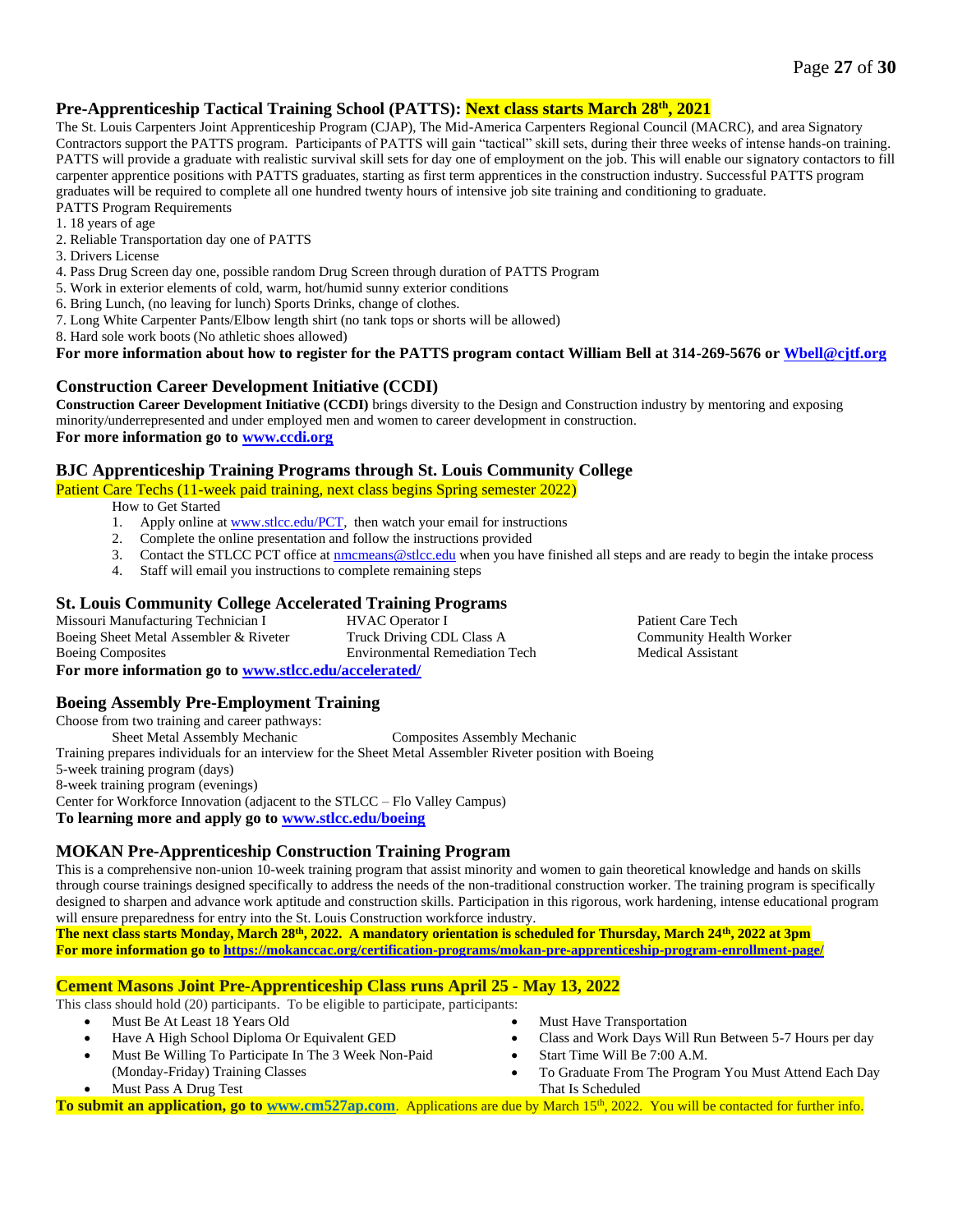### **Pre-Apprenticeship Tactical Training School (PATTS): Next class starts March 28 th, 2021**

The St. Louis Carpenters Joint Apprenticeship Program (CJAP), The Mid-America Carpenters Regional Council (MACRC), and area Signatory Contractors support the PATTS program. Participants of PATTS will gain "tactical" skill sets, during their three weeks of intense hands-on training. PATTS will provide a graduate with realistic survival skill sets for day one of employment on the job. This will enable our signatory contactors to fill carpenter apprentice positions with PATTS graduates, starting as first term apprentices in the construction industry. Successful PATTS program graduates will be required to complete all one hundred twenty hours of intensive job site training and conditioning to graduate. PATTS Program Requirements

- 1. 18 years of age
- 2. Reliable Transportation day one of PATTS
- 3. Drivers License
- 4. Pass Drug Screen day one, possible random Drug Screen through duration of PATTS Program
- 5. Work in exterior elements of cold, warm, hot/humid sunny exterior conditions
- 6. Bring Lunch, (no leaving for lunch) Sports Drinks, change of clothes.
- 7. Long White Carpenter Pants/Elbow length shirt (no tank tops or shorts will be allowed)
- 8. Hard sole work boots (No athletic shoes allowed)

### **For more information about how to register for the PATTS program contact William Bell at 314-269-5676 o[r Wbell@cjtf.org](mailto:Wbell@cjtf.org)**

### **Construction Career Development Initiative (CCDI)**

**Construction Career Development Initiative (CCDI)** brings diversity to the Design and Construction industry by mentoring and exposing minority/underrepresented and under employed men and women to career development in construction. **For more information go to [www.ccdi.org](http://www.ccdi.org/)**

### **BJC Apprenticeship Training Programs through St. Louis Community College**

Patient Care Techs (11-week paid training, next class begins Spring semester 2022)

How to Get Started

- 1. Apply online at [www.stlcc.edu/PCT,](http://www.stlcc.edu/PCT) then watch your email for instructions
- 2. Complete the online presentation and follow the instructions provided
- 3. Contact the STLCC PCT office a[t nmcmeans@stlcc.edu](mailto:nmcmeans@stlcc.edu) when you have finished all steps and are ready to begin the intake process
- 4. Staff will email you instructions to complete remaining steps

### **St. Louis Community College Accelerated Training Programs**

Missouri Manufacturing Technician I Boeing Sheet Metal Assembler & Riveter Boeing Composites HVAC Operator I Truck Driving CDL Class A Environmental Remediation Tech **For more information go t[o www.stlcc.edu/accelerated/](http://www.stlcc.edu/accelerated/)**

### **Boeing Assembly Pre-Employment Training**

Choose from two training and career pathways: Sheet Metal Assembly Mechanic Composites Assembly Mechanic Training prepares individuals for an interview for the Sheet Metal Assembler Riveter position with Boeing 5-week training program (days) 8-week training program (evenings) Center for Workforce Innovation (adjacent to the STLCC – Flo Valley Campus) **To learning more and apply go to [www.stlcc.edu/boeing](http://www.stlcc.edu/boeing)**

## **MOKAN Pre-Apprenticeship Construction Training Program**

This is a comprehensive non-union 10-week training program that assist minority and women to gain theoretical knowledge and hands on skills through course trainings designed specifically to address the needs of the non-traditional construction worker. The training program is specifically designed to sharpen and advance work aptitude and construction skills. Participation in this rigorous, work hardening, intense educational program will ensure preparedness for entry into the St. Louis Construction workforce industry.

**The next class starts Monday, March 28th, 2022. A mandatory orientation is scheduled for Thursday, March 24th, 2022 at 3pm For more information go to <https://mokanccac.org/certification-programs/mokan-pre-apprenticeship-program-enrollment-page/>**

### **Cement Masons Joint Pre-Apprenticeship Class runs April 25 - May 13, 2022**

This class should hold (20) participants. To be eligible to participate, participants:

- Must Be At Least 18 Years Old
- Have A High School Diploma Or Equivalent GED
- Must Be Willing To Participate In The 3 Week Non-Paid (Monday-Friday) Training Classes
- Must Pass A Drug Test
- **Must Have Transportation**
- Class and Work Days Will Run Between 5-7 Hours per day

Patient Care Tech Community Health Worker

Medical Assistant

- Start Time Will Be 7:00 A.M.
- To Graduate From The Program You Must Attend Each Day That Is Scheduled

To submit an application, go to [www.cm527ap.com](http://www.cm527ap.com/). Applications are due by March 15<sup>th</sup>, 2022. You will be contacted for further info.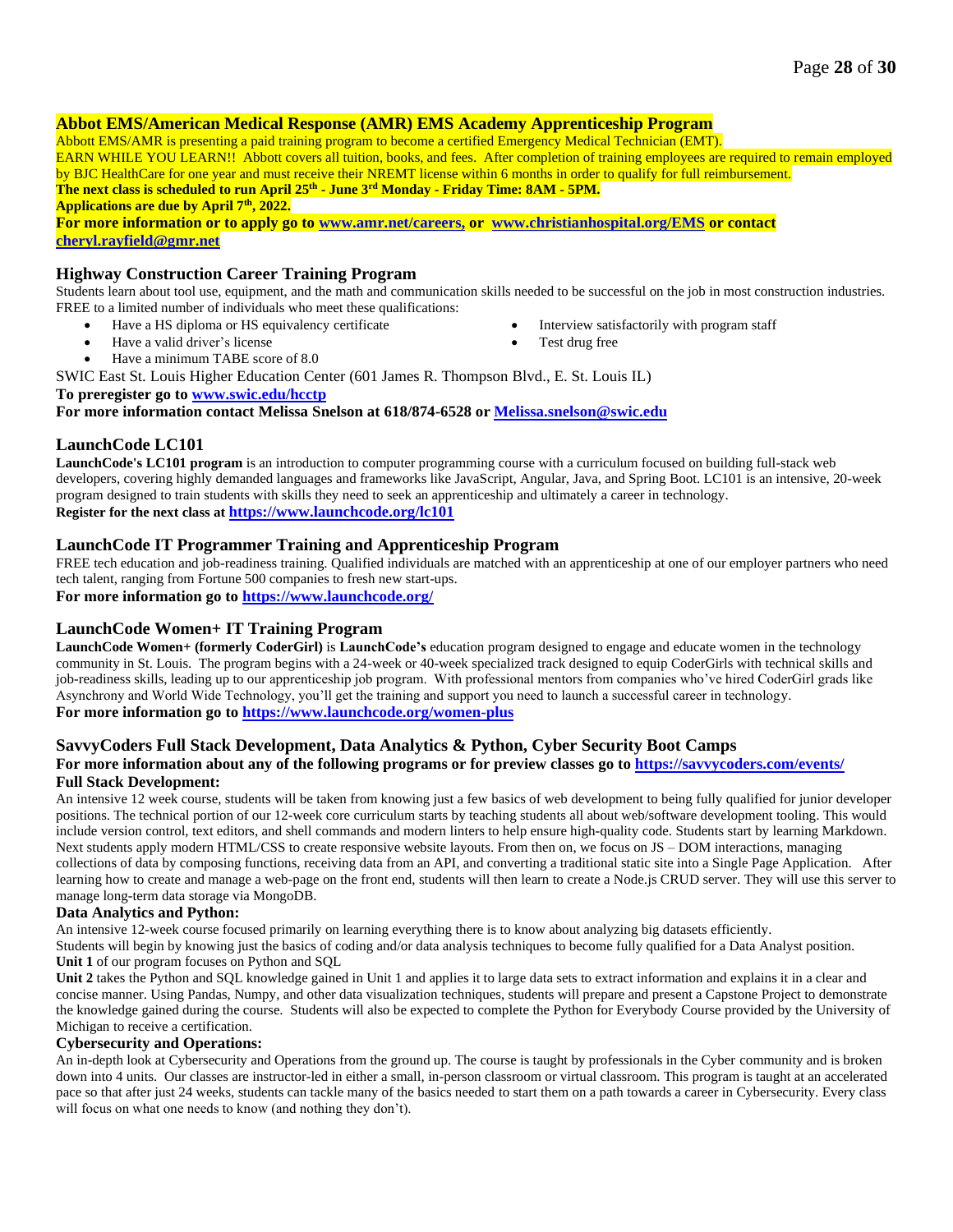### **Abbot EMS/American Medical Response (AMR) EMS Academy Apprenticeship Program**

Abbott EMS/AMR is presenting a paid training program to become a certified Emergency Medical Technician (EMT). EARN WHILE YOU LEARN!! Abbott covers all tuition, books, and fees. After completion of training employees are required to remain employed by BJC HealthCare for one year and must receive their NREMT license within 6 months in order to qualify for full reimbursement. **The next class is scheduled to run April 25th - June 3rd Monday - Friday Time: 8AM - 5PM. Applications are due by April 7th , 2022.**

**For more information or to apply go to [www.amr.net/careers,](http://www.amr.net/careers) or [www.christianhospital.org/EMS](http://www.christianhospital.org/EMS) or contact [cheryl.rayfield@gmr.net](mailto:cheryl.rayfield@gmr.net)**

### **Highway Construction Career Training Program**

Students learn about tool use, equipment, and the math and communication skills needed to be successful on the job in most construction industries. FREE to a limited number of individuals who meet these qualifications:

- Have a HS diploma or HS equivalency certificate
	- Have a valid driver's license
- Interview satisfactorily with program staff
- 
- Test drug free

• Have a minimum TABE score of 8.0

SWIC East St. Louis Higher Education Center (601 James R. Thompson Blvd., E. St. Louis IL)

**To preregister go to [www.swic.edu/hcctp](http://www.swic.edu/hcctp)**

**For more information contact Melissa Snelson at 618/874-6528 or [Melissa.snelson@swic.edu](mailto:Melissa.snelson@swic.edu)**

### **LaunchCode LC101**

**LaunchCode's LC101 program** is an introduction to computer programming course with a curriculum focused on building full-stack web developers, covering highly demanded languages and frameworks like JavaScript, Angular, Java, and Spring Boot. LC101 is an intensive, 20-week program designed to train students with skills they need to seek an apprenticeship and ultimately a career in technology. **Register for the next class at <https://www.launchcode.org/lc101>**

### **LaunchCode IT Programmer Training and Apprenticeship Program**

FREE tech education and job-readiness training. Qualified individuals are matched with an apprenticeship at one of our employer partners who need tech talent, ranging from Fortune 500 companies to fresh new start-ups. **For more information go t[o https://www.launchcode.org/](https://www.launchcode.org/)**

### **LaunchCode Women+ IT Training Program**

**LaunchCode Women+ (formerly CoderGirl)** is **LaunchCode's** education program designed to engage and educate women in the technology community in St. Louis. The program begins with a 24-week or 40-week specialized track designed to equip CoderGirls with technical skills and job-readiness skills, leading up to our apprenticeship job program. With professional mentors from companies who've hired CoderGirl grads like Asynchrony and World Wide Technology, you'll get the training and support you need to launch a successful career in technology. **For more information go t[o https://www.launchcode.org/women-plus](https://www.launchcode.org/women-plus)**

## **SavvyCoders Full Stack Development, Data Analytics & Python, Cyber Security Boot Camps**

### For more information about any of the following programs or for preview classes go to <https://savvycoders.com/events/> **Full Stack Development:**

An intensive 12 week course, students will be taken from knowing just a few basics of web development to being fully qualified for junior developer positions. The technical portion of our 12-week core curriculum starts by teaching students all about web/software development tooling. This would include version control, text editors, and shell commands and modern linters to help ensure high-quality code. Students start by learning Markdown. Next students apply modern HTML/CSS to create responsive website layouts. From then on, we focus on JS – DOM interactions, managing collections of data by composing functions, receiving data from an API, and converting a traditional static site into a Single Page Application. After learning how to create and manage a web-page on the front end, students will then learn to create a Node.js CRUD server. They will use this server to manage long-term data storage via MongoDB.

### **Data Analytics and Python:**

An intensive 12-week course focused primarily on learning everything there is to know about analyzing big datasets efficiently.

Students will begin by knowing just the basics of coding and/or data analysis techniques to become fully qualified for a Data Analyst position. **Unit 1** of our program focuses on Python and SQL

**Unit 2** takes the Python and SQL knowledge gained in Unit 1 and applies it to large data sets to extract information and explains it in a clear and concise manner. Using Pandas, Numpy, and other data visualization techniques, students will prepare and present a Capstone Project to demonstrate the knowledge gained during the course. Students will also be expected to complete the Python for Everybody Course provided by the University of Michigan to receive a certification.

### **Cybersecurity and Operations:**

An in-depth look at Cybersecurity and Operations from the ground up. The course is taught by professionals in the Cyber community and is broken down into 4 units. Our classes are instructor-led in either a small, in-person classroom or virtual classroom. This program is taught at an accelerated pace so that after just 24 weeks, students can tackle many of the basics needed to start them on a path towards a career in Cybersecurity. Every class will focus on what one needs to know (and nothing they don't).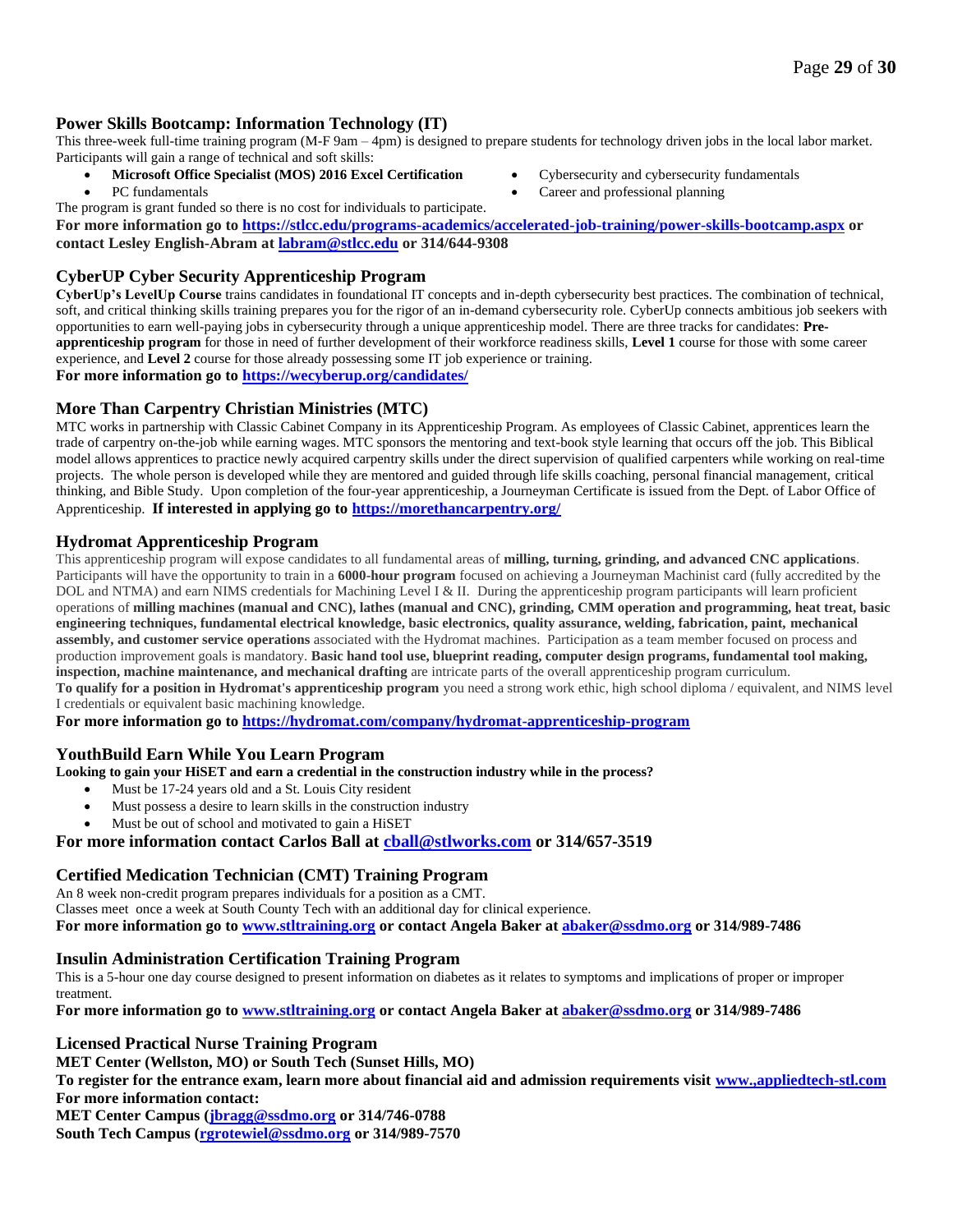### **Power Skills Bootcamp: Information Technology (IT)**

This three-week full-time training program (M-F 9am – 4pm) is designed to prepare students for technology driven jobs in the local labor market. Participants will gain a range of technical and soft skills:

• **Microsoft Office Specialist (MOS) 2016 Excel Certification**

The program is grant funded so there is no cost for individuals to participate.

PC fundamentals

- Cybersecurity and cybersecurity fundamentals
- Career and professional planning

**For more information go to <https://stlcc.edu/programs-academics/accelerated-job-training/power-skills-bootcamp.aspx> or contact Lesley English-Abram at [labram@stlcc.edu](mailto:labram@stlcc.edu) or 314/644-9308**

### **CyberUP Cyber Security Apprenticeship Program**

**CyberUp's LevelUp Course** trains candidates in foundational IT concepts and in-depth cybersecurity best practices. The combination of technical, soft, and critical thinking skills training prepares you for the rigor of an in-demand cybersecurity role. CyberUp connects ambitious job seekers with opportunities to earn well-paying jobs in cybersecurity through a unique apprenticeship model. There are three tracks for candidates: **Preapprenticeship program** for those in need of further development of their workforce readiness skills, **Level 1** course for those with some career experience, and **Level 2** course for those already possessing some IT job experience or training.

**For more information go t[o https://wecyberup.org/candidates/](https://wecyberup.org/candidates/)**

### **More Than Carpentry Christian Ministries (MTC)**

MTC works in partnership with Classic Cabinet Company in its Apprenticeship Program. As employees of Classic Cabinet, apprentices learn the trade of carpentry on-the-job while earning wages. MTC sponsors the mentoring and text-book style learning that occurs off the job. This Biblical model allows apprentices to practice newly acquired carpentry skills under the direct supervision of qualified carpenters while working on real-time projects. The whole person is developed while they are mentored and guided through life skills coaching, personal financial management, critical thinking, and Bible Study. Upon completion of the four-year apprenticeship, a Journeyman Certificate is issued from the Dept. of Labor Office of Apprenticeship. **If interested in applying go to<https://morethancarpentry.org/>**

### **Hydromat Apprenticeship Program**

This apprenticeship program will expose candidates to all fundamental areas of **milling, turning, grinding, and advanced CNC applications**. Participants will have the opportunity to train in a **6000-hour program** focused on achieving a Journeyman Machinist card (fully accredited by the DOL and NTMA) and earn NIMS credentials for Machining Level I & II. During the apprenticeship program participants will learn proficient operations of **milling machines (manual and CNC), lathes (manual and CNC), grinding, CMM operation and programming, heat treat, basic engineering techniques, fundamental electrical knowledge, basic electronics, quality assurance, welding, fabrication, paint, mechanical assembly, and customer service operations** associated with the Hydromat machines. Participation as a team member focused on process and production improvement goals is mandatory. **Basic hand tool use, blueprint reading, computer design programs, fundamental tool making, inspection, machine maintenance, and mechanical drafting** are intricate parts of the overall apprenticeship program curriculum. **To qualify for a position in Hydromat's apprenticeship program** you need a strong work ethic, high school diploma / equivalent, and NIMS level I credentials or equivalent basic machining knowledge.

**For more information go to <https://hydromat.com/company/hydromat-apprenticeship-program>**

## **YouthBuild Earn While You Learn Program**

**Looking to gain your HiSET and earn a credential in the construction industry while in the process?**

- Must be 17-24 years old and a St. Louis City resident
- Must possess a desire to learn skills in the construction industry
- Must be out of school and motivated to gain a HiSET

# **For more information contact Carlos Ball at [cball@stlworks.com](mailto:cball@stlworks.com) or 314/657-3519**

## **Certified Medication Technician (CMT) Training Program**

An 8 week non-credit program prepares individuals for a position as a CMT. Classes meet once a week at South County Tech with an additional day for clinical experience. **For more information go t[o www.stltraining.org](http://www.stltraining.org/) or contact Angela Baker at [abaker@ssdmo.org](mailto:abaker@ssdmo.org) or 314/989-7486**

## **Insulin Administration Certification Training Program**

This is a 5-hour one day course designed to present information on diabetes as it relates to symptoms and implications of proper or improper treatment.

**For more information go t[o www.stltraining.org](http://www.stltraining.org/) or contact Angela Baker at [abaker@ssdmo.org](mailto:abaker@ssdmo.org) or 314/989-7486**

### **Licensed Practical Nurse Training Program**

**MET Center (Wellston, MO) or South Tech (Sunset Hills, MO)**

**To register for the entrance exam, learn more about financial aid and admission requirements visit [www.,appliedtech-stl.com](http://www.,appliedtech-stl.com/) For more information contact:**

**MET Center Campus [\(jbragg@ssdmo.org](mailto:jbragg@ssdmo.org) or 314/746-0788 South Tech Campus [\(rgrotewiel@ssdmo.org](mailto:rgrotewiel@ssdmo.org) or 314/989-7570**